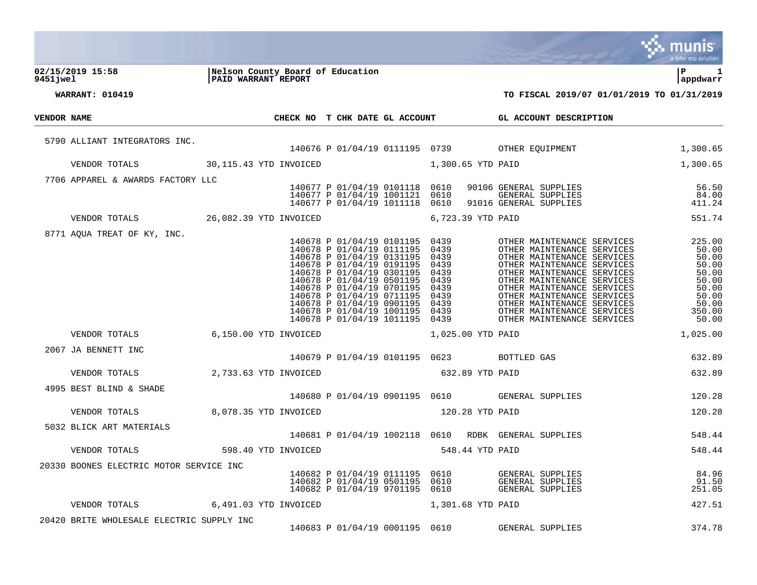|             |                                           |                                                                |                                                                                                                                                                                                                                                                                                                                  |                 |                                                                              |                   |                                                                                                                                                                                                                                                                                                                                        | a tyler erp solution                                                                              |
|-------------|-------------------------------------------|----------------------------------------------------------------|----------------------------------------------------------------------------------------------------------------------------------------------------------------------------------------------------------------------------------------------------------------------------------------------------------------------------------|-----------------|------------------------------------------------------------------------------|-------------------|----------------------------------------------------------------------------------------------------------------------------------------------------------------------------------------------------------------------------------------------------------------------------------------------------------------------------------------|---------------------------------------------------------------------------------------------------|
| 9451 jwel   | 02/15/2019 15:58                          | Nelson County Board of Education<br><b>PAID WARRANT REPORT</b> |                                                                                                                                                                                                                                                                                                                                  |                 |                                                                              |                   |                                                                                                                                                                                                                                                                                                                                        | ΙP<br>1<br>appdwarr                                                                               |
|             | <b>WARRANT: 010419</b>                    |                                                                |                                                                                                                                                                                                                                                                                                                                  |                 |                                                                              |                   | TO FISCAL 2019/07 01/01/2019 TO 01/31/2019                                                                                                                                                                                                                                                                                             |                                                                                                   |
|             |                                           |                                                                |                                                                                                                                                                                                                                                                                                                                  |                 |                                                                              |                   |                                                                                                                                                                                                                                                                                                                                        |                                                                                                   |
| VENDOR NAME |                                           |                                                                |                                                                                                                                                                                                                                                                                                                                  |                 |                                                                              |                   | CHECK NO T CHK DATE GL ACCOUNT GL ACCOUNT DESCRIPTION                                                                                                                                                                                                                                                                                  |                                                                                                   |
|             | 5790 ALLIANT INTEGRATORS INC.             |                                                                |                                                                                                                                                                                                                                                                                                                                  |                 |                                                                              |                   | 140676 P 01/04/19 0111195 0739 OTHER EQUIPMENT                                                                                                                                                                                                                                                                                         | 1,300.65                                                                                          |
|             | VENDOR TOTALS                             | 30,115.43 YTD INVOICED                                         | 1,300.65 YTD PAID                                                                                                                                                                                                                                                                                                                |                 |                                                                              |                   |                                                                                                                                                                                                                                                                                                                                        | 1,300.65                                                                                          |
|             | 7706 APPAREL & AWARDS FACTORY LLC         |                                                                |                                                                                                                                                                                                                                                                                                                                  |                 |                                                                              |                   |                                                                                                                                                                                                                                                                                                                                        |                                                                                                   |
|             |                                           |                                                                | 140677 P 01/04/19 0101118 0610<br>140677 P 01/04/19 1001121 0610<br>140677 P 01/04/19 1011118 0610                                                                                                                                                                                                                               |                 |                                                                              |                   | 90106 GENERAL SUPPLIES<br>GENERAL SUPPLIES<br>91016 GENERAL SUPPLIES                                                                                                                                                                                                                                                                   | 56.50<br>84.00<br>411.24                                                                          |
|             | VENDOR TOTALS 26,082.39 YTD INVOICED      |                                                                |                                                                                                                                                                                                                                                                                                                                  |                 |                                                                              | 6,723.39 YTD PAID |                                                                                                                                                                                                                                                                                                                                        | 551.74                                                                                            |
|             | 8771 AQUA TREAT OF KY, INC.               |                                                                | 140678 P 01/04/19 0101195 0439<br>140678 P 01/04/19 0111195<br>140678 P 01/04/19 0131195<br>140678 P 01/04/19 0191195<br>140678 P 01/04/19 0301195<br>140678 P 01/04/19 0501195<br>140678 P 01/04/19 0701195<br>140678 P 01/04/19 0711195<br>140678 P 01/04/19 0901195<br>140678 P 01/04/19 1001195<br>140678 P 01/04/19 1011195 |                 | 0439<br>0439<br>0439<br>0439<br>0439<br>0439<br>0439<br>0439<br>0439<br>0439 |                   | OTHER MAINTENANCE SERVICES<br>OTHER MAINTENANCE SERVICES<br>OTHER MAINTENANCE SERVICES<br>OTHER MAINTENANCE SERVICES<br>OTHER MAINTENANCE SERVICES<br>OTHER MAINTENANCE SERVICES<br>OTHER MAINTENANCE SERVICES<br>OTHER MAINTENANCE SERVICES<br>OTHER MAINTENANCE SERVICES<br>OTHER MAINTENANCE SERVICES<br>OTHER MAINTENANCE SERVICES | 225.00<br>50.00<br>50.00<br>50.00<br>50.00<br>50.00<br>50.00<br>50.00<br>50.00<br>350.00<br>50.00 |
|             | VENDOR TOTALS                             | 6,150.00 YTD INVOICED                                          |                                                                                                                                                                                                                                                                                                                                  |                 |                                                                              | 1,025.00 YTD PAID |                                                                                                                                                                                                                                                                                                                                        | 1,025.00                                                                                          |
|             | 2067 JA BENNETT INC                       |                                                                |                                                                                                                                                                                                                                                                                                                                  |                 |                                                                              |                   | 140679 P 01/04/19 0101195 0623 BOTTLED GAS                                                                                                                                                                                                                                                                                             | 632.89                                                                                            |
|             | VENDOR TOTALS 2,733.63 YTD INVOICED       |                                                                | 632.89 YTD PAID                                                                                                                                                                                                                                                                                                                  |                 |                                                                              |                   |                                                                                                                                                                                                                                                                                                                                        | 632.89                                                                                            |
|             | 4995 BEST BLIND & SHADE                   |                                                                |                                                                                                                                                                                                                                                                                                                                  |                 |                                                                              |                   | 140680 P 01/04/19 0901195 0610 GENERAL SUPPLIES                                                                                                                                                                                                                                                                                        | 120.28                                                                                            |
|             | VENDOR TOTALS                             | 8,078.35 YTD INVOICED                                          |                                                                                                                                                                                                                                                                                                                                  | 120.28 YTD PAID |                                                                              |                   |                                                                                                                                                                                                                                                                                                                                        | 120.28                                                                                            |
|             | 5032 BLICK ART MATERIALS                  |                                                                |                                                                                                                                                                                                                                                                                                                                  |                 |                                                                              |                   | 140681 P 01/04/19 1002118 0610 RDBK GENERAL SUPPLIES                                                                                                                                                                                                                                                                                   | 548.44                                                                                            |
|             | VENDOR TOTALS                             | 598.40 YTD INVOICED                                            |                                                                                                                                                                                                                                                                                                                                  |                 |                                                                              | 548.44 YTD PAID   |                                                                                                                                                                                                                                                                                                                                        | 548.44                                                                                            |
|             | 20330 BOONES ELECTRIC MOTOR SERVICE INC   |                                                                | 140682 P 01/04/19 0111195<br>140682 P 01/04/19 0501195<br>140682 P 01/04/19 9701195                                                                                                                                                                                                                                              |                 | 0610<br>0610<br>0610                                                         |                   | GENERAL SUPPLIES<br>GENERAL SUPPLIES<br>GENERAL SUPPLIES                                                                                                                                                                                                                                                                               | 84.96<br>91.50<br>251.05                                                                          |
|             | VENDOR TOTALS                             | 6,491.03 YTD INVOICED                                          |                                                                                                                                                                                                                                                                                                                                  |                 |                                                                              | 1,301.68 YTD PAID |                                                                                                                                                                                                                                                                                                                                        | 427.51                                                                                            |
|             | 20420 BRITE WHOLESALE ELECTRIC SUPPLY INC |                                                                | 140683 P 01/04/19 0001195 0610                                                                                                                                                                                                                                                                                                   |                 |                                                                              |                   | GENERAL SUPPLIES                                                                                                                                                                                                                                                                                                                       | 374.78                                                                                            |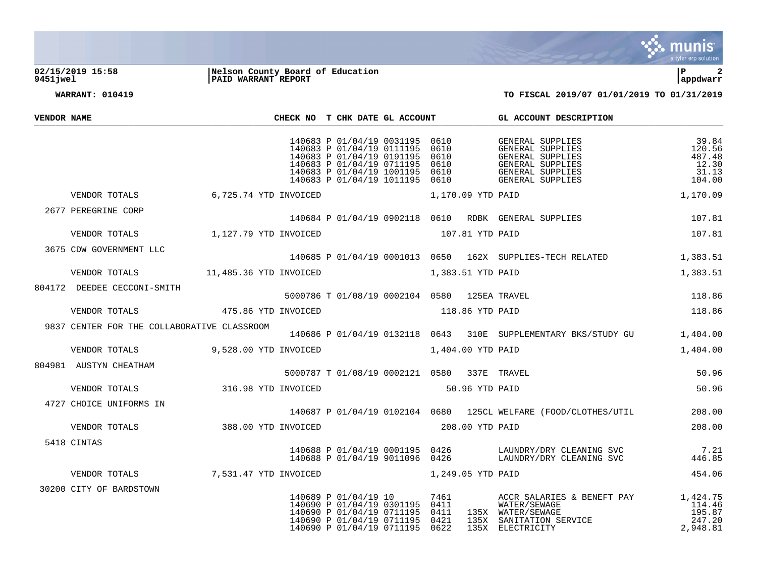

## **02/15/2019 15:58 |Nelson County Board of Education |P 2 9451jwel |PAID WARRANT REPORT |appdwarr**

| VENDOR NAME |                                                                          |                     | CHECK NO T CHK DATE GL ACCOUNT              |  | GL ACCOUNT DESCRIPTION                                                                                                                                                                                                                           |                                                       |
|-------------|--------------------------------------------------------------------------|---------------------|---------------------------------------------|--|--------------------------------------------------------------------------------------------------------------------------------------------------------------------------------------------------------------------------------------------------|-------------------------------------------------------|
|             |                                                                          |                     | 140683 P 01/04/19 0031195 0610              |  | GENERAL SUPPLIES<br>140683 P 01/04/19 0111195 0610<br>140683 P 01/04/19 0191195 0610<br>140683 P 01/04/19 0191195 0610<br>140683 P 01/04/19 0711195 0610<br>140683 P 01/04/19 1011195 0610<br>140683 P 01/04/19 1011195 0610<br>GENERAL SUPPLIES | 39.84<br>120.56<br>487.48<br>12.30<br>31.13<br>104.00 |
|             | VENDOR TOTALS 6.725.74 YTD INVOICED                                      |                     | 1,170.09 YTD PAID                           |  |                                                                                                                                                                                                                                                  | 1,170.09                                              |
|             | 2677 PEREGRINE CORP                                                      |                     |                                             |  | 140684 P 01/04/19 0902118 0610 RDBK GENERAL SUPPLIES                                                                                                                                                                                             | 107.81                                                |
|             | VENDOR TOTALS 1,127.79 YTD INVOICED                                      |                     | 107.81 YTD PAID                             |  |                                                                                                                                                                                                                                                  | 107.81                                                |
|             | 3675 CDW GOVERNMENT LLC                                                  |                     |                                             |  | 140685 P 01/04/19 0001013 0650 162X SUPPLIES-TECH RELATED                                                                                                                                                                                        | 1,383.51                                              |
|             | VENDOR TOTALS 11,485.36 YTD INVOICED 1,383.51 YTD PAID                   |                     |                                             |  |                                                                                                                                                                                                                                                  | 1,383.51                                              |
|             | 804172 DEEDEE CECCONI-SMITH 5000786 T 01/08/19 0002104 0580 125EA TRAVEL |                     |                                             |  | $118.86$<br>$119.86$                                                                                                                                                                                                                             |                                                       |
|             | VENDOR TOTALS                                                            | 475.86 YTD INVOICED | 118.86 YTD PAID                             |  |                                                                                                                                                                                                                                                  | 118.86                                                |
|             | 9837 CENTER FOR THE COLLABORATIVE CLASSROOM                              |                     |                                             |  | 140686 P 01/04/19 0132118 0643 310E SUPPLEMENTARY BKS/STUDY GU                                                                                                                                                                                   | 1,404.00                                              |
|             | VENDOR TOTALS 9,528.00 YTD INVOICED 1,404.00 YTD PAID                    |                     |                                             |  |                                                                                                                                                                                                                                                  | 1,404.00                                              |
|             | 804981 AUSTYN CHEATHAM                                                   |                     | 5000787 T 01/08/19 0002121 0580 337E TRAVEL |  |                                                                                                                                                                                                                                                  | 50.96                                                 |
|             | VENDOR TOTALS                                                            | 316.98 YTD INVOICED | 50.96 YTD PAID                              |  |                                                                                                                                                                                                                                                  | 50.96                                                 |
|             | 4727 CHOICE UNIFORMS IN                                                  |                     |                                             |  | 140687 P 01/04/19 0102104 0680 125CL WELFARE (FOOD/CLOTHES/UTIL 208.00                                                                                                                                                                           |                                                       |
|             | VENDOR TOTALS 388.00 YTD INVOICED                                        |                     | 208.00 YTD PAID                             |  |                                                                                                                                                                                                                                                  | 208.00                                                |
|             | 5418 CINTAS                                                              |                     |                                             |  | $\begin{array}{cccccc} 140688 & P & 01/04/19 & 0001195 & 0426 & & & \text{LAUNDRY/DRY CLEANING SVC} & & & & 7.21 \\ 140688 & P & 01/04/19 & 9011096 & 0426 & & & \text{LAUNDRY/DRY CLEANING SVC} & & & & 446.85 \end{array}$                     |                                                       |
|             | VENDOR TOTALS 7,531.47 YTD INVOICED 1,249.05 YTD PAID                    |                     |                                             |  |                                                                                                                                                                                                                                                  | 454.06                                                |
|             | 30200 CITY OF BARDSTOWN                                                  |                     |                                             |  |                                                                                                                                                                                                                                                  |                                                       |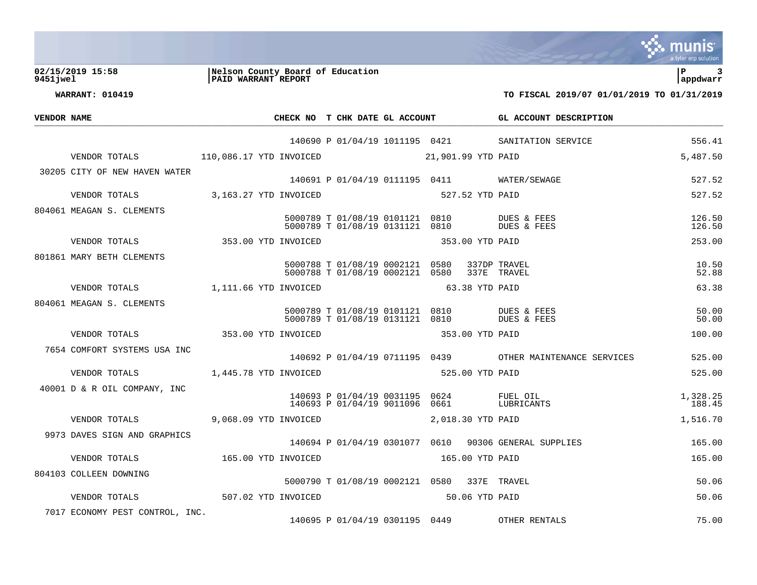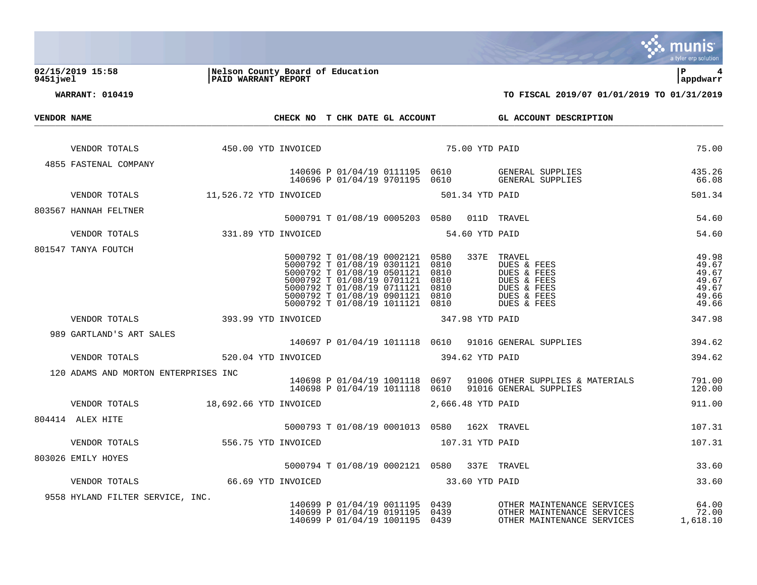|             |                                      |                            |                                  |                                                                                                                                                                                                                                    |                      |                   |                                                                                                  | a tyler erp solution                                        |
|-------------|--------------------------------------|----------------------------|----------------------------------|------------------------------------------------------------------------------------------------------------------------------------------------------------------------------------------------------------------------------------|----------------------|-------------------|--------------------------------------------------------------------------------------------------|-------------------------------------------------------------|
| 9451jwel    | 02/15/2019 15:58                     | <b>PAID WARRANT REPORT</b> | Nelson County Board of Education |                                                                                                                                                                                                                                    |                      |                   |                                                                                                  | l P<br>appdwarr                                             |
|             | <b>WARRANT: 010419</b>               |                            |                                  |                                                                                                                                                                                                                                    |                      |                   | TO FISCAL 2019/07 01/01/2019 TO 01/31/2019                                                       |                                                             |
| VENDOR NAME |                                      |                            | CHECK NO T CHK DATE GL ACCOUNT   |                                                                                                                                                                                                                                    |                      |                   | GL ACCOUNT DESCRIPTION                                                                           |                                                             |
|             |                                      |                            |                                  |                                                                                                                                                                                                                                    |                      |                   |                                                                                                  |                                                             |
|             | VENDOR TOTALS                        |                            | 450.00 YTD INVOICED              |                                                                                                                                                                                                                                    |                      | 75.00 YTD PAID    |                                                                                                  | 75.00                                                       |
|             | 4855 FASTENAL COMPANY                |                            |                                  |                                                                                                                                                                                                                                    |                      |                   |                                                                                                  |                                                             |
|             |                                      |                            |                                  | 140696 P 01/04/19 0111195 0610<br>140696 P 01/04/19 9701195 0610                                                                                                                                                                   |                      |                   | GENERAL SUPPLIES<br>GENERAL SUPPLIES                                                             | 435.26<br>66.08                                             |
|             | VENDOR TOTALS                        | 11,526.72 YTD INVOICED     |                                  |                                                                                                                                                                                                                                    |                      | 501.34 YTD PAID   |                                                                                                  | 501.34                                                      |
|             | 803567 HANNAH FELTNER                |                            |                                  | 5000791 T 01/08/19 0005203 0580 011D TRAVEL                                                                                                                                                                                        |                      |                   |                                                                                                  | 54.60                                                       |
|             | VENDOR TOTALS                        | 331.89 YTD INVOICED        |                                  |                                                                                                                                                                                                                                    |                      | 54.60 YTD PAID    |                                                                                                  | 54.60                                                       |
|             | 801547 TANYA FOUTCH                  |                            |                                  |                                                                                                                                                                                                                                    |                      |                   |                                                                                                  |                                                             |
|             |                                      |                            |                                  | 5000792 T 01/08/19 0002121<br>5000792 T 01/08/19 0301121 0810<br>5000792 T 01/08/19 0501121 0810<br>5000792 T 01/08/19 0701121 0810<br>5000792 T 01/08/19 0711121<br>5000792 T 01/08/19 0901121<br>5000792 T 01/08/19 1011121 0810 | 0580<br>0810<br>0810 | 337E              | TRAVEL<br>DUES & FEES<br>DUES & FEES<br>DUES & FEES<br>DUES & FEES<br>DUES & FEES<br>DUES & FEES | 49.98<br>49.67<br>49.67<br>49.67<br>49.67<br>49.66<br>49.66 |
|             | VENDOR TOTALS                        | 393.99 YTD INVOICED        |                                  |                                                                                                                                                                                                                                    |                      | 347.98 YTD PAID   |                                                                                                  | 347.98                                                      |
|             | 989 GARTLAND'S ART SALES             |                            |                                  |                                                                                                                                                                                                                                    |                      |                   | 140697 P 01/04/19 1011118 0610 91016 GENERAL SUPPLIES                                            | 394.62                                                      |
|             | VENDOR TOTALS                        | 520.04 YTD INVOICED        |                                  |                                                                                                                                                                                                                                    |                      | 394.62 YTD PAID   |                                                                                                  | 394.62                                                      |
|             | 120 ADAMS AND MORTON ENTERPRISES INC |                            |                                  | 140698 P 01/04/19 1001118 0697<br>140698 P 01/04/19 1011118 0610                                                                                                                                                                   |                      |                   | 91006 OTHER SUPPLIES & MATERIALS<br>91016 GENERAL SUPPLIES                                       | 791.00<br>120.00                                            |
|             | VENDOR TOTALS 18,692.66 YTD INVOICED |                            |                                  |                                                                                                                                                                                                                                    |                      | 2,666.48 YTD PAID |                                                                                                  | 911.00                                                      |
|             | 804414 ALEX HITE                     |                            |                                  | 5000793 T 01/08/19 0001013 0580 162X TRAVEL                                                                                                                                                                                        |                      |                   |                                                                                                  | 107.31                                                      |
|             | VENDOR TOTALS                        | 556.75 YTD INVOICED        |                                  |                                                                                                                                                                                                                                    |                      | 107.31 YTD PAID   |                                                                                                  | 107.31                                                      |
|             | 803026 EMILY HOYES                   |                            |                                  |                                                                                                                                                                                                                                    |                      |                   |                                                                                                  |                                                             |
|             |                                      |                            |                                  | 5000794 T 01/08/19 0002121 0580 337E TRAVEL                                                                                                                                                                                        |                      |                   |                                                                                                  | 33.60                                                       |
|             | VENDOR TOTALS                        | 66.69 YTD INVOICED         |                                  |                                                                                                                                                                                                                                    |                      | 33.60 YTD PAID    |                                                                                                  | 33.60                                                       |
|             | 9558 HYLAND FILTER SERVICE, INC.     |                            |                                  | 140699 P 01/04/19 0011195<br>140699 P 01/04/19 0191195<br>140699 P 01/04/19 1001195                                                                                                                                                | 0439<br>0439<br>0439 |                   | OTHER MAINTENANCE SERVICES<br>OTHER MAINTENANCE SERVICES<br>OTHER MAINTENANCE SERVICES           | 64.00<br>72.00<br>1,618.10                                  |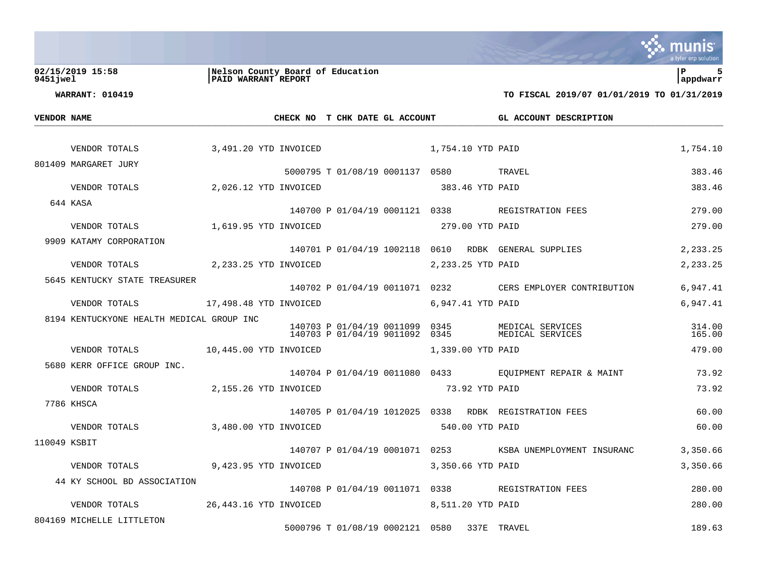|             |                                           |                                                                |                                                                  |                   |                                                           | a tyler erp solution |
|-------------|-------------------------------------------|----------------------------------------------------------------|------------------------------------------------------------------|-------------------|-----------------------------------------------------------|----------------------|
| 9451 jwel   | 02/15/2019 15:58                          | Nelson County Board of Education<br><b>PAID WARRANT REPORT</b> |                                                                  |                   |                                                           | lР<br>5<br>appdwarr  |
|             | <b>WARRANT: 010419</b>                    |                                                                |                                                                  |                   | TO FISCAL 2019/07 01/01/2019 TO 01/31/2019                |                      |
| VENDOR NAME |                                           |                                                                | CHECK NO T CHK DATE GL ACCOUNT                                   |                   | GL ACCOUNT DESCRIPTION                                    |                      |
|             |                                           |                                                                |                                                                  |                   |                                                           |                      |
|             | VENDOR TOTALS                             | 3,491.20 YTD INVOICED                                          | 1,754.10 YTD PAID                                                |                   |                                                           | 1,754.10             |
|             | 801409 MARGARET JURY                      |                                                                | 5000795 T 01/08/19 0001137 0580 TRAVEL                           |                   |                                                           | 383.46               |
|             | VENDOR TOTALS                             | 2,026.12 YTD INVOICED                                          |                                                                  | 383.46 YTD PAID   |                                                           | 383.46               |
|             | 644 KASA                                  |                                                                | 140700 P 01/04/19 0001121 0338 REGISTRATION FEES                 |                   |                                                           | 279.00               |
|             | VENDOR TOTALS                             | 1,619.95 YTD INVOICED                                          |                                                                  | 279.00 YTD PAID   |                                                           | 279.00               |
|             | 9909 KATAMY CORPORATION                   |                                                                |                                                                  |                   |                                                           |                      |
|             |                                           |                                                                | 140701 P 01/04/19 1002118 0610 RDBK GENERAL SUPPLIES             |                   |                                                           | 2,233.25             |
|             | VENDOR TOTALS                             | 2,233.25 YTD INVOICED                                          |                                                                  | 2,233.25 YTD PAID |                                                           | 2,233.25             |
|             | 5645 KENTUCKY STATE TREASURER             |                                                                |                                                                  |                   | 140702 P 01/04/19 0011071 0232 CERS EMPLOYER CONTRIBUTION | 6,947.41             |
|             | VENDOR TOTALS                             | 17,498.48 YTD INVOICED                                         |                                                                  | 6,947.41 YTD PAID |                                                           | 6,947.41             |
|             | 8194 KENTUCKYONE HEALTH MEDICAL GROUP INC |                                                                | 140703 P 01/04/19 0011099 0345<br>140703 P 01/04/19 9011092 0345 |                   | MEDICAL SERVICES<br>MEDICAL SERVICES                      | 314.00<br>165.00     |
|             | VENDOR TOTALS 10,445.00 YTD INVOICED      |                                                                |                                                                  | 1,339.00 YTD PAID |                                                           | 479.00               |
|             | 5680 KERR OFFICE GROUP INC.               |                                                                |                                                                  |                   |                                                           |                      |
|             |                                           |                                                                |                                                                  |                   | 140704 P 01/04/19 0011080 0433 EQUIPMENT REPAIR & MAINT   | 73.92                |
|             | VENDOR TOTALS                             | 2,155.26 YTD INVOICED                                          |                                                                  | 73.92 YTD PAID    |                                                           | 73.92                |
|             | 7786 KHSCA                                |                                                                | 140705 P 01/04/19 1012025 0338 RDBK REGISTRATION FEES            |                   |                                                           | 60.00                |
|             | VENDOR TOTALS                             | 3,480.00 YTD INVOICED                                          |                                                                  | 540.00 YTD PAID   |                                                           | 60.00                |
|             | 110049 KSBIT                              |                                                                | 140707 P 01/04/19 0001071 0253                                   |                   | KSBA UNEMPLOYMENT INSURANC                                | 3,350.66             |
|             | VENDOR TOTALS                             | 9,423.95 YTD INVOICED                                          |                                                                  | 3,350.66 YTD PAID |                                                           | 3,350.66             |
|             | 44 KY SCHOOL BD ASSOCIATION               |                                                                |                                                                  |                   |                                                           |                      |
|             |                                           |                                                                | 140708 P 01/04/19 0011071 0338 REGISTRATION FEES                 |                   |                                                           | 280.00               |
|             | VENDOR TOTALS                             | 26,443.16 YTD INVOICED                                         |                                                                  | 8,511.20 YTD PAID |                                                           | 280.00               |
|             | 804169 MICHELLE LITTLETON                 |                                                                | 5000796 T 01/08/19 0002121 0580 337E TRAVEL                      |                   |                                                           | 189.63               |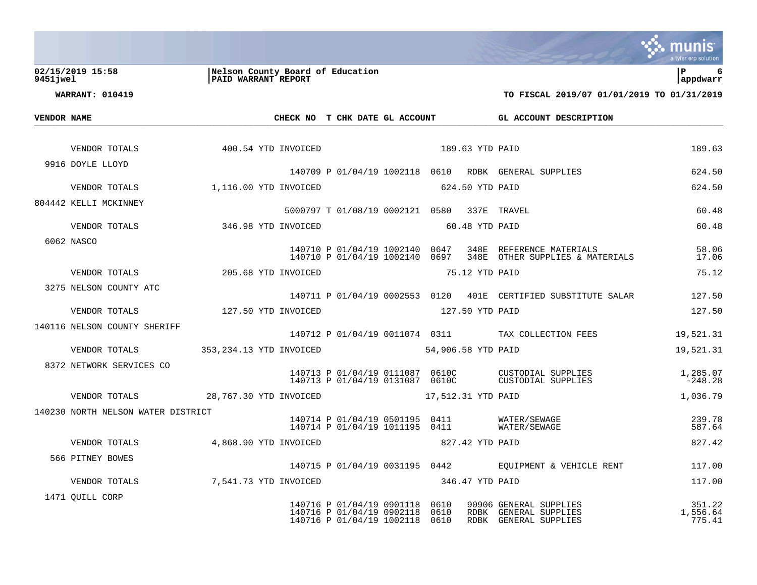|                                    |                                                         |                                                                    |                                                                  |                                                                | a tyler erp solution  |
|------------------------------------|---------------------------------------------------------|--------------------------------------------------------------------|------------------------------------------------------------------|----------------------------------------------------------------|-----------------------|
| 02/15/2019 15:58<br>9451 jwel      | Nelson County Board of Education<br>PAID WARRANT REPORT |                                                                    |                                                                  |                                                                | l P<br>6<br>appdwarr  |
| <b>WARRANT: 010419</b>             |                                                         |                                                                    |                                                                  | TO FISCAL 2019/07 01/01/2019 TO 01/31/2019                     |                       |
| VENDOR NAME                        |                                                         | CHECK NO T CHK DATE GL ACCOUNT                                     |                                                                  | GL ACCOUNT DESCRIPTION                                         |                       |
|                                    |                                                         |                                                                    |                                                                  |                                                                |                       |
| VENDOR TOTALS                      | 400.54 YTD INVOICED                                     |                                                                    | 189.63 YTD PAID                                                  |                                                                | 189.63                |
| 9916 DOYLE LLOYD                   |                                                         |                                                                    |                                                                  | 140709 P 01/04/19 1002118 0610 RDBK GENERAL SUPPLIES           | 624.50                |
| VENDOR TOTALS                      | 1,116.00 YTD INVOICED                                   |                                                                    | 624.50 YTD PAID                                                  |                                                                | 624.50                |
| 804442 KELLI MCKINNEY              |                                                         |                                                                    | 5000797 T 01/08/19 0002121 0580 337E TRAVEL                      |                                                                | 60.48                 |
| VENDOR TOTALS                      | 346.98 YTD INVOICED                                     |                                                                    | 60.48 YTD PAID                                                   |                                                                | 60.48                 |
| 6062 NASCO                         |                                                         | 140710 P 01/04/19 1002140 0647                                     |                                                                  | 348E REFERENCE MATERIALS                                       | 58.06                 |
|                                    |                                                         | 140710 P 01/04/19 1002140 0697                                     |                                                                  | 348E OTHER SUPPLIES & MATERIALS                                | 17.06                 |
| VENDOR TOTALS                      | 205.68 YTD INVOICED                                     |                                                                    | 75.12 YTD PAID                                                   |                                                                | 75.12                 |
| 3275 NELSON COUNTY ATC             |                                                         |                                                                    |                                                                  | 140711 P 01/04/19 0002553 0120 401E CERTIFIED SUBSTITUTE SALAR | 127.50                |
| VENDOR TOTALS                      | 127.50 YTD INVOICED                                     |                                                                    | 127.50 YTD PAID                                                  |                                                                | 127.50                |
| 140116 NELSON COUNTY SHERIFF       |                                                         |                                                                    |                                                                  | 140712 P 01/04/19 0011074 0311 TAX COLLECTION FEES             | 19,521.31             |
| VENDOR TOTALS                      | 353,234.13 YTD INVOICED                                 |                                                                    | 54,906.58 YTD PAID                                               |                                                                | 19,521.31             |
| 8372 NETWORK SERVICES CO           |                                                         |                                                                    |                                                                  |                                                                |                       |
|                                    |                                                         | 140713 P 01/04/19 0111087 0610C<br>140713 P 01/04/19 0131087 0610C |                                                                  | CUSTODIAL SUPPLIES<br>CUSTODIAL SUPPLIES                       | 1,285.07<br>$-248.28$ |
| VENDOR TOTALS                      | 28,767.30 YTD INVOICED                                  |                                                                    | 17,512.31 YTD PAID                                               |                                                                | 1,036.79              |
| 140230 NORTH NELSON WATER DISTRICT |                                                         |                                                                    |                                                                  | WATER/SEWAGE                                                   | 239.78                |
|                                    |                                                         |                                                                    | 140714 P 01/04/19 0501195 0411<br>140714 P 01/04/19 1011195 0411 | WATER/SEWAGE                                                   | 587.64                |
| VENDOR TOTALS                      | 4,868.90 YTD INVOICED                                   |                                                                    | 827.42 YTD PAID                                                  |                                                                | 827.42                |
| 566 PITNEY BOWES                   |                                                         |                                                                    |                                                                  | 140715 P 01/04/19 0031195 0442 EQUIPMENT & VEHICLE RENT        | 117.00                |
| VENDOR TOTALS                      | 7,541.73 YTD INVOICED                                   |                                                                    | 346.47 YTD PAID                                                  |                                                                | 117.00                |
| 1471 QUILL CORP                    |                                                         | 140716 P 01/04/19 0901118                                          | 0610                                                             | 90906 GENERAL SUPPLIES                                         | 351.22                |
|                                    |                                                         | 140716 P 01/04/19 0902118<br>140716 P 01/04/19 1002118             | 0610<br>0610                                                     | RDBK GENERAL SUPPLIES<br>RDBK GENERAL SUPPLIES                 | 1,556.64<br>775.41    |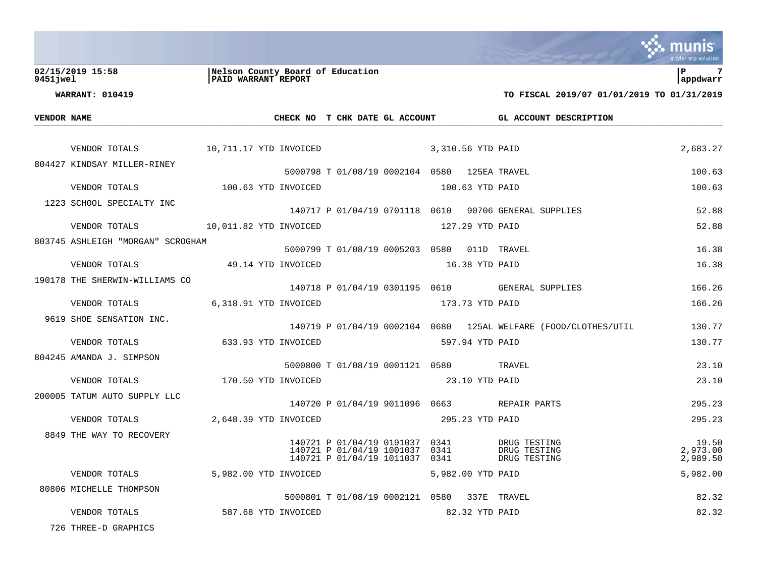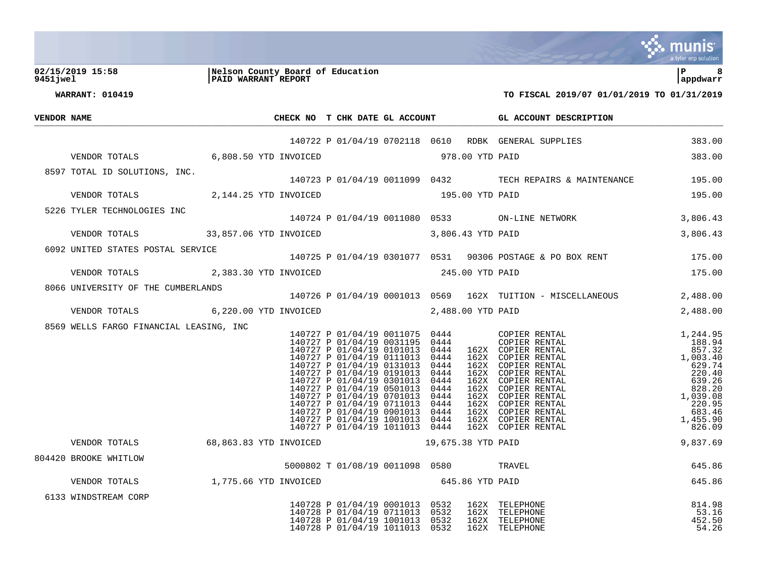|             |                                                        |                                                         |                                                                                                                                                                                                                                                     |                                      |                 |                                                                                                                                                                                                                                                                                        | mu<br>a tyler erp solution                                                                                                                                       |
|-------------|--------------------------------------------------------|---------------------------------------------------------|-----------------------------------------------------------------------------------------------------------------------------------------------------------------------------------------------------------------------------------------------------|--------------------------------------|-----------------|----------------------------------------------------------------------------------------------------------------------------------------------------------------------------------------------------------------------------------------------------------------------------------------|------------------------------------------------------------------------------------------------------------------------------------------------------------------|
| 9451 jwel   | 02/15/2019 15:58                                       | Nelson County Board of Education<br>PAID WARRANT REPORT |                                                                                                                                                                                                                                                     |                                      |                 |                                                                                                                                                                                                                                                                                        | l P<br>8<br>appdwarr                                                                                                                                             |
|             | <b>WARRANT: 010419</b>                                 |                                                         |                                                                                                                                                                                                                                                     |                                      |                 | TO FISCAL 2019/07 01/01/2019 TO 01/31/2019                                                                                                                                                                                                                                             |                                                                                                                                                                  |
| VENDOR NAME |                                                        |                                                         |                                                                                                                                                                                                                                                     |                                      |                 | CHECK NO T CHK DATE GL ACCOUNT GL ACCOUNT DESCRIPTION                                                                                                                                                                                                                                  |                                                                                                                                                                  |
|             |                                                        |                                                         |                                                                                                                                                                                                                                                     |                                      |                 | 140722 P 01/04/19 0702118 0610 RDBK GENERAL SUPPLIES 383.00                                                                                                                                                                                                                            |                                                                                                                                                                  |
|             | VENDOR TOTALS 6,808.50 YTD INVOICED                    |                                                         | 978.00 YTD PAID                                                                                                                                                                                                                                     |                                      |                 |                                                                                                                                                                                                                                                                                        | 383.00                                                                                                                                                           |
|             |                                                        |                                                         |                                                                                                                                                                                                                                                     |                                      |                 |                                                                                                                                                                                                                                                                                        |                                                                                                                                                                  |
|             |                                                        |                                                         |                                                                                                                                                                                                                                                     |                                      |                 | 8597 TOTAL ID SOLUTIONS, INC.<br>195.00 195.00 195.00 195.00 140723 P 01/04/19 0011099 0432                                                                                                                                                                                            |                                                                                                                                                                  |
|             | VENDOR TOTALS 2,144.25 YTD INVOICED 195.00 YTD PAID    |                                                         |                                                                                                                                                                                                                                                     |                                      |                 |                                                                                                                                                                                                                                                                                        | 195.00                                                                                                                                                           |
|             | 5226 TYLER TECHNOLOGIES INC                            |                                                         |                                                                                                                                                                                                                                                     |                                      |                 | 140724 P 01/04/19 0011080 0533 ON-LINE NETWORK                                                                                                                                                                                                                                         | 3,806.43                                                                                                                                                         |
|             | VENDOR TOTALS 33,857.06 YTD INVOICED 3,806.43 YTD PAID |                                                         |                                                                                                                                                                                                                                                     |                                      |                 |                                                                                                                                                                                                                                                                                        | 3,806.43                                                                                                                                                         |
|             | 6092 UNITED STATES POSTAL SERVICE                      |                                                         |                                                                                                                                                                                                                                                     |                                      |                 | 140725 P 01/04/19 0301077 0531 90306 POSTAGE & PO BOX RENT 175.00                                                                                                                                                                                                                      |                                                                                                                                                                  |
|             | VENDOR TOTALS 2,383.30 YTD INVOICED 245.00 YTD PAID    |                                                         |                                                                                                                                                                                                                                                     |                                      |                 |                                                                                                                                                                                                                                                                                        | 175.00                                                                                                                                                           |
|             | 8066 UNIVERSITY OF THE CUMBERLANDS                     |                                                         |                                                                                                                                                                                                                                                     |                                      |                 | ;<br>140726 P 01/04/19 0001013 0569   162X  TUITION – MISCELLANEOUS                                                                                                                                                                                                                    |                                                                                                                                                                  |
|             |                                                        |                                                         |                                                                                                                                                                                                                                                     |                                      |                 |                                                                                                                                                                                                                                                                                        | 2,488.00                                                                                                                                                         |
|             | VENDOR TOTALS 6,220.00 YTD INVOICED 2,488.00 YTD PAID  |                                                         |                                                                                                                                                                                                                                                     |                                      |                 |                                                                                                                                                                                                                                                                                        | 2,488.00                                                                                                                                                         |
|             | 8569 WELLS FARGO FINANCIAL LEASING, INC                |                                                         | 140727 P 01/04/19 0111013 0444<br>140727 P 01/04/19 0111013 0444<br>140727 P 01/04/19 0191013<br>140727 P 01/04/19 0301013<br>140727 P 01/04/19 0501013<br>140727 P 01/04/19 0701013<br>140727 P 01/04/19 0711013<br>140727 P 01/04/19 0901013 0444 | 0444<br>0444<br>0444<br>0444<br>0444 |                 | 162X COPIER RENTAL<br>162X COPIER RENTAL<br>162X COPIER RENTAL<br>162X COPIER RENTAL<br>162X COPIER RENTAL<br>162X COPIER RENTAL<br>162X COPIER RENTAL<br>162X COPIER RENTAL<br>140727 P 01/04/19 1001013 0444 162X COPIER RENTAL<br>140727 P 01/04/19 1011013 0444 162X COPIER RENTAL | $1,244.95$<br>$188.94$<br>$857.32$<br>$1,003.40$<br>$629.74$<br>$220.40$<br>$639.26$<br>$828.20$<br>$1,039.08$<br>$220.95$<br>$683.46$<br>$1,455.90$<br>$826.09$ |
|             | VENDOR TOTALS 68,863.83 YTD INVOICED                   |                                                         | 19,675.38 YTD PAID                                                                                                                                                                                                                                  |                                      |                 |                                                                                                                                                                                                                                                                                        | 9,837.69                                                                                                                                                         |
|             | 804420 BROOKE WHITLOW                                  |                                                         | 5000802 T 01/08/19 0011098 0580                                                                                                                                                                                                                     |                                      |                 | TRAVEL                                                                                                                                                                                                                                                                                 | 645.86                                                                                                                                                           |
|             | VENDOR TOTALS                                          | 1,775.66 YTD INVOICED                                   |                                                                                                                                                                                                                                                     |                                      | 645.86 YTD PAID |                                                                                                                                                                                                                                                                                        | 645.86                                                                                                                                                           |
|             | 6133 WINDSTREAM CORP                                   |                                                         | 140728 P 01/04/19 0001013<br>140728 P 01/04/19 0711013<br>140728 P 01/04/19 1001013<br>140728 P 01/04/19 1011013                                                                                                                                    | 0532<br>0532<br>0532<br>0532         |                 | 162X TELEPHONE<br>162X TELEPHONE<br>162X TELEPHONE<br>162X TELEPHONE                                                                                                                                                                                                                   | 814.98<br>53.16<br>452.50<br>54.26                                                                                                                               |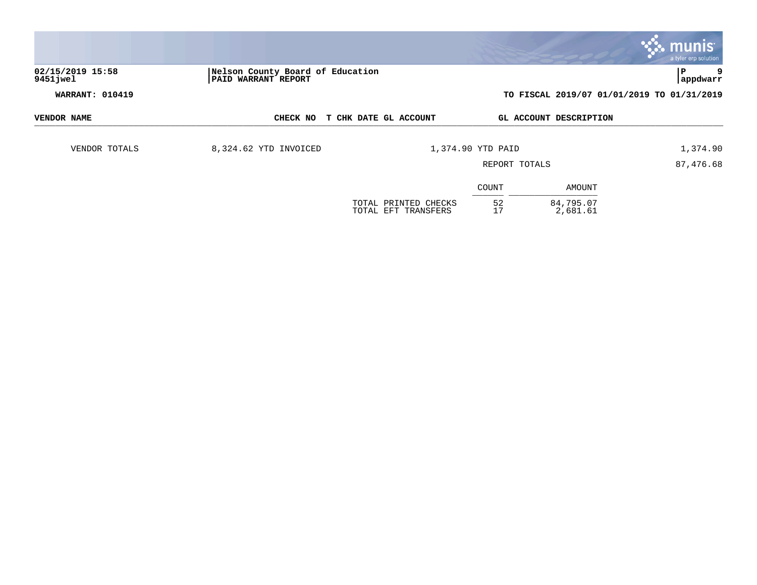| 02/15/2019 15:58       | Nelson County Board of Education |                                             |                   |                                            | a tyler erp solution<br>P<br>9 |
|------------------------|----------------------------------|---------------------------------------------|-------------------|--------------------------------------------|--------------------------------|
| 9451 jwel              | <b>PAID WARRANT REPORT</b>       |                                             |                   |                                            | appdwarr                       |
| <b>WARRANT: 010419</b> |                                  |                                             |                   | TO FISCAL 2019/07 01/01/2019 TO 01/31/2019 |                                |
| VENDOR NAME            | CHECK NO                         | T CHK DATE GL ACCOUNT                       |                   | GL ACCOUNT DESCRIPTION                     |                                |
| VENDOR TOTALS          | 8,324.62 YTD INVOICED            |                                             | 1,374.90 YTD PAID |                                            | 1,374.90                       |
|                        |                                  |                                             | REPORT TOTALS     |                                            | 87,476.68                      |
|                        |                                  |                                             | COUNT             | AMOUNT                                     |                                |
|                        |                                  | TOTAL PRINTED CHECKS<br>TOTAL EFT TRANSFERS | 52<br>17          | 84,795.07<br>2,681.61                      |                                |

 $\bullet$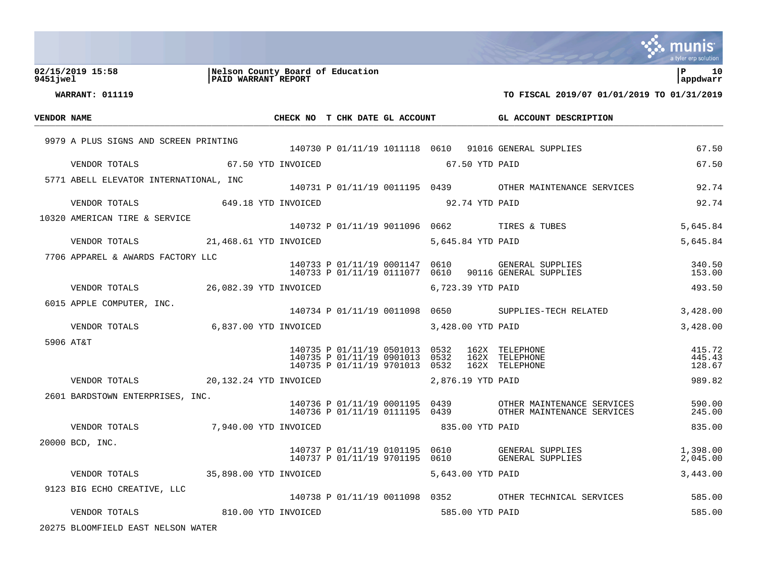|             |                                        |                                                         |                                                                                          |                 |              |                   |                                                                     | munis<br>a tyler erp solution  |
|-------------|----------------------------------------|---------------------------------------------------------|------------------------------------------------------------------------------------------|-----------------|--------------|-------------------|---------------------------------------------------------------------|--------------------------------|
| 9451 jwel   | 02/15/2019 15:58                       | Nelson County Board of Education<br>PAID WARRANT REPORT |                                                                                          |                 |              |                   |                                                                     | $\mathbf{P}$<br>10<br>appdwarr |
|             | <b>WARRANT: 011119</b>                 |                                                         |                                                                                          |                 |              |                   | TO FISCAL 2019/07 01/01/2019 TO 01/31/2019                          |                                |
| VENDOR NAME |                                        |                                                         | CHECK NO T CHK DATE GL ACCOUNT                                                           |                 |              |                   | GL ACCOUNT DESCRIPTION                                              |                                |
|             | 9979 A PLUS SIGNS AND SCREEN PRINTING  |                                                         |                                                                                          |                 |              |                   |                                                                     |                                |
|             |                                        |                                                         |                                                                                          |                 |              |                   | 140730 P 01/11/19 1011118 0610 91016 GENERAL SUPPLIES               | 67.50                          |
|             | VENDOR TOTALS                          | 67.50 YTD INVOICED                                      |                                                                                          |                 |              | 67.50 YTD PAID    |                                                                     | 67.50                          |
|             | 5771 ABELL ELEVATOR INTERNATIONAL, INC |                                                         |                                                                                          |                 |              |                   | 140731 P 01/11/19 0011195 0439 OTHER MAINTENANCE SERVICES           | 92.74                          |
|             | VENDOR TOTALS                          | 649.18 YTD INVOICED                                     | 92.74 YTD PAID                                                                           |                 |              |                   |                                                                     | 92.74                          |
|             | 10320 AMERICAN TIRE & SERVICE          |                                                         |                                                                                          |                 |              |                   |                                                                     |                                |
|             |                                        |                                                         |                                                                                          |                 |              |                   | 140732 P 01/11/19 9011096 0662 TIRES & TUBES                        | 5,645.84                       |
|             | VENDOR TOTALS                          | 21,468.61 YTD INVOICED                                  |                                                                                          |                 |              | 5,645.84 YTD PAID |                                                                     | 5,645.84                       |
|             | 7706 APPAREL & AWARDS FACTORY LLC      |                                                         | 140733 P 01/11/19 0001147 0610<br>140733 P 01/11/19 0111077                              |                 | 0610         |                   | GENERAL SUPPLIES<br>90116 GENERAL SUPPLIES                          | 340.50<br>153.00               |
|             | VENDOR TOTALS                          | 26,082.39 YTD INVOICED                                  |                                                                                          |                 |              | 6,723.39 YTD PAID |                                                                     | 493.50                         |
|             | 6015 APPLE COMPUTER, INC.              |                                                         |                                                                                          |                 |              |                   |                                                                     |                                |
|             |                                        |                                                         |                                                                                          |                 |              |                   | 140734 P 01/11/19 0011098 0650 SUPPLIES-TECH RELATED                | 3,428.00                       |
|             | VENDOR TOTALS                          | 6,837.00 YTD INVOICED                                   |                                                                                          |                 |              | 3,428.00 YTD PAID |                                                                     | 3,428.00                       |
|             | 5906 AT&T                              |                                                         | 140735 P 01/11/19 0501013 0532<br>140735 P 01/11/19 0901013<br>140735 P 01/11/19 9701013 |                 | 0532<br>0532 |                   | 162X TELEPHONE<br>162X TELEPHONE<br>162X TELEPHONE                  | 415.72<br>445.43<br>128.67     |
|             | VENDOR TOTALS                          | 20,132.24 YTD INVOICED                                  |                                                                                          |                 |              | 2,876.19 YTD PAID |                                                                     | 989.82                         |
|             | 2601 BARDSTOWN ENTERPRISES, INC.       |                                                         |                                                                                          |                 |              |                   |                                                                     |                                |
|             |                                        |                                                         | 140736 P 01/11/19 0001195 0439<br>140736 P 01/11/19 0111195 0439                         |                 |              |                   | OTHER MAINTENANCE SERVICES<br>OTHER MAINTENANCE SERVICES            | 590.00<br>245.00               |
|             | VENDOR TOTALS                          | 7,940.00 YTD INVOICED                                   |                                                                                          | 835.00 YTD PAID |              |                   |                                                                     | 835.00                         |
|             | 20000 BCD, INC.                        |                                                         |                                                                                          |                 |              |                   |                                                                     |                                |
|             |                                        |                                                         | 140737 P 01/11/19 0101195 0610                                                           |                 |              |                   | GENERAL SUPPLIES<br>140737 P 01/11/19 9701195 0610 GENERAL SUPPLIES | 1,398.00<br>2,045.00           |
|             | VENDOR TOTALS 35,898.00 YTD INVOICED   |                                                         |                                                                                          |                 |              | 5,643.00 YTD PAID |                                                                     | 3,443.00                       |
|             | 9123 BIG ECHO CREATIVE, LLC            |                                                         |                                                                                          |                 |              |                   | 140738 P 01/11/19 0011098 0352 OTHER TECHNICAL SERVICES             | 585.00                         |
|             | VENDOR TOTALS 810.00 YTD INVOICED      |                                                         |                                                                                          |                 |              | 585.00 YTD PAID   |                                                                     | 585.00                         |
|             | 20275 BLOOMFIELD EAST NELSON WATER     |                                                         |                                                                                          |                 |              |                   |                                                                     |                                |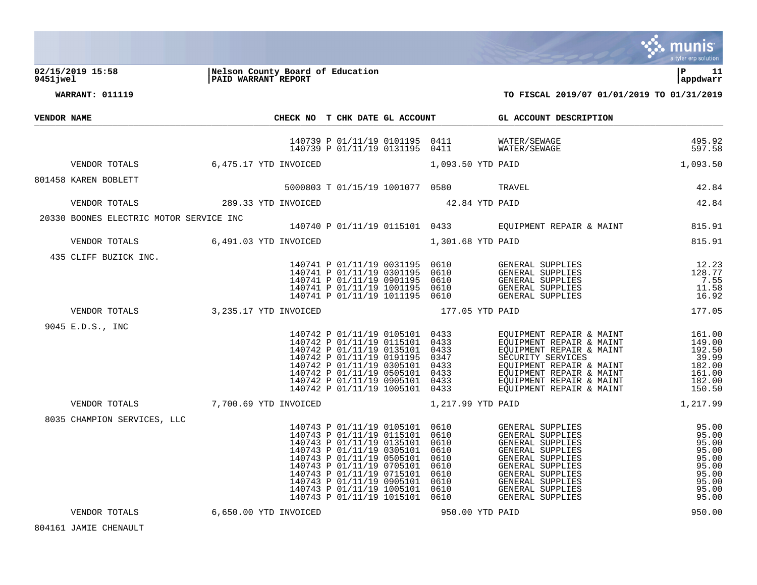

**02/15/2019 15:58 |Nelson County Board of Education |P 11 9451jwel |PAID WARRANT REPORT |appdwarr**

**WARRANT: 011119 TO FISCAL 2019/07 01/01/2019 TO 01/31/2019**

| <b>VENDOR NAME</b> |                                         |                       |                                                                                                                                                                        |                                                                                                                                                                                                                                                     | CHECK NO T CHK DATE GL ACCOUNT GL ACCOUNT DESCRIPTION                                                                                                                                                                                         |                                                                                        |
|--------------------|-----------------------------------------|-----------------------|------------------------------------------------------------------------------------------------------------------------------------------------------------------------|-----------------------------------------------------------------------------------------------------------------------------------------------------------------------------------------------------------------------------------------------------|-----------------------------------------------------------------------------------------------------------------------------------------------------------------------------------------------------------------------------------------------|----------------------------------------------------------------------------------------|
|                    |                                         |                       |                                                                                                                                                                        |                                                                                                                                                                                                                                                     | 140739 P 01/11/19 0101195 0411 WATER/SEWAGE<br>140739 P 01/11/19 0131195 0411 WATER/SEWAGE<br>495.92<br>597.58                                                                                                                                |                                                                                        |
|                    | VENDOR TOTALS                           | 6,475.17 YTD INVOICED |                                                                                                                                                                        | 1,093.50 YTD PAID                                                                                                                                                                                                                                   | 1,093.50                                                                                                                                                                                                                                      |                                                                                        |
|                    | 801458 KAREN BOBLETT                    |                       |                                                                                                                                                                        | 5000803 T 01/15/19 1001077 0580 TRAVEL                                                                                                                                                                                                              |                                                                                                                                                                                                                                               | 42.84                                                                                  |
|                    | VENDOR TOTALS                           | 289.33 YTD INVOICED   |                                                                                                                                                                        | 42.84 YTD PAID                                                                                                                                                                                                                                      |                                                                                                                                                                                                                                               | 42.84                                                                                  |
|                    |                                         |                       |                                                                                                                                                                        |                                                                                                                                                                                                                                                     |                                                                                                                                                                                                                                               |                                                                                        |
|                    | 20330 BOONES ELECTRIC MOTOR SERVICE INC |                       |                                                                                                                                                                        |                                                                                                                                                                                                                                                     | 140740 P 01/11/19 0115101 0433 EQUIPMENT REPAIR & MAINT 815.91                                                                                                                                                                                |                                                                                        |
|                    | VENDOR TOTALS 6,491.03 YTD INVOICED     |                       |                                                                                                                                                                        | 1,301.68 YTD PAID                                                                                                                                                                                                                                   |                                                                                                                                                                                                                                               | 815.91                                                                                 |
|                    | 435 CLIFF BUZICK INC.                   |                       |                                                                                                                                                                        |                                                                                                                                                                                                                                                     |                                                                                                                                                                                                                                               |                                                                                        |
|                    | VENDOR TOTALS 3,235.17 YTD INVOICED     |                       |                                                                                                                                                                        | 177.05 YTD PAID                                                                                                                                                                                                                                     |                                                                                                                                                                                                                                               | 177.05                                                                                 |
|                    | 9045 E.D.S., INC                        |                       | 140742 P 01/11/19 0105101 0433                                                                                                                                         | 140742 P 01/11/19 0105101 0433<br>140742 P 01/11/19 0115101 0433<br>140742 P 01/11/19 0135101 0433<br>140742 P 01/11/19 0191195 0347<br>140742 P 01/11/19 0305101 0433<br>140742 P 01/11/19 0505101 0433<br>140742 P 01/11/19 0905101 0433<br>14074 | EQUIPMENT REPAIR & MAINT 161.00<br>EQUIPMENT REPAIR & MAINT 149.00<br>EQUIPMENT REPAIR & MAINT 192.50<br>SECURITY SERVICES 39.99<br>EQUIPMENT REPAIR & MAINT 182.00<br>EQUIPMENT REPAIR & MAINT 161.00<br>EQUIPMENT REPAIR & MAINT 182.00<br> |                                                                                        |
|                    | VENDOR TOTALS 7,700.69 YTD INVOICED     |                       |                                                                                                                                                                        | 1,217.99 YTD PAID                                                                                                                                                                                                                                   |                                                                                                                                                                                                                                               | 1,217.99                                                                               |
|                    | 8035 CHAMPION SERVICES, LLC             |                       | 140743 P 01/11/19 0105101 0610<br>140743 P 01/11/19 0115101 0610<br>140743 P 01/11/19 0135101 0610<br>140743 P 01/11/19 0305101 0610<br>140743 P 01/11/19 0505101 0610 | 140743 P 01/11/19 0705101 0610<br>140743 P 01/11/19 0715101 0610<br>140743 P 01/11/19 0905101 0610<br>140743 P 01/11/19 1005101 0610<br>140743 P 01/11/19 1015101 0610                                                                              | GENERAL SUPPLIES<br>GENERAL SUPPLIES<br>GENERAL SUPPLIES<br>GENERAL SUPPLIES<br>GENERAL SUPPLIES<br>GENERAL SUPPLIES<br>GENERAL SUPPLIES<br>GENERAL SUPPLIES<br>GENERAL SUPPLIES<br>GENERAL SUPPLIES                                          | 95.00<br>95.00<br>95.00<br>95.00<br>95.00<br>95.00<br>95.00<br>95.00<br>95.00<br>95.00 |
|                    | VENDOR TOTALS                           | 6,650.00 YTD INVOICED |                                                                                                                                                                        | 950.00 YTD PAID                                                                                                                                                                                                                                     |                                                                                                                                                                                                                                               | 950.00                                                                                 |

JAMIE CHENAULT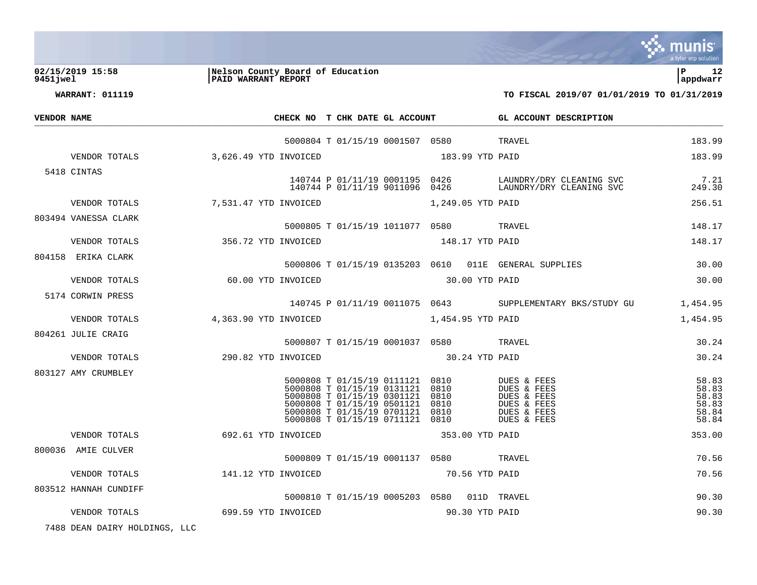

**02/15/2019 15:58 |Nelson County Board of Education |P 12 9451jwel |PAID WARRANT REPORT |appdwarr**

**WARRANT: 011119 TO FISCAL 2019/07 01/01/2019 TO 01/31/2019**

| VENDOR NAME |                       |                     | CHECK NO T CHK DATE GL ACCOUNT |                                                                                                                                                                                            |                |                              |                   | GL ACCOUNT DESCRIPTION                                                                 |                                                    |
|-------------|-----------------------|---------------------|--------------------------------|--------------------------------------------------------------------------------------------------------------------------------------------------------------------------------------------|----------------|------------------------------|-------------------|----------------------------------------------------------------------------------------|----------------------------------------------------|
|             |                       |                     |                                | 5000804 T 01/15/19 0001507 0580 TRAVEL                                                                                                                                                     |                |                              |                   |                                                                                        | 183.99                                             |
|             | VENDOR TOTALS         |                     | 3,626.49 YTD INVOICED          | 183.99 YTD PAID                                                                                                                                                                            |                |                              |                   |                                                                                        | 183.99                                             |
|             | 5418 CINTAS           |                     |                                |                                                                                                                                                                                            |                |                              |                   |                                                                                        | 7.21<br>249.30                                     |
|             | VENDOR TOTALS         |                     | 7,531.47 YTD INVOICED          |                                                                                                                                                                                            |                |                              | 1,249.05 YTD PAID |                                                                                        | 256.51                                             |
|             | 803494 VANESSA CLARK  |                     |                                | 5000805 T 01/15/19 1011077 0580 TRAVEL                                                                                                                                                     |                |                              |                   |                                                                                        | 148.17                                             |
|             | VENDOR TOTALS         | 356.72 YTD INVOICED |                                |                                                                                                                                                                                            |                |                              | 148.17 YTD PAID   |                                                                                        | 148.17                                             |
|             | 804158 ERIKA CLARK    |                     |                                |                                                                                                                                                                                            |                |                              |                   | 5000806 T 01/15/19 0135203 0610 011E GENERAL SUPPLIES                                  | 30.00                                              |
|             | VENDOR TOTALS         |                     | 60.00 YTD INVOICED             | 30.00 YTD PAID                                                                                                                                                                             |                |                              |                   |                                                                                        | 30.00                                              |
|             | 5174 CORWIN PRESS     |                     |                                |                                                                                                                                                                                            |                |                              |                   | 140745 P 01/11/19 0011075 0643 SUPPLEMENTARY BKS/STUDY GU                              | 1,454.95                                           |
|             | VENDOR TOTALS         |                     | 4,363.90 YTD INVOICED          | 1,454.95 YTD PAID                                                                                                                                                                          |                |                              |                   |                                                                                        | 1,454.95                                           |
|             | 804261 JULIE CRAIG    |                     |                                | 5000807 T 01/15/19 0001037 0580 TRAVEL                                                                                                                                                     |                |                              |                   |                                                                                        | 30.24                                              |
|             | VENDOR TOTALS         | 290.82 YTD INVOICED |                                |                                                                                                                                                                                            | 30.24 YTD PAID |                              |                   |                                                                                        | 30.24                                              |
|             | 803127 AMY CRUMBLEY   |                     |                                | 5000808 T 01/15/19 0111121 0810<br>5000808 T 01/15/19 0131121<br>5000808 T 01/15/19 0301121 0810<br>5000808 T 01/15/19 0501121<br>5000808 T 01/15/19 0701121<br>5000808 T 01/15/19 0711121 |                | 0810<br>0810<br>0810<br>0810 |                   | DUES & FEES<br>DUES & FEES<br>DUES & FEES<br>DUES & FEES<br>DUES & FEES<br>DUES & FEES | 58.83<br>58.83<br>58.83<br>58.83<br>58.84<br>58.84 |
|             | VENDOR TOTALS         |                     | 692.61 YTD INVOICED            |                                                                                                                                                                                            |                |                              | 353.00 YTD PAID   |                                                                                        | 353.00                                             |
|             | 800036 AMIE CULVER    |                     |                                | 5000809 T 01/15/19 0001137 0580 TRAVEL                                                                                                                                                     |                |                              |                   |                                                                                        | 70.56                                              |
|             | VENDOR TOTALS         | 141.12 YTD INVOICED |                                | 70.56 YTD PAID                                                                                                                                                                             |                |                              |                   |                                                                                        | 70.56                                              |
|             | 803512 HANNAH CUNDIFF |                     |                                | 5000810 T 01/15/19 0005203 0580 011D TRAVEL                                                                                                                                                |                |                              |                   |                                                                                        | 90.30                                              |
|             | VENDOR TOTALS         | 699.59 YTD INVOICED |                                |                                                                                                                                                                                            |                |                              | 90.30 YTD PAID    |                                                                                        | 90.30                                              |
|             |                       |                     |                                |                                                                                                                                                                                            |                |                              |                   |                                                                                        |                                                    |

7488 DEAN DAIRY HOLDINGS, LLC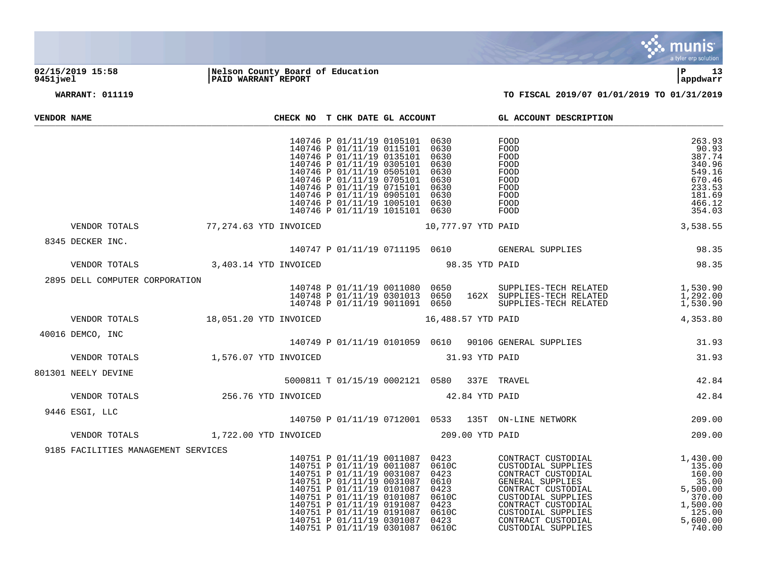

## **02/15/2019 15:58 |Nelson County Board of Education |P 13 9451jwel |PAID WARRANT REPORT |appdwarr**

| VENDOR NAME |                                                                                    |  |  | CHECK NO T CHK DATE GL ACCOUNT                                                                                                                                                                                                                                                                                                                                                                                                                                                                                                    |       | GL ACCOUNT DESCRIPTION                                                                                                                                                                               |                                                                                                 |
|-------------|------------------------------------------------------------------------------------|--|--|-----------------------------------------------------------------------------------------------------------------------------------------------------------------------------------------------------------------------------------------------------------------------------------------------------------------------------------------------------------------------------------------------------------------------------------------------------------------------------------------------------------------------------------|-------|------------------------------------------------------------------------------------------------------------------------------------------------------------------------------------------------------|-------------------------------------------------------------------------------------------------|
|             |                                                                                    |  |  | 140746 P 01/11/19 0105101 0630<br>140746 P 01/11/19 0115101 0630<br>140746 P 01/11/19 0135101 0630<br>140746 P 01/11/19 0305101 0630<br>140746 P 01/11/19 0505101 0630<br>140746 P 01/11/19 0705101 0630<br>140746 P 01/11/19 0715101 0630<br>140746 P 01/11/19 0905101 0630<br>140746 P 01/11/19 1005101 0630<br>140746 P 01/11/19 1015101 0630                                                                                                                                                                                  |       | FOOD<br>FOOD<br>FOOD<br>FOOD<br>FOOD<br>FOOD<br>FOOD<br>FOOD<br>FOOD<br>FOOD                                                                                                                         | 263.93<br>90.93<br>387.74<br>340.96<br>549.16<br>670.46<br>233.53<br>181.69<br>466.12<br>354.03 |
|             | VENDOR TOTALS <b>10.777.97 YTD PAID 77.274.63 YTD INVOICED 10.777.97 YTD PAID</b>  |  |  |                                                                                                                                                                                                                                                                                                                                                                                                                                                                                                                                   |       |                                                                                                                                                                                                      | 3,538.55                                                                                        |
|             | 8345 DECKER INC.<br>DECKER INC.<br>$140747$<br>VENDOR TOTALS 3,403.14 YTD INVOICED |  |  | 98.35 YTD PAID                                                                                                                                                                                                                                                                                                                                                                                                                                                                                                                    |       | 140747 P 01/11/19 0711195 0610 GENERAL SUPPLIES                                                                                                                                                      | 98.35<br>98.35                                                                                  |
|             |                                                                                    |  |  |                                                                                                                                                                                                                                                                                                                                                                                                                                                                                                                                   |       |                                                                                                                                                                                                      |                                                                                                 |
|             | 2895 DELL COMPUTER CORPORATION                                                     |  |  |                                                                                                                                                                                                                                                                                                                                                                                                                                                                                                                                   |       | 140748 P 01/11/19 0011080 0650 SUPPLIES-TECH RELATED 1,530.90<br>140748 P 01/11/19 0301013 0650 162X SUPPLIES-TECH RELATED 1,292.00<br>140748 P 01/11/19 9011091 0650 SUPPLIES-TECH RELATED 1,530.90 |                                                                                                 |
|             | VENDOR TOTALS 18,051.20 YTD INVOICED 16,488.57 YTD PAID                            |  |  |                                                                                                                                                                                                                                                                                                                                                                                                                                                                                                                                   |       |                                                                                                                                                                                                      | 4,353.80                                                                                        |
|             | 40016 DEMCO, INC                                                                   |  |  |                                                                                                                                                                                                                                                                                                                                                                                                                                                                                                                                   |       | 140749 P 01/11/19 0101059 0610 90106 GENERAL SUPPLIES                                                                                                                                                | 31.93                                                                                           |
|             | VENDOR TOTALS 1,576.07 YTD INVOICED                                                |  |  | 31.93 YTD PAID                                                                                                                                                                                                                                                                                                                                                                                                                                                                                                                    |       |                                                                                                                                                                                                      | 31.93                                                                                           |
|             | 801301 NEELY DEVINE                                                                |  |  | 5000811 T 01/15/19 0002121 0580 337E TRAVEL                                                                                                                                                                                                                                                                                                                                                                                                                                                                                       |       |                                                                                                                                                                                                      | $42.84$<br>$42.84$                                                                              |
|             | VENDOR TOTALS 256.76 YTD INVOICED                                                  |  |  | 42.84 YTD PAID                                                                                                                                                                                                                                                                                                                                                                                                                                                                                                                    |       |                                                                                                                                                                                                      |                                                                                                 |
|             | 9446 ESGI, LLC                                                                     |  |  |                                                                                                                                                                                                                                                                                                                                                                                                                                                                                                                                   |       | 140750 P 01/11/19 0712001 0533 135T ON-LINE NETWORK                                                                                                                                                  | 209.00                                                                                          |
|             | VENDOR TOTALS 1,722.00 YTD INVOICED                                                |  |  | 209.00 YTD PAID                                                                                                                                                                                                                                                                                                                                                                                                                                                                                                                   |       |                                                                                                                                                                                                      | 209.00                                                                                          |
|             | 9185 FACILITIES MANAGEMENT SERVICES                                                |  |  | 140751 P 01/11/19 0011087 0423<br>140751 P 01/11/19 0011087 0610C<br>140751 P 01/11/19 0011087 0610C<br>140751 P 01/11/19 0031087 0423<br>$\begin{array}{cccc} 140/51 & P & 01/11/19 & 0031087 & 0423 \\ 140751 & P & 01/11/19 & 0031087 & 0610 \\ 140751 & P & 01/11/19 & 0101087 & 0423 \\ 140751 & P & 01/11/19 & 0101087 & 0610C \\ 140751 & P & 01/11/19 & 0191087 & 0610C \\ 140751 & P & 01/11/19 & 0191087 & 0610C \\$<br>140751 P 01/11/19 0191087 0610C<br>140751 P 01/11/19 0191087 0610C<br>140751 P 01/11/19 0301087 | 0610C |                                                                                                                                                                                                      |                                                                                                 |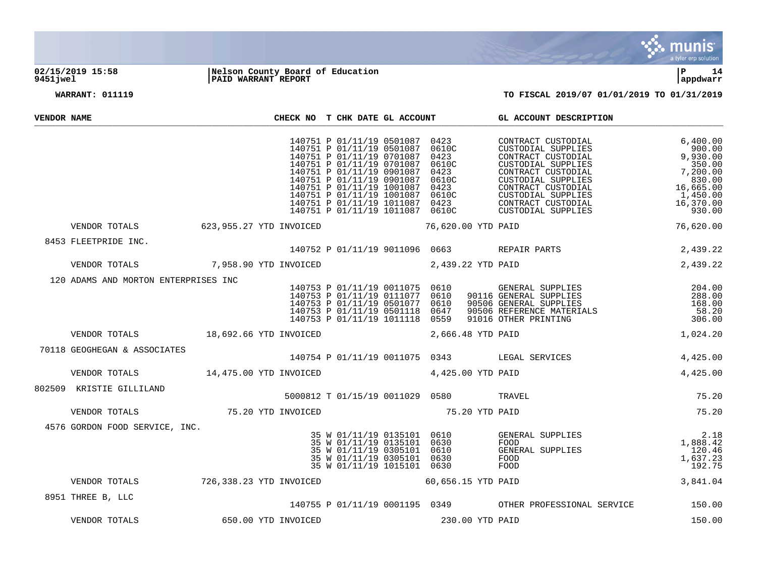

## **02/15/2019 15:58 |Nelson County Board of Education |P 14 9451jwel |PAID WARRANT REPORT |appdwarr**



| VENDOR NAME |                                                          |                         | CHECK NO T CHK DATE GL ACCOUNT                                                                                                                                                                        |                    |                 | GL ACCOUNT DESCRIPTION                                                                                                                                                                                                               |                                                                                                                |
|-------------|----------------------------------------------------------|-------------------------|-------------------------------------------------------------------------------------------------------------------------------------------------------------------------------------------------------|--------------------|-----------------|--------------------------------------------------------------------------------------------------------------------------------------------------------------------------------------------------------------------------------------|----------------------------------------------------------------------------------------------------------------|
|             |                                                          |                         | 140751 P 01/11/19 0501087 0423<br>140751 P 01/11/19 0501087 0610C<br>140751 P 01/11/19 0701087 0423<br>140751 P 01/11/19 0701087<br>140751 P 01/11/19 0901087 0423<br>140751 P 01/11/19 0901087 0610C | 0610C              |                 | XIRACT CUSTODIAL<br>STODIAL SUPPLIES<br>ONTRACT CUSTODIAL<br>USTODIAL SUPPLIES<br>CONTRACT CUSTODIAL<br>CUSTODIAL SUPPLIES<br>CONTRACT CUSTODIAL<br>CUSTODIAL SUPPLIES<br>CONTRACT CUSTODIAL<br>CONTRACT CUSTODIAL<br>TATAL SUPPLIES | 6,400.00<br>900.00<br>9,930.00<br>350.00<br>7,200.00<br>830.00<br>16,665.00<br>1,450.00<br>16,370.00<br>930.00 |
|             | VENDOR TOTALS 623,955.27 YTD INVOICED 76,620.00 YTD PAID |                         |                                                                                                                                                                                                       |                    |                 |                                                                                                                                                                                                                                      | 76,620.00                                                                                                      |
|             | 8453 FLEETPRIDE INC.                                     |                         |                                                                                                                                                                                                       |                    |                 | 140752 P 01/11/19 9011096 0663 REPAIR PARTS                                                                                                                                                                                          | 2,439.22                                                                                                       |
|             | VENDOR TOTALS                                            | 7,958.90 YTD INVOICED   | 2,439.22 YTD PAID                                                                                                                                                                                     |                    |                 |                                                                                                                                                                                                                                      | 2,439.22                                                                                                       |
|             | 120 ADAMS AND MORTON ENTERPRISES INC                     |                         | 140753 P 01/11/19 0011075 0610<br>140753 P 01/11/19 0111077 0610<br>140753 P 01/11/19 0501077 0610<br>140753 P 01/11/19 0501118 0647<br>140753 P 01/11/19 1011118 0559                                |                    |                 | GENERAL SUPPLIES 204.00<br>90116 GENERAL SUPPLIES 288.00<br>90506 GENERAL SUPPLIES 168.00<br>90506 REFERENCE MATERIALS 58.20<br>91016 OTHER PRINTING 306.00<br>48 YTD PAID 1,024.20                                                  | 288.00<br>168.00                                                                                               |
|             | VENDOR TOTALS 18,692.66 YTD INVOICED                     |                         |                                                                                                                                                                                                       | 2,666.48 YTD PAID  |                 |                                                                                                                                                                                                                                      |                                                                                                                |
|             | 70118 GEOGHEGAN & ASSOCIATES                             |                         |                                                                                                                                                                                                       |                    |                 | 140754 P 01/11/19 0011075 0343 LEGAL SERVICES                                                                                                                                                                                        | 4,425.00                                                                                                       |
|             | VENDOR TOTALS 14,475.00 YTD INVOICED                     |                         | 4,425.00 YTD PAID                                                                                                                                                                                     |                    |                 |                                                                                                                                                                                                                                      | 4,425.00                                                                                                       |
|             | 802509 KRISTIE GILLILAND                                 |                         | 5000812 T 01/15/19 0011029 0580 TRAVEL                                                                                                                                                                |                    |                 |                                                                                                                                                                                                                                      | 75.20                                                                                                          |
|             | VENDOR TOTALS 75.20 YTD INVOICED                         |                         | 75.20 YTD PAID                                                                                                                                                                                        |                    |                 |                                                                                                                                                                                                                                      | 75.20                                                                                                          |
|             | 4576 GORDON FOOD SERVICE, INC.                           |                         | 35 W 01/11/19 0305101 0610<br>35 W 01/11/19 0305101 0630<br>35 W 01/11/19 1015101 0630                                                                                                                |                    |                 | GENERAL SUPPLIES<br>FOOD<br>GENERAL SUPPLIES<br>FOOD<br>FOOD                                                                                                                                                                         | 2.18<br>1,888.42<br>120.46<br>1,637.23<br>192.75                                                               |
|             | VENDOR TOTALS                                            | 726,338.23 YTD INVOICED |                                                                                                                                                                                                       | 60,656.15 YTD PAID |                 |                                                                                                                                                                                                                                      | 3,841.04                                                                                                       |
|             | 8951 THREE B, LLC                                        |                         |                                                                                                                                                                                                       |                    |                 | 140755 P 01/11/19 0001195 0349 OTHER PROFESSIONAL SERVICE 150.00                                                                                                                                                                     |                                                                                                                |
|             | VENDOR TOTALS                                            | 650.00 YTD INVOICED     |                                                                                                                                                                                                       |                    | 230.00 YTD PAID |                                                                                                                                                                                                                                      | 150.00                                                                                                         |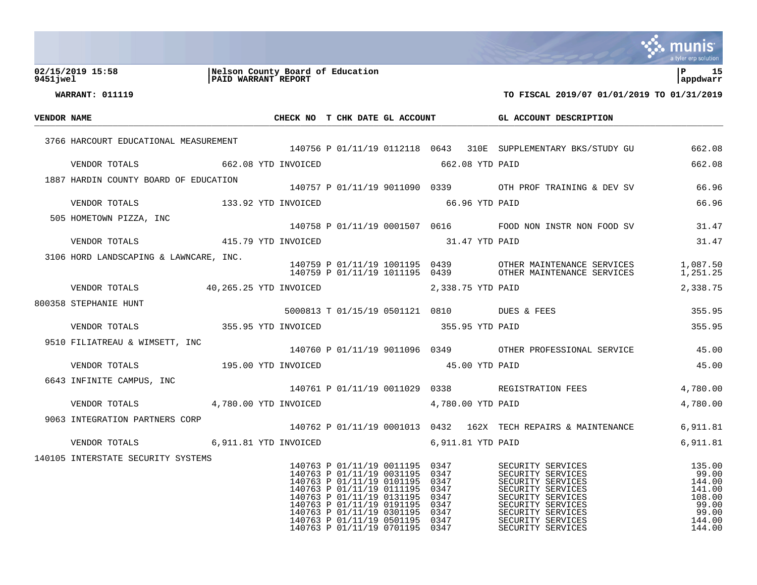|             |                                        |                                                         |                                                                                                                                                                                                                                                                   |                                                                      |                                                                                                                                                                                           | a tyler erp solution                                                                |
|-------------|----------------------------------------|---------------------------------------------------------|-------------------------------------------------------------------------------------------------------------------------------------------------------------------------------------------------------------------------------------------------------------------|----------------------------------------------------------------------|-------------------------------------------------------------------------------------------------------------------------------------------------------------------------------------------|-------------------------------------------------------------------------------------|
| 9451 iwel   | 02/15/2019 15:58                       | Nelson County Board of Education<br>PAID WARRANT REPORT |                                                                                                                                                                                                                                                                   |                                                                      |                                                                                                                                                                                           | l P<br>15<br>appdwarr                                                               |
|             | WARRANT: 011119                        |                                                         |                                                                                                                                                                                                                                                                   |                                                                      | TO FISCAL 2019/07 01/01/2019 TO 01/31/2019                                                                                                                                                |                                                                                     |
| VENDOR NAME |                                        |                                                         | CHECK NO T CHK DATE GL ACCOUNT                                                                                                                                                                                                                                    |                                                                      | GL ACCOUNT DESCRIPTION                                                                                                                                                                    |                                                                                     |
|             |                                        |                                                         |                                                                                                                                                                                                                                                                   |                                                                      |                                                                                                                                                                                           |                                                                                     |
|             | 3766 HARCOURT EDUCATIONAL MEASUREMENT  |                                                         |                                                                                                                                                                                                                                                                   |                                                                      | 140756 P 01/11/19 0112118 0643 310E SUPPLEMENTARY BKS/STUDY GU                                                                                                                            | 662.08                                                                              |
|             | VENDOR TOTALS                          | 662.08 YTD INVOICED                                     |                                                                                                                                                                                                                                                                   | 662.08 YTD PAID                                                      |                                                                                                                                                                                           | 662.08                                                                              |
|             | 1887 HARDIN COUNTY BOARD OF EDUCATION  |                                                         |                                                                                                                                                                                                                                                                   |                                                                      | 140757 P 01/11/19 9011090 0339 OTH PROF TRAINING & DEV SV                                                                                                                                 | 66.96                                                                               |
|             | VENDOR TOTALS 133.92 YTD INVOICED      |                                                         |                                                                                                                                                                                                                                                                   | 66.96 YTD PAID                                                       |                                                                                                                                                                                           | 66.96                                                                               |
|             | 505 HOMETOWN PIZZA, INC                |                                                         |                                                                                                                                                                                                                                                                   |                                                                      |                                                                                                                                                                                           |                                                                                     |
|             |                                        |                                                         |                                                                                                                                                                                                                                                                   |                                                                      | 140758 P 01/11/19 0001507 0616 FOOD NON INSTR NON FOOD SV                                                                                                                                 | 31.47                                                                               |
|             | VENDOR TOTALS                          | 415.79 YTD INVOICED                                     |                                                                                                                                                                                                                                                                   | 31.47 YTD PAID                                                       |                                                                                                                                                                                           | 31.47                                                                               |
|             | 3106 HORD LANDSCAPING & LAWNCARE, INC. |                                                         | 140759 P 01/11/19 1011195 0439                                                                                                                                                                                                                                    |                                                                      | 140759 P 01/11/19 1001195 0439 OTHER MAINTENANCE SERVICES<br>OTHER MAINTENANCE SERVICES                                                                                                   | 1,087.50<br>1,251.25                                                                |
|             | VENDOR TOTALS                          | 40,265.25 YTD INVOICED                                  |                                                                                                                                                                                                                                                                   | 2,338.75 YTD PAID                                                    |                                                                                                                                                                                           | 2,338.75                                                                            |
|             | 800358 STEPHANIE HUNT                  |                                                         |                                                                                                                                                                                                                                                                   |                                                                      |                                                                                                                                                                                           |                                                                                     |
|             |                                        | 355.95 YTD INVOICED                                     | 5000813 T 01/15/19 0501121 0810 DUES & FEES                                                                                                                                                                                                                       |                                                                      |                                                                                                                                                                                           | 355.95<br>355.95                                                                    |
|             | VENDOR TOTALS                          |                                                         |                                                                                                                                                                                                                                                                   | 355.95 YTD PAID                                                      |                                                                                                                                                                                           |                                                                                     |
|             | 9510 FILIATREAU & WIMSETT, INC         |                                                         |                                                                                                                                                                                                                                                                   |                                                                      | 140760 P 01/11/19 9011096 0349 OTHER PROFESSIONAL SERVICE                                                                                                                                 | 45.00                                                                               |
|             | VENDOR TOTALS                          | 195.00 YTD INVOICED                                     |                                                                                                                                                                                                                                                                   | 45.00 YTD PAID                                                       |                                                                                                                                                                                           | 45.00                                                                               |
|             | 6643 INFINITE CAMPUS, INC              |                                                         |                                                                                                                                                                                                                                                                   |                                                                      | 140761 P 01/11/19 0011029 0338 REGISTRATION FEES                                                                                                                                          | 4,780.00                                                                            |
|             | VENDOR TOTALS                          | 4,780.00 YTD INVOICED                                   |                                                                                                                                                                                                                                                                   | 4,780.00 YTD PAID                                                    |                                                                                                                                                                                           | 4,780.00                                                                            |
|             | 9063 INTEGRATION PARTNERS CORP         |                                                         |                                                                                                                                                                                                                                                                   |                                                                      | 140762 P 01/11/19 0001013 0432 162X TECH REPAIRS & MAINTENANCE                                                                                                                            | 6,911.81                                                                            |
|             | VENDOR TOTALS 6,911.81 YTD INVOICED    |                                                         |                                                                                                                                                                                                                                                                   | 6,911.81 YTD PAID                                                    |                                                                                                                                                                                           | 6,911.81                                                                            |
|             | 140105 INTERSTATE SECURITY SYSTEMS     |                                                         |                                                                                                                                                                                                                                                                   |                                                                      |                                                                                                                                                                                           |                                                                                     |
|             |                                        |                                                         | 140763 P 01/11/19 0011195<br>140763 P 01/11/19 0031195<br>140763 P 01/11/19 0101195<br>140763 P 01/11/19 0111195<br>140763 P 01/11/19 0131195<br>140763 P 01/11/19 0191195<br>140763 P 01/11/19 0301195<br>140763 P 01/11/19 0501195<br>140763 P 01/11/19 0701195 | 0347<br>0347<br>0347<br>0347<br>0347<br>0347<br>0347<br>0347<br>0347 | SECURITY SERVICES<br>SECURITY SERVICES<br>SECURITY SERVICES<br>SECURITY SERVICES<br>SECURITY SERVICES<br>SECURITY SERVICES<br>SECURITY SERVICES<br>SECURITY SERVICES<br>SECURITY SERVICES | 135.00<br>99.00<br>144.00<br>141.00<br>108.00<br>99.00<br>99.00<br>144.00<br>144.00 |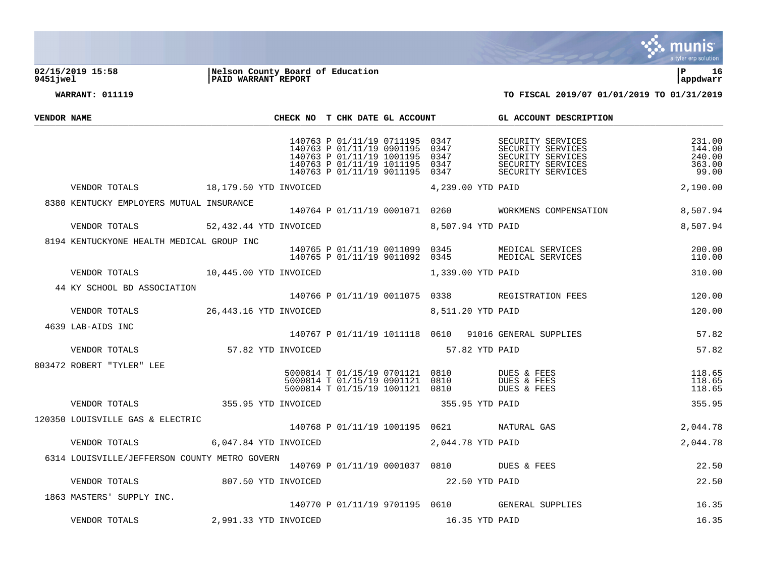

## **02/15/2019 15:58 |Nelson County Board of Education |P 16 9451jwel |PAID WARRANT REPORT |appdwarr**

| VENDOR NAME |                                                        |                                             | CHECK NO T CHK DATE GL ACCOUNT |                                                                                                                                               |                                      | GL ACCOUNT DESCRIPTION                                                                                                                                |                                               |
|-------------|--------------------------------------------------------|---------------------------------------------|--------------------------------|-----------------------------------------------------------------------------------------------------------------------------------------------|--------------------------------------|-------------------------------------------------------------------------------------------------------------------------------------------------------|-----------------------------------------------|
|             |                                                        |                                             |                                | 140763 P 01/11/19 0711195<br>140763 P 01/11/19 0901195<br>140763 P 01/11/19 1001195<br>140763 P 01/11/19 1011195<br>140763 P 01/11/19 9011195 | 0347<br>0347<br>0347<br>0347<br>0347 | SECURITY SERVICES<br>SECURITY SERVICES<br>SECURITY SERVICES<br>SECURITY SERVICES<br>SECURITY SERVICES                                                 | 231.00<br>144.00<br>240.00<br>363.00<br>99.00 |
|             | VENDOR TOTALS 18,179.50 YTD INVOICED                   |                                             |                                |                                                                                                                                               | 4,239.00 YTD PAID                    |                                                                                                                                                       | 2,190.00                                      |
|             | 8380 KENTUCKY EMPLOYERS MUTUAL INSURANCE               |                                             |                                |                                                                                                                                               |                                      | 140764 P 01/11/19 0001071 0260 WORKMENS COMPENSATION                                                                                                  | 8,507.94                                      |
|             | VENDOR TOTALS 52,432.44 YTD INVOICED 8,507.94 YTD PAID |                                             |                                |                                                                                                                                               |                                      |                                                                                                                                                       | 8,507.94                                      |
|             | 8194 KENTUCKYONE HEALTH MEDICAL GROUP INC              |                                             |                                |                                                                                                                                               |                                      | 140765 P 01/11/19 0011099 0345 MEDICAL SERVICES<br>140765 P 01/11/19 9011092 0345 MEDICAL SERVICES<br>140765 P 01/11/19 9011092 0345 MEDICAL SERVICES | 200.00<br>110.00                              |
|             | VENDOR TOTALS 10,445.00 YTD INVOICED                   |                                             |                                |                                                                                                                                               | 1,339.00 YTD PAID                    |                                                                                                                                                       | 310.00                                        |
|             | 44 KY SCHOOL BD ASSOCIATION                            |                                             |                                |                                                                                                                                               |                                      | 140766 P 01/11/19 0011075 0338 REGISTRATION FEES                                                                                                      | 120.00                                        |
|             | VENDOR TOTALS                                          | 26,443.16 YTD INVOICED                      |                                |                                                                                                                                               | 8,511.20 YTD PAID                    |                                                                                                                                                       | 120.00                                        |
|             | 4639 LAB-AIDS INC                                      |                                             |                                |                                                                                                                                               |                                      | 140767 P 01/11/19 1011118  0610  91016 GENERAL SUPPLIES                                                                                               | 57.82                                         |
|             | VENDOR TOTALS                                          | 57.82 YTD INVOICED                          |                                |                                                                                                                                               | 57.82 YTD PAID                       |                                                                                                                                                       | 57.82                                         |
|             | 803472 ROBERT "TYLER" LEE                              |                                             |                                | 5000814 T 01/15/19 0901121 0810<br>5000814 T 01/15/19 1001121 0810                                                                            | 5000814 T 01/15/19 0701121 0810      | DUES & FEES<br>DUES & FEES<br>DUES & FEES                                                                                                             | 118.65<br>118.65<br>118.65                    |
|             | VENDOR TOTALS                                          | 355.95 YTD INVOICED                         |                                |                                                                                                                                               | 355.95 YTD PAID                      |                                                                                                                                                       | 355.95                                        |
|             | 120350 LOUISVILLE GAS & ELECTRIC                       |                                             |                                |                                                                                                                                               |                                      | 140768 P 01/11/19 1001195 0621 NATURAL GAS                                                                                                            | 2,044.78                                      |
|             | VENDOR TOTALS                                          | $6,047.84$ YTD INVOICED $2,044.78$ YTD PAID |                                |                                                                                                                                               |                                      |                                                                                                                                                       | 2,044.78                                      |
|             | 6314 LOUISVILLE/JEFFERSON COUNTY METRO GOVERN          |                                             |                                |                                                                                                                                               |                                      | 140769 P 01/11/19 0001037 0810 DUES & FEES                                                                                                            | 22.50                                         |
|             | VENDOR TOTALS                                          | 807.50 YTD INVOICED                         |                                |                                                                                                                                               | 22.50 YTD PAID                       |                                                                                                                                                       | 22.50                                         |
|             | 1863 MASTERS' SUPPLY INC.                              |                                             |                                |                                                                                                                                               |                                      | 140770 P 01/11/19 9701195 0610 GENERAL SUPPLIES                                                                                                       | 16.35                                         |
|             | VENDOR TOTALS                                          | 2,991.33 YTD INVOICED                       |                                |                                                                                                                                               | 16.35 YTD PAID                       |                                                                                                                                                       | 16.35                                         |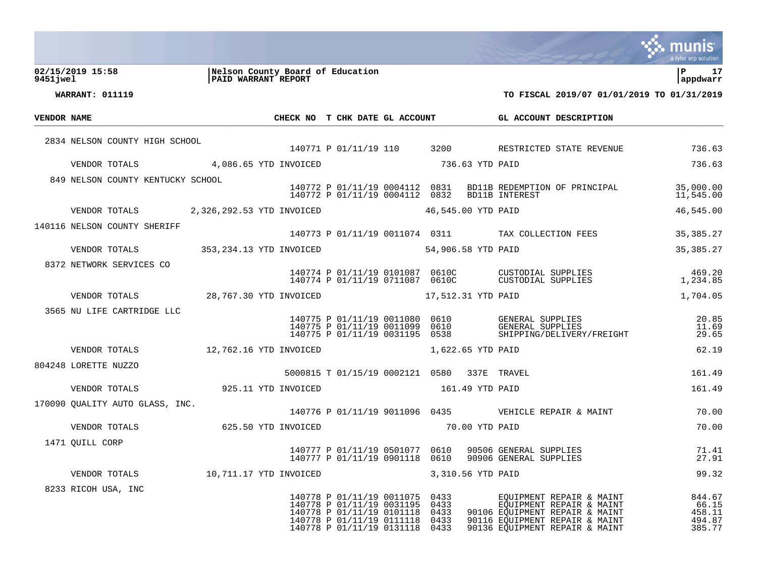|             |                        |                                   |                                                         |                     |                                                                                                                                               |                                      |                    |                                                                                                                                                            | a tyler erp solution                          |
|-------------|------------------------|-----------------------------------|---------------------------------------------------------|---------------------|-----------------------------------------------------------------------------------------------------------------------------------------------|--------------------------------------|--------------------|------------------------------------------------------------------------------------------------------------------------------------------------------------|-----------------------------------------------|
| 9451 jwel   | 02/15/2019 15:58       |                                   | Nelson County Board of Education<br>PAID WARRANT REPORT |                     |                                                                                                                                               |                                      |                    |                                                                                                                                                            | ∣P<br>17<br>appdwarr                          |
|             | <b>WARRANT: 011119</b> |                                   |                                                         |                     |                                                                                                                                               |                                      |                    | TO FISCAL 2019/07 01/01/2019 TO 01/31/2019                                                                                                                 |                                               |
| VENDOR NAME |                        |                                   |                                                         |                     | CHECK NO T CHK DATE GL ACCOUNT                                                                                                                |                                      |                    | GL ACCOUNT DESCRIPTION                                                                                                                                     |                                               |
|             |                        | 2834 NELSON COUNTY HIGH SCHOOL    |                                                         |                     |                                                                                                                                               |                                      |                    |                                                                                                                                                            |                                               |
|             |                        |                                   |                                                         |                     | 140771 P 01/11/19 110                                                                                                                         | 3200                                 |                    | RESTRICTED STATE REVENUE                                                                                                                                   | 736.63                                        |
|             |                        | VENDOR TOTALS                     | 4,086.65 YTD INVOICED                                   |                     |                                                                                                                                               |                                      | 736.63 YTD PAID    |                                                                                                                                                            | 736.63                                        |
|             |                        | 849 NELSON COUNTY KENTUCKY SCHOOL |                                                         |                     | 140772 P 01/11/19 0004112 0831<br>140772 P 01/11/19 0004112                                                                                   | 0832                                 |                    | BD11B REDEMPTION OF PRINCIPAL<br><b>BD11B INTEREST</b>                                                                                                     | 35,000.00<br>11,545.00                        |
|             |                        | VENDOR TOTALS                     | 2,326,292.53 YTD INVOICED                               |                     |                                                                                                                                               |                                      | 46,545.00 YTD PAID |                                                                                                                                                            | 46,545.00                                     |
|             |                        | 140116 NELSON COUNTY SHERIFF      |                                                         |                     | 140773 P 01/11/19 0011074 0311                                                                                                                |                                      |                    | TAX COLLECTION FEES                                                                                                                                        | 35, 385. 27                                   |
|             |                        | VENDOR TOTALS                     | 353, 234.13 YTD INVOICED                                |                     |                                                                                                                                               |                                      | 54,906.58 YTD PAID |                                                                                                                                                            | 35, 385. 27                                   |
|             |                        | 8372 NETWORK SERVICES CO          |                                                         |                     |                                                                                                                                               |                                      |                    |                                                                                                                                                            |                                               |
|             |                        |                                   |                                                         |                     | 140774 P 01/11/19 0101087 0610C<br>140774 P 01/11/19 0711087 0610C                                                                            |                                      |                    | CUSTODIAL SUPPLIES<br>CUSTODIAL SUPPLIES                                                                                                                   | 469.20<br>1,234.85                            |
|             |                        | VENDOR TOTALS                     | 28,767.30 YTD INVOICED                                  |                     |                                                                                                                                               |                                      | 17,512.31 YTD PAID |                                                                                                                                                            | 1,704.05                                      |
|             |                        | 3565 NU LIFE CARTRIDGE LLC        |                                                         |                     | 140775 P 01/11/19 0011080<br>140775 P 01/11/19 0011099<br>140775 P 01/11/19 0031195                                                           | 0610<br>0610<br>0538                 |                    | GENERAL SUPPLIES<br>GENERAL SUPPLIES<br>SHIPPING/DELIVERY/FREIGHT                                                                                          | 20.85<br>11.69<br>29.65                       |
|             |                        | VENDOR TOTALS                     | 12,762.16 YTD INVOICED                                  |                     |                                                                                                                                               |                                      | 1,622.65 YTD PAID  |                                                                                                                                                            | 62.19                                         |
|             |                        | 804248 LORETTE NUZZO              |                                                         |                     | 5000815 T 01/15/19 0002121 0580                                                                                                               |                                      |                    | 337E TRAVEL                                                                                                                                                | 161.49                                        |
|             |                        | VENDOR TOTALS                     |                                                         | 925.11 YTD INVOICED |                                                                                                                                               |                                      | 161.49 YTD PAID    |                                                                                                                                                            | 161.49                                        |
|             |                        | 170090 QUALITY AUTO GLASS, INC.   |                                                         |                     | 140776 P 01/11/19 9011096 0435                                                                                                                |                                      |                    | VEHICLE REPAIR & MAINT                                                                                                                                     | 70.00                                         |
|             |                        | VENDOR TOTALS                     |                                                         | 625.50 YTD INVOICED |                                                                                                                                               |                                      | 70.00 YTD PAID     |                                                                                                                                                            | 70.00                                         |
|             | 1471 QUILL CORP        |                                   |                                                         |                     | 140777 P 01/11/19 0501077                                                                                                                     | 0610                                 |                    | 90506 GENERAL SUPPLIES<br>140777 P 01/11/19 0901118 0610 90906 GENERAL SUPPLIES                                                                            | 71.41<br>27.91                                |
|             |                        | VENDOR TOTALS                     | 10,711.17 YTD INVOICED                                  |                     |                                                                                                                                               |                                      | 3,310.56 YTD PAID  |                                                                                                                                                            | 99.32                                         |
|             |                        | 8233 RICOH USA, INC               |                                                         |                     | 140778 P 01/11/19 0011075<br>140778 P 01/11/19 0031195<br>140778 P 01/11/19 0101118<br>140778 P 01/11/19 0111118<br>140778 P 01/11/19 0131118 | 0433<br>0433<br>0433<br>0433<br>0433 |                    | EQUIPMENT REPAIR & MAINT<br>EQUIPMENT REPAIR & MAINT<br>90106 EQUIPMENT REPAIR & MAINT<br>90116 EOUIPMENT REPAIR & MAINT<br>90136 EOUIPMENT REPAIR & MAINT | 844.67<br>66.15<br>458.11<br>494.87<br>385.77 |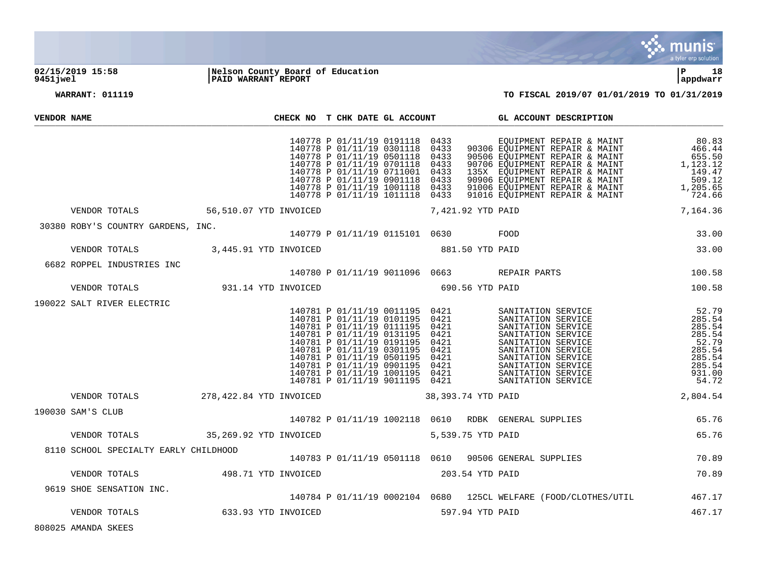

## **02/15/2019 15:58 |Nelson County Board of Education |P 18 9451jwel |PAID WARRANT REPORT |appdwarr**

**WARRANT: 011119 TO FISCAL 2019/07 01/01/2019 TO 01/31/2019**

| VENDOR NAME                           |                                      | CHECK NO T CHK DATE GL ACCOUNT                                                                                                                                                                                                                                                                                               |                                      | GL ACCOUNT DESCRIPTION                                                                                                                                                                                                                                                  |                                                                                               |
|---------------------------------------|--------------------------------------|------------------------------------------------------------------------------------------------------------------------------------------------------------------------------------------------------------------------------------------------------------------------------------------------------------------------------|--------------------------------------|-------------------------------------------------------------------------------------------------------------------------------------------------------------------------------------------------------------------------------------------------------------------------|-----------------------------------------------------------------------------------------------|
|                                       |                                      | 140778 P 01/11/19 0191118<br>140778 P 01/11/19 0301118<br>140778 P 01/11/19 0501118<br>140778 P 01/11/19 0701118<br>140778 P 01/11/19 0711001 0433<br>140778 P 01/11/19 0901118<br>140778 P 01/11/19 1001118 0433<br>140778 P 01/11/19 1011118 0433                                                                          | 0433<br>0433<br>0433<br>0433<br>0433 | EQUIPMENT REPAIR & MAINT<br>90306 EOUIPMENT REPAIR & MAINT<br>90506 EQUIPMENT REPAIR & MAINT<br>90706 EQUIPMENT REPAIR & MAINT<br>90700 LIQUIPMENT REPAIR & MAINT<br>90906 EQUIPMENT REPAIR & MAINT<br>91006 EQUIPMENT REPAIR & MAINT<br>91006 EQUIPMENT REPAIR & MAINT | 80.83<br>466.44<br>655.50<br>1,123.12<br>149.47<br>149.47<br>509.12<br>1,205.65<br>724.66     |
|                                       | VENDOR TOTALS 56,510.07 YTD INVOICED |                                                                                                                                                                                                                                                                                                                              | 7,421.92 YTD PAID                    |                                                                                                                                                                                                                                                                         | 7,164.36                                                                                      |
| 30380 ROBY'S COUNTRY GARDENS, INC.    |                                      | 140779 P 01/11/19 0115101 0630 FOOD                                                                                                                                                                                                                                                                                          |                                      |                                                                                                                                                                                                                                                                         | 33.00                                                                                         |
| VENDOR TOTALS                         | 3,445.91 YTD INVOICED                |                                                                                                                                                                                                                                                                                                                              | 881.50 YTD PAID                      |                                                                                                                                                                                                                                                                         | 33.00                                                                                         |
| 6682 ROPPEL INDUSTRIES INC            |                                      | 140780 P 01/11/19 9011096 0663 REPAIR PARTS                                                                                                                                                                                                                                                                                  |                                      |                                                                                                                                                                                                                                                                         | 100.58                                                                                        |
| VENDOR TOTALS                         | 931.14 YTD INVOICED                  | 690.56 YTD PAID                                                                                                                                                                                                                                                                                                              |                                      |                                                                                                                                                                                                                                                                         | 100.58                                                                                        |
| 190022 SALT RIVER ELECTRIC            |                                      | 140781 P 01/11/19 0011195<br>140781 P 01/11/19 0101195 0421<br>140781 P 01/11/19 0111195 0421<br>140781 P 01/11/19 0131195 0421<br>140781 P 01/11/19 0191195<br>140781 P 01/11/19 0301195<br>140781 P 01/11/19 0501195<br>140781 P 01/11/19 0901195 0421<br>140781 P 01/11/19 1001195 0421<br>140781 P 01/11/19 9011195 0421 | 0421<br>0421<br>0421<br>0421         | SANITATION SERVICE<br>SANITATION SERVICE<br>SANITATION SERVICE<br>SANITATION SERVICE<br>SANITATION SERVICE<br>SANITATION SERVICE<br>SANITATION SERVICE<br>SANITATION SERVICE<br>SANITATION SERVICE<br>SANITATION SERVICE<br>SANITATION SERVICE                          | 52.79<br>285.54<br>285.54<br>285.54<br>52.79<br>285.54<br>285.54<br>285.54<br>931.00<br>54.72 |
| VENDOR TOTALS                         | 278,422.84 YTD INVOICED              |                                                                                                                                                                                                                                                                                                                              | 38,393.74 YTD PAID                   |                                                                                                                                                                                                                                                                         | 2,804.54                                                                                      |
| 190030 SAM'S CLUB                     |                                      | 140782 P 01/11/19 1002118 0610 RDBK GENERAL SUPPLIES                                                                                                                                                                                                                                                                         |                                      |                                                                                                                                                                                                                                                                         | 65.76                                                                                         |
| VENDOR TOTALS                         | 35,269.92 YTD INVOICED               | 5,539.75 YTD PAID                                                                                                                                                                                                                                                                                                            |                                      |                                                                                                                                                                                                                                                                         | 65.76                                                                                         |
| 8110 SCHOOL SPECIALTY EARLY CHILDHOOD |                                      |                                                                                                                                                                                                                                                                                                                              |                                      |                                                                                                                                                                                                                                                                         |                                                                                               |

P 01/11/19 0501118 0610 90506 GENERAL SUPPLIES 70.89

AMANDA SKEES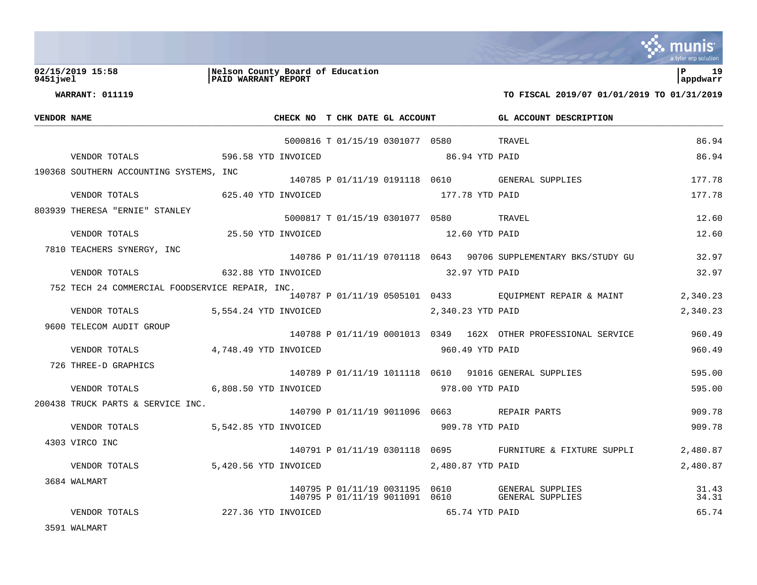

## **02/15/2019 15:58 |Nelson County Board of Education |P 19 9451jwel |PAID WARRANT REPORT |appdwarr**

**WARRANT: 011119 TO FISCAL 2019/07 01/01/2019 TO 01/31/2019**

| VENDOR NAME |                                                                                  |                                         | CHECK NO T CHK DATE GL ACCOUNT         |  | GL ACCOUNT DESCRIPTION                                                |                |
|-------------|----------------------------------------------------------------------------------|-----------------------------------------|----------------------------------------|--|-----------------------------------------------------------------------|----------------|
|             |                                                                                  |                                         | 5000816 T 01/15/19 0301077 0580 TRAVEL |  |                                                                       | 86.94          |
|             | VENDOR TOTALS 596.58 YTD INVOICED                                                |                                         | 86.94 YTD PAID                         |  |                                                                       | 86.94          |
|             | 190368 SOUTHERN ACCOUNTING SYSTEMS, INC.                                         |                                         |                                        |  | 140785 P 01/11/19 0191118 0610 GENERAL SUPPLIES                       | 177.78         |
|             | VENDOR TOTALS 625.40 YTD INVOICED 177.78 YTD PAID                                |                                         |                                        |  |                                                                       | 177.78         |
|             | 803939 THERESA "ERNIE" STANLEY                                                   | 5000817 T 01/15/19 0301077 0580 TRAVEL  |                                        |  |                                                                       | 12.60          |
|             | VENDOR TOTALS 25.50 YTD INVOICED                                                 |                                         | 12.60 YTD PAID                         |  |                                                                       | 12.60          |
|             | 7810 TEACHERS SYNERGY, INC                                                       |                                         |                                        |  | 140786 P 01/11/19 0701118 0643 90706 SUPPLEMENTARY BKS/STUDY GU       | 32.97          |
|             | VENDOR TOTALS 632.88 YTD INVOICED 32.97 YTD PAID                                 |                                         |                                        |  |                                                                       | 32.97          |
|             | 752 TECH 24 COMMERCIAL FOODSERVICE REPAIR, INC.                                  |                                         |                                        |  | 140787 P 01/11/19 0505101 0433 EQUIPMENT REPAIR & MAINT               | 2,340.23       |
|             | VENDOR TOTALS                                                                    | 5,554.24 YTD INVOICED 2,340.23 YTD PAID |                                        |  |                                                                       | 2,340.23       |
|             | 9600 TELECOM AUDIT GROUP                                                         |                                         |                                        |  | 140788 P 01/11/19 0001013 0349 162X OTHER PROFESSIONAL SERVICE 360.49 |                |
|             | VENDOR TOTALS 4,748.49 YTD INVOICED                                              |                                         | 960.49 YTD PAID                        |  |                                                                       | 960.49         |
|             | 726 THREE-D GRAPHICS                                                             |                                         |                                        |  | 140789 P 01/11/19 1011118 0610 91016 GENERAL SUPPLIES                 | 595.00         |
|             | VENDOR TOTALS 6,808.50 YTD INVOICED 978.00 YTD PAID                              |                                         |                                        |  |                                                                       | 595.00         |
|             | 200438 TRUCK PARTS & SERVICE INC.<br>140790 P 01/11/19 9011096 0663 REPAIR PARTS |                                         |                                        |  |                                                                       | 909.78         |
|             | VENDOR TOTALS                                                                    | 5,542.85 YTD INVOICED                   | 909.78 YTD PAID                        |  |                                                                       | 909.78         |
|             | 4303 VIRCO INC                                                                   |                                         |                                        |  | 140791 P 01/11/19 0301118 0695 FURNITURE & FIXTURE SUPPLI             | 2,480.87       |
|             | VENDOR TOTALS                                                                    | 5,420.56 YTD INVOICED 2,480.87 YTD PAID |                                        |  |                                                                       | 2,480.87       |
|             | 3684 WALMART                                                                     |                                         |                                        |  |                                                                       | 31.43<br>34.31 |
|             | VENDOR TOTALS                                                                    | 227.36 YTD INVOICED                     | 65.74 YTD PAID                         |  |                                                                       | 65.74          |
|             |                                                                                  |                                         |                                        |  |                                                                       |                |

3591 WALMART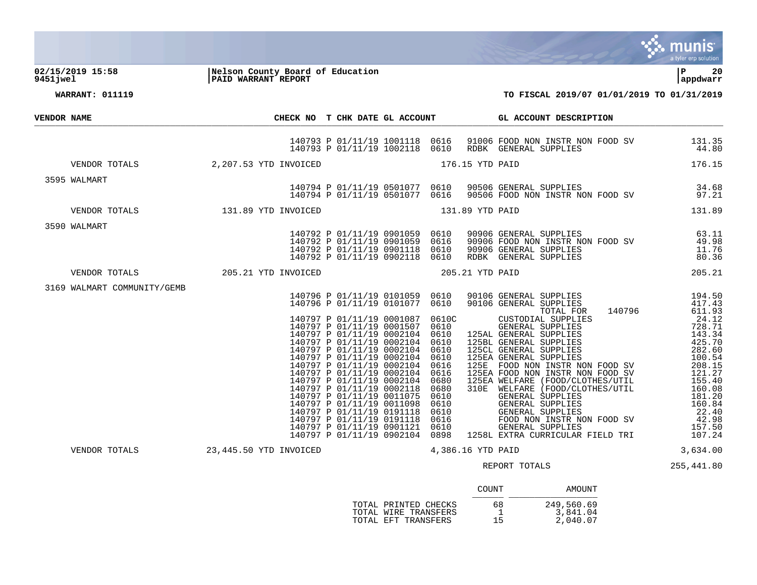

**02/15/2019 15:58 |Nelson County Board of Education |P 20 9451jwel |PAID WARRANT REPORT |appdwarr**

| <b>VENDOR NAME</b><br>3595 WALMART<br>3590 WALMART<br>3169 WALMART COMMUNITY/GEMB | WALMART<br>140792<br>140792<br>140792<br>140792<br>140792<br>140792<br>205.21 YTD INVOICED | CHECK NO T CHK DATE GL ACCOUNT<br>140792 P 01/11/19 0901059 0610<br>140792 P 01/11/19 0901059 0616<br>140792 P 01/11/19 0901118 0610<br>140792 P 01/11/19 0902118 0610 | GL ACCOUNT DESCRIPTION<br>140793 P 01/11/19 1001118 0616 91006 FOOD NON INSTR NON FOOD SV 131.35<br>140793 P 01/11/19 1002118 0610 RDBK GENERAL SUPPLIES 44.80<br>176.15 YTD PAID 176.15<br>VENDOR TOTALS 2,207.53 YTD INVOICED 176.15 YTD PAID<br>140794 P 01/11/19 0501077 0610 90506 GENERAL SUPPLIES 34.68<br>140794 P 01/11/19 0501077 0616 90506 FOOD NON INSTR NON FOOD SV 97.21<br>131.89<br>90906 GENERAL SUPPLIES<br>90906 FOOD NON INSTR NON FOOD SV 49.98<br>90906 GENERAL SUPPLIES 11.76<br>RDBK GENERAL SUPPLIES 80.36<br>5.21 YTD PAID 205.21<br>205.21 YTD PAID<br>$[140796 \text{ P } 01/11/19 \text{ } 0101059 \text{ } 0610 \text{ } 90106 \text{ GENERAL} \text{ SUPPLIES} \text{ } 140796 \text{ F } 01/11/19 \text{ } 0001087 \text{ } 0610 \text{ } \text{GENERAL} \text{ SUPPLIES} \text{ } 140796 \text{ } 417.45 \text{ } 417.49 \text{ } 417.49 \text{ } 417.49 \text{ } 417.49 \text{ } 417.49 \text{ } 417.49$<br>3,634.00<br>VENDOR TOTALS 23,445.50 YTD INVOICED 4,386.16 YTD PAID<br>REPORT TOTALS 255,441.80 |
|-----------------------------------------------------------------------------------|--------------------------------------------------------------------------------------------|------------------------------------------------------------------------------------------------------------------------------------------------------------------------|-----------------------------------------------------------------------------------------------------------------------------------------------------------------------------------------------------------------------------------------------------------------------------------------------------------------------------------------------------------------------------------------------------------------------------------------------------------------------------------------------------------------------------------------------------------------------------------------------------------------------------------------------------------------------------------------------------------------------------------------------------------------------------------------------------------------------------------------------------------------------------------------------------------------------------------------------------------------------------------------------------------------------------------------------|

|                                                                     | COUNT    | AMOUNT                             |
|---------------------------------------------------------------------|----------|------------------------------------|
| TOTAL PRINTED CHECKS<br>TOTAL WIRE TRANSFERS<br>TOTAL EFT TRANSFERS | 68<br>15 | 249,560.69<br>3,841.04<br>2,040.07 |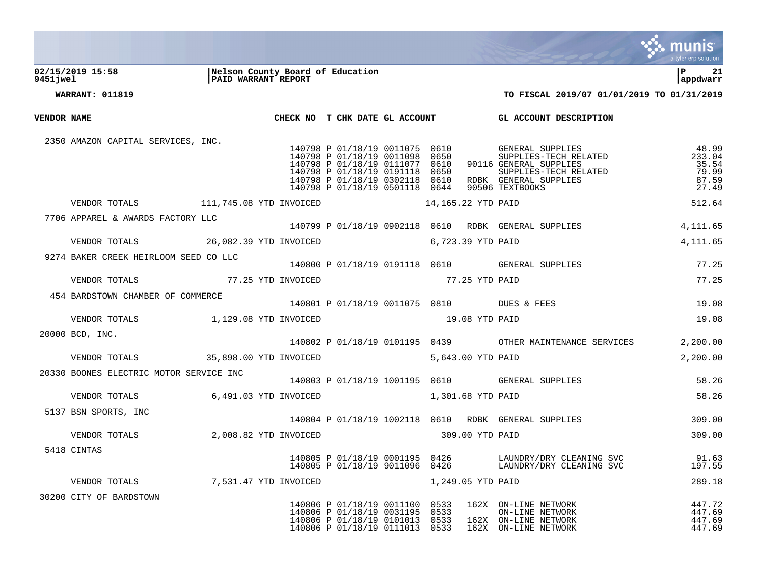

### **02/15/2019 15:58 |Nelson County Board of Education |P 21 9451jwel |PAID WARRANT REPORT |appdwarr**



| <b>VENDOR NAME</b> |                                                           |  |  |                                                                                                                                      |  | CHECK NO T CHK DATE GL ACCOUNT GL ACCOUNT DESCRIPTION                                                                                                                                                                                                                                                                                               |                                                     |
|--------------------|-----------------------------------------------------------|--|--|--------------------------------------------------------------------------------------------------------------------------------------|--|-----------------------------------------------------------------------------------------------------------------------------------------------------------------------------------------------------------------------------------------------------------------------------------------------------------------------------------------------------|-----------------------------------------------------|
|                    | 2350 AMAZON CAPITAL SERVICES, INC.                        |  |  |                                                                                                                                      |  | 140798 P 01/18/19 0011075 0610 GENERAL SUPPLIES<br>140798 P 01/18/19 0011098 0650 SUPPLIES-TECH RELATED<br>140798 P 01/18/19 0191118 0650 SUPPLIES<br>140798 P 01/18/19 0191118 0650 SUPPLIES-TECH RELATED<br>140798 P 01/18/19 0302118 0610 RDBK GENERAL SUPPLIES<br>140798 P 01/18/19 0501118 0644 90506 TEXTBOOKS<br>WOICED 14,165.22 YTD PAID ! | 48.99<br>233.04<br>35.54<br>79.99<br>87.59<br>27.49 |
|                    | VENDOR TOTALS 111,745.08 YTD INVOICED 14,165.22 YTD PAID  |  |  |                                                                                                                                      |  |                                                                                                                                                                                                                                                                                                                                                     | 512.64                                              |
|                    |                                                           |  |  |                                                                                                                                      |  | 7706 APPAREL & AWARDS FACTORY LLC $140799\ \mathrm{P}\ 01/18/19\ 0902118\ 0610\quad \mathrm{RDBK}\quad \mathrm{GENERAL}\ \mathrm{SUPPLIES}$                                                                                                                                                                                                         | 4,111.65                                            |
|                    | VENDOR TOTALS 26,082.39 YTD INVOICED 6,723.39 YTD PAID    |  |  |                                                                                                                                      |  |                                                                                                                                                                                                                                                                                                                                                     | 4,111.65                                            |
|                    |                                                           |  |  |                                                                                                                                      |  | 9274 BAKER CREEK HEIRLOOM SEED CO LLC $140800\ p\ 01/18/19\ 0191118\ 0610$ GENERAL SUPPLIES                                                                                                                                                                                                                                                         | 77.25                                               |
|                    | VENDOR TOTALS 6 77.25 YTD INVOICED 77.25 YTD PAID         |  |  |                                                                                                                                      |  |                                                                                                                                                                                                                                                                                                                                                     | 77.25                                               |
|                    | 454 BARDSTOWN CHAMBER OF COMMERCE                         |  |  |                                                                                                                                      |  | 140801 P 01/18/19 0011075 0810 DUES & FEES                                                                                                                                                                                                                                                                                                          | 19.08                                               |
|                    | VENDOR TOTALS 1,129.08 YTD INVOICED 19.08 YTD PAID        |  |  |                                                                                                                                      |  |                                                                                                                                                                                                                                                                                                                                                     | 19.08                                               |
|                    |                                                           |  |  |                                                                                                                                      |  | 20000 BCD, INC. THE SERVICES CONTROLLER SERVICES AND MALL SERVICES CONTROLLER SERVICES                                                                                                                                                                                                                                                              | 2,200.00                                            |
|                    | VENDOR TOTALS 35,898.00 YTD INVOICED 5,643.00 YTD PAID    |  |  |                                                                                                                                      |  |                                                                                                                                                                                                                                                                                                                                                     | 2,200.00                                            |
|                    | 20330 BOONES ELECTRIC MOTOR SERVICE INC                   |  |  |                                                                                                                                      |  | 140803 P 01/18/19 1001195 0610 GENERAL SUPPLIES                                                                                                                                                                                                                                                                                                     | 58.26                                               |
|                    | VENDOR TOTALS 6,491.03 YTD INVOICED 1,301.68 YTD PAID     |  |  |                                                                                                                                      |  |                                                                                                                                                                                                                                                                                                                                                     | 58.26                                               |
|                    | 5137 BSN SPORTS, INC                                      |  |  |                                                                                                                                      |  | 140804 P 01/18/19 1002118 0610 RDBK GENERAL SUPPLIES                                                                                                                                                                                                                                                                                                | 309.00                                              |
|                    |                                                           |  |  |                                                                                                                                      |  |                                                                                                                                                                                                                                                                                                                                                     | 309.00                                              |
|                    | 5418 CINTAS                                               |  |  |                                                                                                                                      |  | $\begin{array}{cccccc} 140805 & P & 01/18/19 & 0001195 & 0426 & & & \text{LAUNDRY/DRY CLEANING SVC} & & & & 91.63 \\ 140805 & P & 01/18/19 & 9011096 & 0426 & & & \text{LAUNDRY/DRY CLEANING SVC} & & & & 197.55 \end{array}$                                                                                                                       |                                                     |
|                    | VENDOR TOTALS $7,531.47$ YTD INVOICED $1,249.05$ YTD PAID |  |  |                                                                                                                                      |  |                                                                                                                                                                                                                                                                                                                                                     | 289.18                                              |
|                    | 30200 CITY OF BARDSTOWN                                   |  |  | 140806 P 01/18/19 0011100 0533<br>140806 P 01/18/19 0031195 0533<br>140806 P 01/18/19 0101013 0533<br>140806 P 01/18/19 0111013 0533 |  | 162X ON-LINE NETWORK 447.72<br>ON-LINE NETWORK 447.69<br>162X ON-LINE NETWORK 447.69<br>162X ON-LINE NETWORK 447.69<br>162X ON-LINE NETWORK<br>162X ON-LINE NETWORK                                                                                                                                                                                 |                                                     |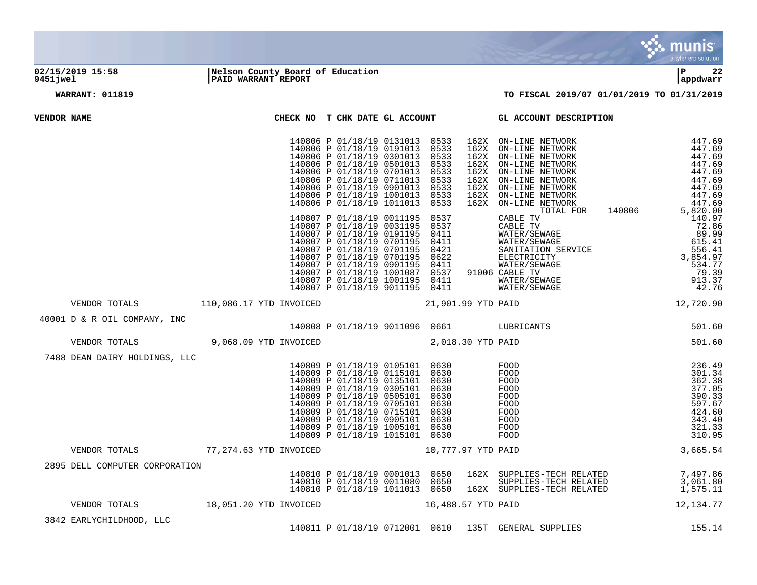

## **02/15/2019 15:58 |Nelson County Board of Education |P 22 9451jwel |PAID WARRANT REPORT |appdwarr**

| VENDOR NAME |                                                         |                        |  | CHECK NO T CHK DATE GL ACCOUNT                                                                                                                                                                                                                                                                                                         |                                                              | GL ACCOUNT DESCRIPTION                                                                                                                                                                                                                       |                                                                                                  |
|-------------|---------------------------------------------------------|------------------------|--|----------------------------------------------------------------------------------------------------------------------------------------------------------------------------------------------------------------------------------------------------------------------------------------------------------------------------------------|--------------------------------------------------------------|----------------------------------------------------------------------------------------------------------------------------------------------------------------------------------------------------------------------------------------------|--------------------------------------------------------------------------------------------------|
|             |                                                         |                        |  | 140806 P 01/18/19 0131013 0533<br>140806 P 01/18/19 0191013<br>140806 P 01/18/19 0301013<br>140806 P 01/18/19 0501013<br>140806 P 01/18/19 0701013<br>140806 P 01/18/19 0711013<br>140806 P 01/18/19 0901013<br>140806 P 01/18/19 1001013<br>140806 P 01/18/19 1011013                                                                 | 0533<br>0533<br>0533<br>0533<br>0533<br>0533<br>0533<br>0533 |                                                                                                                                                                                                                                              | 447.69                                                                                           |
|             |                                                         |                        |  | 140807 P 01/18/19 0011195<br>140807 P 01/18/19 0031195<br>140807 P 01/18/19 0191195<br>140807 P 01/18/19 0701195<br>140807 P 01/18/19 0701195<br>140807 P 01/18/19 0701195<br>140807 P 01/18/19 0901195<br>140807 P 01/18/19 1001087<br>140807 P 01/18/19 1001195 0411<br>140807 P 01/18/19 9011195 0411                               |                                                              | 0537 CABLE TV 140806 5,820.00<br>0537 CABLE TV 140806 5,820.00<br>0411 WATER/SEWAGE 89.99<br>0411 WATER/SEWAGE 89.99<br>0622 SANITATION SERVICE 556.41<br>0622 ELECTRICITY 3,854.97<br>0622 ELECTRICITY 3,854.97<br>0621 WATER/SEWAGE 534.97 |                                                                                                  |
|             | VENDOR TOTALS                                           |                        |  | 110,086.17 YTD INVOICED                                                                                                                                                                                                                                                                                                                |                                                              |                                                                                                                                                                                                                                              |                                                                                                  |
|             | 40001 D & R OIL COMPANY, INC                            |                        |  | 140808 P 01/18/19 9011096 0661 LUBRICANTS                                                                                                                                                                                                                                                                                              |                                                              |                                                                                                                                                                                                                                              | 501.60                                                                                           |
|             | VENDOR TOTALS                                           | 9,068.09 YTD INVOICED  |  | 2,018.30 YTD PAID                                                                                                                                                                                                                                                                                                                      |                                                              |                                                                                                                                                                                                                                              | 501.60                                                                                           |
|             | 7488 DEAN DAIRY HOLDINGS, LLC                           |                        |  | 140809 P 01/18/19 0105101 0630<br>140809 P 01/18/19 0115101 0630<br>140809 P 01/18/19 0135101 0630<br>140809 P 01/18/19 0305101 0630<br>140809 P 01/18/19 0505101<br>140809 P 01/18/19 0705101<br>140809 P 01/18/19 0715101 0630<br>140809 P 01/18/19 0905101 0630<br>140809 P 01/18/19 1005101 0630<br>140809 P 01/18/19 1015101 0630 | 0630<br>0630                                                 | $\footnotesize\substack{\text{AMTS}\xspace}$<br>FOOD<br>FOOD<br>FOOD<br>FOOD<br>FOOD<br>FOOD<br>FOOD<br>FOOD<br>FOOD<br>FOOD                                                                                                                 | 236.49<br>301.34<br>362.38<br>377.05<br>390.33<br>597.67<br>424.60<br>343.40<br>321.33<br>310.95 |
|             | VENDOR TOTALS                                           | 77,274.63 YTD INVOICED |  |                                                                                                                                                                                                                                                                                                                                        | 10,777.97 YTD PAID                                           |                                                                                                                                                                                                                                              | 3,665.54                                                                                         |
|             | 2895 DELL COMPUTER CORPORATION                          |                        |  |                                                                                                                                                                                                                                                                                                                                        |                                                              | 140810 P 01/18/19 0001013 0650 162X SUPPLIES-TECH RELATED<br>140810 P 01/18/19 0011080 0650 SUPPLIES-TECH RELATED<br>140810 P 01/18/19 1011013 0650 162X SUPPLIES-TECH RELATED                                                               | 7,497.86<br>3,061.80<br>1,575.11                                                                 |
|             | VENDOR TOTALS 18,051.20 YTD INVOICED 16,488.57 YTD PAID |                        |  |                                                                                                                                                                                                                                                                                                                                        |                                                              |                                                                                                                                                                                                                                              | 12, 134. 77                                                                                      |
|             | 3842 EARLYCHILDHOOD, LLC                                |                        |  |                                                                                                                                                                                                                                                                                                                                        |                                                              | 140811 P 01/18/19 0712001 0610 135T GENERAL SUPPLIES                                                                                                                                                                                         | 155.14                                                                                           |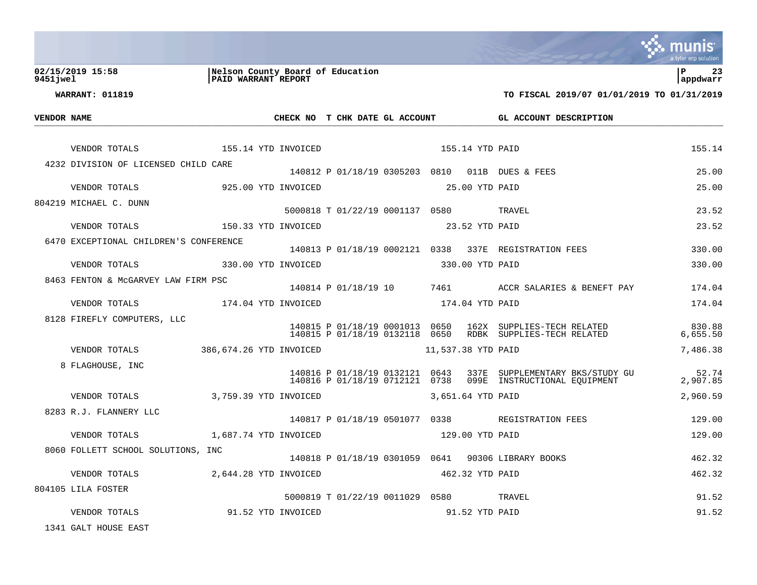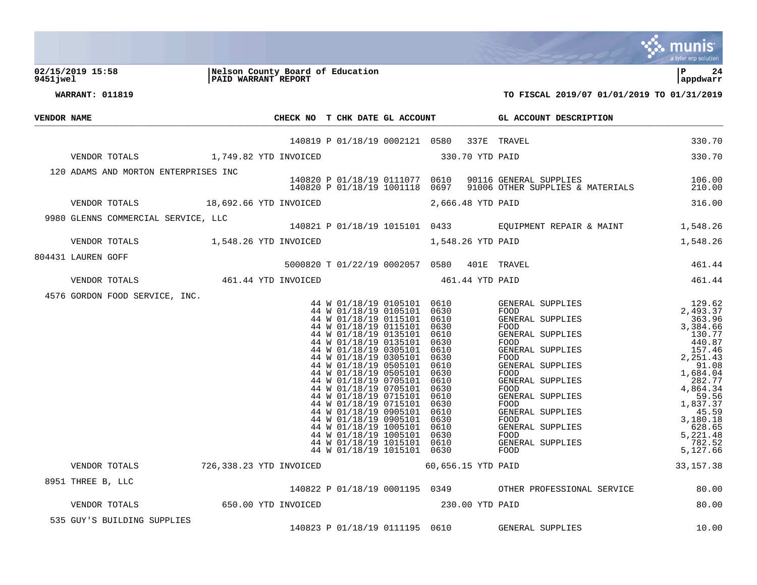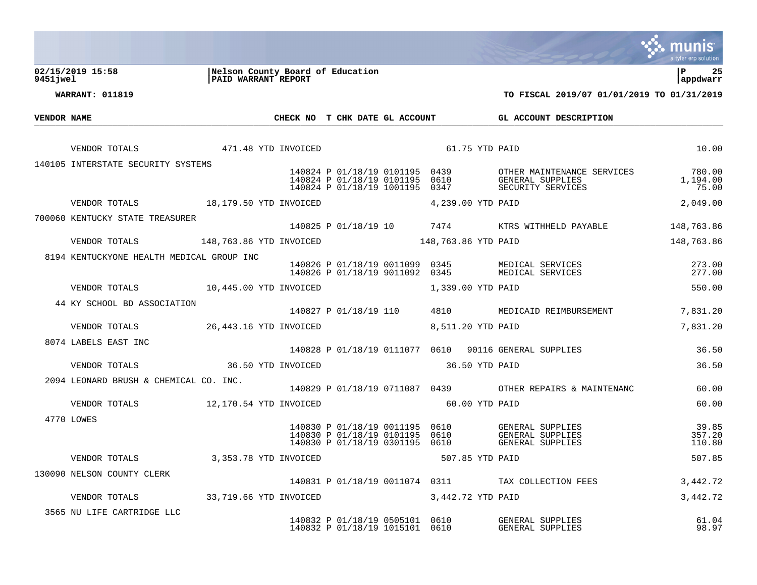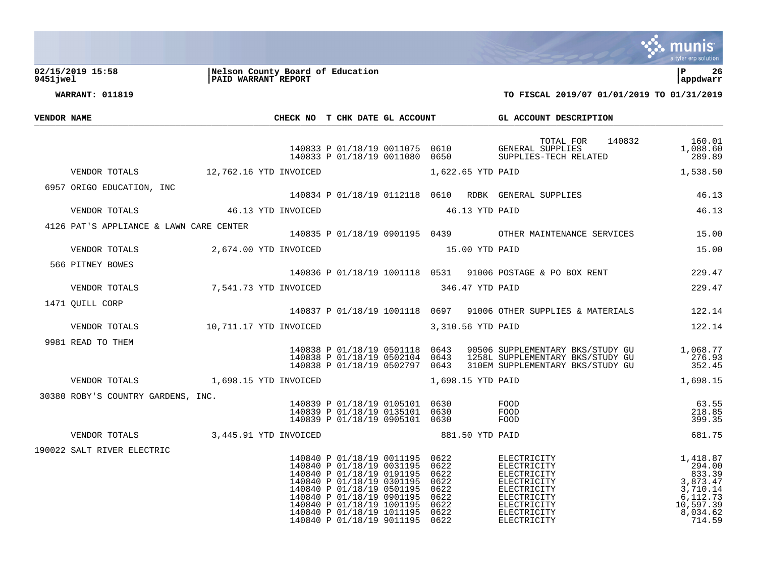

**02/15/2019 15:58 |Nelson County Board of Education |P 26 9451jwel |PAID WARRANT REPORT |appdwarr**

| VENDOR NAME |                                                       |  |                                                                                                                                                                                                                                                                                            |                              |              | CHECK NO T CHK DATE GL ACCOUNT CL ACCOUNT DESCRIPTION                                                                                                                                                                                |                                                                                                     |
|-------------|-------------------------------------------------------|--|--------------------------------------------------------------------------------------------------------------------------------------------------------------------------------------------------------------------------------------------------------------------------------------------|------------------------------|--------------|--------------------------------------------------------------------------------------------------------------------------------------------------------------------------------------------------------------------------------------|-----------------------------------------------------------------------------------------------------|
|             |                                                       |  |                                                                                                                                                                                                                                                                                            |                              |              | TOTAL FOR 140832 160.01<br>140833 P 01/18/19 0011075 0610<br>140833 P 01/18/19 0011080 0650 SUPPLIES-TECH RELATED                                                                                                                    | 1,088.60<br>289.89                                                                                  |
|             | VENDOR TOTALS 12,762.16 YTD INVOICED                  |  | 1,622.65 YTD PAID                                                                                                                                                                                                                                                                          |                              |              |                                                                                                                                                                                                                                      | 1,538.50                                                                                            |
|             | 6957 ORIGO EDUCATION, INC                             |  |                                                                                                                                                                                                                                                                                            |                              |              | 140834 P 01/18/19 0112118 0610 RDBK GENERAL SUPPLIES 46.13                                                                                                                                                                           |                                                                                                     |
|             | VENDOR TOTALS 46.13 YTD INVOICED                      |  | 46.13 YTD PAID                                                                                                                                                                                                                                                                             |                              |              |                                                                                                                                                                                                                                      | 46.13                                                                                               |
|             | 4126 PAT'S APPLIANCE & LAWN CARE CENTER               |  |                                                                                                                                                                                                                                                                                            |                              |              | 140835 P 01/18/19 0901195 0439 OTHER MAINTENANCE SERVICES 15.00                                                                                                                                                                      |                                                                                                     |
|             | VENDOR TOTALS 2,674.00 YTD INVOICED                   |  | 15.00 YTD PAID                                                                                                                                                                                                                                                                             |                              |              |                                                                                                                                                                                                                                      | 15.00                                                                                               |
|             | 566 PITNEY BOWES                                      |  |                                                                                                                                                                                                                                                                                            |                              |              | 140836 P 01/18/19 1001118 0531 91006 POSTAGE & PO BOX RENT 229.47                                                                                                                                                                    |                                                                                                     |
|             | VENDOR TOTALS 7,541.73 YTD INVOICED                   |  | 346.47 YTD PAID                                                                                                                                                                                                                                                                            |                              |              |                                                                                                                                                                                                                                      | 229.47                                                                                              |
|             | 1471 OUILL CORP                                       |  |                                                                                                                                                                                                                                                                                            |                              |              | 140837 P 01/18/19 1001118 0697 91006 OTHER SUPPLIES & MATERIALS 122.14                                                                                                                                                               |                                                                                                     |
|             | VENDOR TOTALS 10,711.17 YTD INVOICED                  |  | 3,310.56 YTD PAID                                                                                                                                                                                                                                                                          |                              |              |                                                                                                                                                                                                                                      | 122.14                                                                                              |
|             | 9981 READ TO THEM                                     |  |                                                                                                                                                                                                                                                                                            |                              |              | 140838 P 01/18/19 0501118 0643 90506 SUPPLEMENTARY BKS/STUDY GU         1,068.77<br>140838 P 01/18/19 0502104 0643 1258L SUPPLEMENTARY BKS/STUDY GU               276.93<br>140838 P 01/18/19 0502797 0643 310EM SUPPLEMENTARY BKS/S |                                                                                                     |
|             | VENDOR TOTALS 1,698.15 YTD INVOICED 1,698.15 YTD PAID |  |                                                                                                                                                                                                                                                                                            |                              |              |                                                                                                                                                                                                                                      | 1,698.15                                                                                            |
|             | 30380 ROBY'S COUNTRY GARDENS, INC.                    |  | 140839 P 01/18/19 0105101 0630 FOOD<br>140839 P 01/18/19 0135101 0630<br>140839 P 01/18/19 0905101 0630                                                                                                                                                                                    |                              | FOOD<br>FOOD |                                                                                                                                                                                                                                      | 63.55<br>218.85<br>399.35                                                                           |
|             | VENDOR TOTALS 3,445.91 YTD INVOICED                   |  | 881.50 YTD PAID                                                                                                                                                                                                                                                                            |                              |              |                                                                                                                                                                                                                                      | 681.75                                                                                              |
|             | 190022 SALT RIVER ELECTRIC                            |  | 140840 P 01/18/19 0011195 0622<br>140840 P 01/18/19 0031195 0622<br>140840 P 01/18/19 0191195 0622<br>140840 P 01/18/19 0301195<br>140840 P 01/18/19 0501195 0622<br>140840 P 01/18/19 0901195 0622<br>140840 P 01/18/19 1001195<br>140840 P 01/18/19 1011195<br>140840 P 01/18/19 9011195 | 0622<br>0622<br>0622<br>0622 |              | ELECTRICITY<br>ELECTRICITY<br>ELECTRICITY<br>ELECTRICITY<br>ELECTRICITY<br>ELECTRICITY<br>ELECTRICITY<br>ELECTRICITY<br>ELECTRICITY                                                                                                  | 1,418.87<br>294.00<br>833.39<br>3,873.47<br>3,710.14<br>6,112.73<br>10,597.39<br>8,034.62<br>714.59 |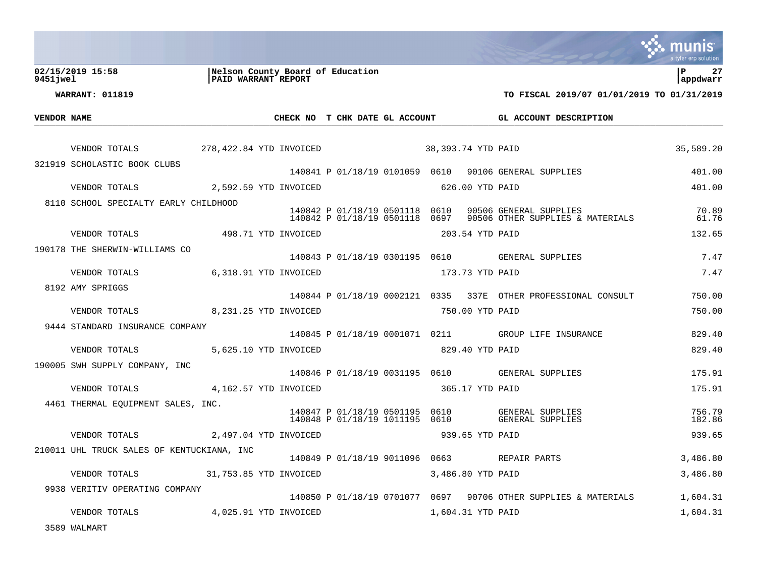|             |                                            |                                                         |                                                                  |                                             |                                                                 | a tyler erp solution  |
|-------------|--------------------------------------------|---------------------------------------------------------|------------------------------------------------------------------|---------------------------------------------|-----------------------------------------------------------------|-----------------------|
| 9451 jwel   | 02/15/2019 15:58                           | Nelson County Board of Education<br>PAID WARRANT REPORT |                                                                  |                                             |                                                                 | l P<br>27<br>appdwarr |
|             | <b>WARRANT: 011819</b>                     |                                                         |                                                                  |                                             | TO FISCAL 2019/07 01/01/2019 TO 01/31/2019                      |                       |
| VENDOR NAME |                                            |                                                         |                                                                  | CHECK NO T CHK DATE GL ACCOUNT              | GL ACCOUNT DESCRIPTION                                          |                       |
|             |                                            |                                                         |                                                                  |                                             |                                                                 | 35,589.20             |
|             | 321919 SCHOLASTIC BOOK CLUBS               |                                                         |                                                                  |                                             | 140841 P 01/18/19 0101059 0610 90106 GENERAL SUPPLIES           | 401.00                |
|             | VENDOR TOTALS                              | 2,592.59 YTD INVOICED                                   |                                                                  | 626.00 YTD PAID                             |                                                                 | 401.00                |
|             | 8110 SCHOOL SPECIALTY EARLY CHILDHOOD      |                                                         | 140842 P 01/18/19 0501118 0610<br>140842 P 01/18/19 0501118 0697 |                                             | 90506 GENERAL SUPPLIES<br>90506 OTHER SUPPLIES & MATERIALS      | 70.89<br>61.76        |
|             | VENDOR TOTALS                              | 498.71 YTD INVOICED                                     |                                                                  | 203.54 YTD PAID                             |                                                                 | 132.65                |
|             | 190178 THE SHERWIN-WILLIAMS CO             |                                                         |                                                                  |                                             | 140843 P 01/18/19 0301195 0610 GENERAL SUPPLIES                 | 7.47                  |
|             | VENDOR TOTALS                              | 6,318.91 YTD INVOICED                                   |                                                                  | 173.73 YTD PAID                             |                                                                 | 7.47                  |
|             | 8192 AMY SPRIGGS                           |                                                         |                                                                  |                                             | 140844 P 01/18/19 0002121 0335 337E OTHER PROFESSIONAL CONSULT  | 750.00                |
|             | VENDOR TOTALS                              | 8,231.25 YTD INVOICED                                   |                                                                  | 750.00 YTD PAID                             |                                                                 | 750.00                |
|             | 9444 STANDARD INSURANCE COMPANY            |                                                         |                                                                  |                                             | 140845 P 01/18/19 0001071 0211 GROUP LIFE INSURANCE             | 829.40                |
|             | VENDOR TOTALS                              | 5,625.10 YTD INVOICED                                   |                                                                  | 829.40 YTD PAID                             |                                                                 | 829.40                |
|             | 190005 SWH SUPPLY COMPANY, INC             |                                                         |                                                                  |                                             |                                                                 |                       |
|             | VENDOR TOTALS                              | 4,162.57 YTD INVOICED                                   |                                                                  | 365.17 YTD PAID                             | 140846 P 01/18/19 0031195 0610 GENERAL SUPPLIES                 | 175.91<br>175.91      |
|             | 4461 THERMAL EQUIPMENT SALES, INC.         |                                                         |                                                                  |                                             |                                                                 |                       |
|             |                                            |                                                         |                                                                  |                                             |                                                                 | 756.79<br>182.86      |
|             | VENDOR TOTALS                              | 2,497.04 YTD INVOICED                                   |                                                                  | 939.65 YTD PAID                             |                                                                 | 939.65                |
|             | 210011 UHL TRUCK SALES OF KENTUCKIANA, INC |                                                         |                                                                  | 140849 P 01/18/19 9011096 0663 REPAIR PARTS |                                                                 | 3,486.80              |
|             | VENDOR TOTALS 31,753.85 YTD INVOICED       |                                                         |                                                                  | 3,486.80 YTD PAID                           |                                                                 | 3,486.80              |
|             | 9938 VERITIV OPERATING COMPANY             |                                                         |                                                                  |                                             | 140850 P 01/18/19 0701077 0697 90706 OTHER SUPPLIES & MATERIALS | 1,604.31              |
|             | VENDOR TOTALS                              | 4,025.91 YTD INVOICED                                   |                                                                  | 1,604.31 YTD PAID                           |                                                                 | 1,604.31              |
|             | 3589 WALMART                               |                                                         |                                                                  |                                             |                                                                 |                       |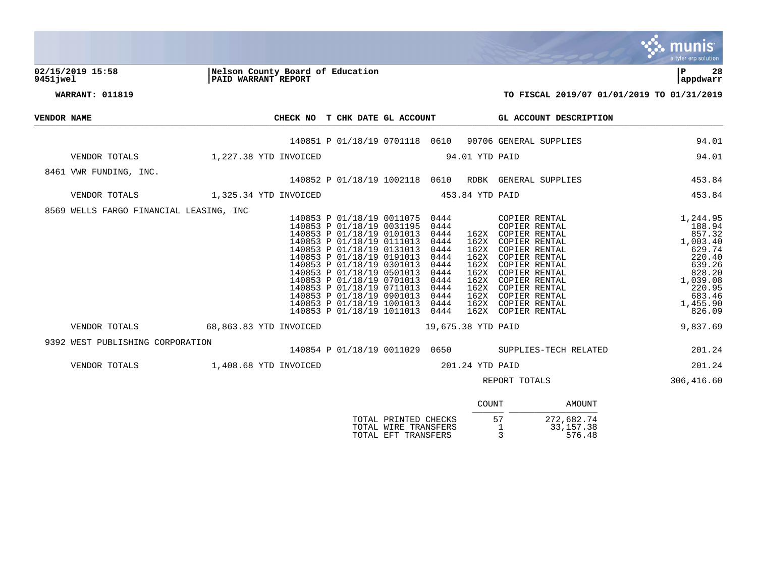|                                  |                                                                                                                                                                                                                                                                                                                                                                                                                                                                                                                                                                                                                                                                                                                                                                                                                           | a tyler erp solution                                                                                                                   |
|----------------------------------|---------------------------------------------------------------------------------------------------------------------------------------------------------------------------------------------------------------------------------------------------------------------------------------------------------------------------------------------------------------------------------------------------------------------------------------------------------------------------------------------------------------------------------------------------------------------------------------------------------------------------------------------------------------------------------------------------------------------------------------------------------------------------------------------------------------------------|----------------------------------------------------------------------------------------------------------------------------------------|
| 02/15/2019 15:58<br>9451 iwel    | Nelson County Board of Education<br>PAID WARRANT REPORT                                                                                                                                                                                                                                                                                                                                                                                                                                                                                                                                                                                                                                                                                                                                                                   | l P<br>28<br>appdwarr                                                                                                                  |
| <b>WARRANT: 011819</b>           |                                                                                                                                                                                                                                                                                                                                                                                                                                                                                                                                                                                                                                                                                                                                                                                                                           | TO FISCAL 2019/07 01/01/2019 TO 01/31/2019                                                                                             |
| VENDOR NAME                      | CHECK NO T CHK DATE GL ACCOUNT CL ACCOUNT DESCRIPTION                                                                                                                                                                                                                                                                                                                                                                                                                                                                                                                                                                                                                                                                                                                                                                     |                                                                                                                                        |
|                                  | 140851 P 01/18/19 0701118 0610 90706 GENERAL SUPPLIES                                                                                                                                                                                                                                                                                                                                                                                                                                                                                                                                                                                                                                                                                                                                                                     | 94.01                                                                                                                                  |
|                                  | VENDOR TOTALS 1,227.38 YTD INVOICED<br>94.01 YTD PAID                                                                                                                                                                                                                                                                                                                                                                                                                                                                                                                                                                                                                                                                                                                                                                     | 94.01                                                                                                                                  |
| 8461 VWR FUNDING, INC.           | 140852 P 01/18/19 1002118 0610 RDBK GENERAL SUPPLIES                                                                                                                                                                                                                                                                                                                                                                                                                                                                                                                                                                                                                                                                                                                                                                      | 453.84                                                                                                                                 |
|                                  | VENDOR TOTALS 1,325.34 YTD INVOICED<br>453.84 YTD PAID                                                                                                                                                                                                                                                                                                                                                                                                                                                                                                                                                                                                                                                                                                                                                                    | 453.84                                                                                                                                 |
|                                  | 8569 WELLS FARGO FINANCIAL LEASING, INC<br>140853 P 01/18/19 0011075 0444<br>COPIER RENTAL<br>140853 P 01/18/19 0031195<br>0444<br>COPIER RENTAL<br>140853 P 01/18/19 0101013<br>162X COPIER RENTAL<br>0444<br>140853 P 01/18/19 0111013<br>162X COPIER RENTAL<br>0444<br>140853 P 01/18/19 0131013<br>0444<br>162X COPIER RENTAL<br>140853 P 01/18/19 0191013<br>140853 P 01/18/19 0301013<br>0444<br>162X COPIER RENTAL<br>0444<br>162X COPIER RENTAL<br>140853 P 01/18/19 0501013<br>140853 P 01/18/19 0701013<br>162X COPIER RENTAL<br>0444<br>162X COPIER RENTAL<br>0444<br>140853 P 01/18/19 0711013<br>0444<br>162X<br>COPIER RENTAL<br>140853 P 01/18/19 0901013<br>162X COPIER RENTAL<br>0444<br>140853 P 01/18/19 1001013<br>0444<br>162X COPIER RENTAL<br>140853 P 01/18/19 1011013 0444<br>162X COPIER RENTAL | 1,244.95<br>188.94<br>857.32<br>1,003.40<br>629.74<br>220.40<br>639.26<br>828.20<br>1,039.08<br>220.95<br>683.46<br>1,455.90<br>826.09 |
| VENDOR TOTALS                    | 68,863.83 YTD INVOICED<br>19,675.38 YTD PAID                                                                                                                                                                                                                                                                                                                                                                                                                                                                                                                                                                                                                                                                                                                                                                              | 9,837.69                                                                                                                               |
| 9392 WEST PUBLISHING CORPORATION | 140854 P 01/18/19 0011029 0650 SUPPLIES-TECH RELATED                                                                                                                                                                                                                                                                                                                                                                                                                                                                                                                                                                                                                                                                                                                                                                      | 201.24                                                                                                                                 |
|                                  | VENDOR TOTALS 1,408.68 YTD INVOICED<br>201.24 YTD PAID                                                                                                                                                                                                                                                                                                                                                                                                                                                                                                                                                                                                                                                                                                                                                                    | 201.24                                                                                                                                 |
|                                  | REPORT TOTALS                                                                                                                                                                                                                                                                                                                                                                                                                                                                                                                                                                                                                                                                                                                                                                                                             | 306,416.60                                                                                                                             |
|                                  | COUNT                                                                                                                                                                                                                                                                                                                                                                                                                                                                                                                                                                                                                                                                                                                                                                                                                     | AMOUNT                                                                                                                                 |
|                                  | 57<br>TOTAL PRINTED CHECKS                                                                                                                                                                                                                                                                                                                                                                                                                                                                                                                                                                                                                                                                                                                                                                                                | 272,682.74                                                                                                                             |

TOTAL WIRE TRANSFERS 1 33,157.38 TOTAL EFT TRANSFERS 3 576.48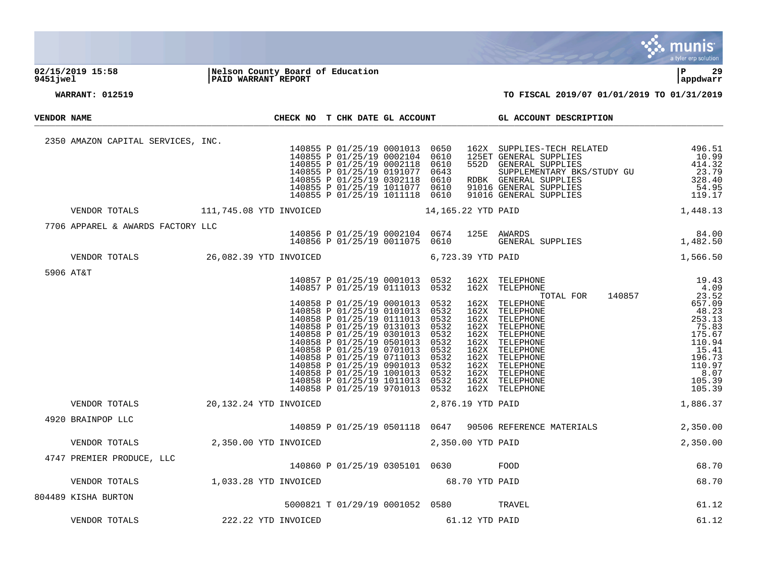

# **02/15/2019 15:58 |Nelson County Board of Education |P 29 9451jwel |PAID WARRANT REPORT |appdwarr**



| <b>VENDOR NAME</b> |                                                    |                                                                              | CHECK NO T CHK DATE GL ACCOUNT |                                                                                                                                                                                                                                                                                                                                                                                                            |              | GL ACCOUNT DESCRIPTION                                                                                                                                                                                                                                                                                                                 |          |
|--------------------|----------------------------------------------------|------------------------------------------------------------------------------|--------------------------------|------------------------------------------------------------------------------------------------------------------------------------------------------------------------------------------------------------------------------------------------------------------------------------------------------------------------------------------------------------------------------------------------------------|--------------|----------------------------------------------------------------------------------------------------------------------------------------------------------------------------------------------------------------------------------------------------------------------------------------------------------------------------------------|----------|
|                    | 2350 AMAZON CAPITAL SERVICES, INC.                 |                                                                              |                                | 140855 P 01/25/19 0001013 0650<br>140855 P 01/25/19 0002104 0610<br>140855 P 01/25/19 0002118 0610<br>140855 P 01/25/19 0191077 0643<br>140855 P 01/25/19 0302118 0610<br>140855 P 01/25/19 1011077 0610<br>140855 P 01/25/19 1011118 0610                                                                                                                                                                 |              | $\begin{tabular}{llllllllll} 162X & SUPPLIES-TECH RELATED & & & 496.51 \\ 125ET GENERAL SUPPLIES & & 10.99 \\ 552D & GENERAL SUPPLIES & & 414.32 \\ \text{SUPPLEMENTARY BKS/STUDY GU & & 23.79 \\ \text{RDBK} & GENERAL SUPPLIES & & 328.40 \\ 91016 GENERAL SUPPLIES & & 54.95 \\ 91016 GENERAL SUPPLIES & & 119.17 \\ \end{tabular}$ |          |
|                    |                                                    |                                                                              |                                |                                                                                                                                                                                                                                                                                                                                                                                                            |              | VENDOR TOTALS 111,745.08 YTD INVOICED 14,165.22 YTD PAID 1,448.13                                                                                                                                                                                                                                                                      |          |
|                    | 7706 APPAREL & AWARDS FACTORY LLC                  |                                                                              |                                |                                                                                                                                                                                                                                                                                                                                                                                                            |              | 140856 P 01/25/19 0002104 0674 125E AWARDS 84.00<br>140856 P 01/25/19 0011075 0610 GENERAL SUPPLIES 1,482.50                                                                                                                                                                                                                           |          |
|                    |                                                    |                                                                              |                                |                                                                                                                                                                                                                                                                                                                                                                                                            |              | VENDOR TOTALS 26,082.39 YTD INVOICED 6,723.39 YTD PAID 1,566.50                                                                                                                                                                                                                                                                        |          |
|                    | 5906 AT&T                                          |                                                                              |                                | 140857 P 01/25/19 0001013 0532<br>140857 P 01/25/19 0111013 0532                                                                                                                                                                                                                                                                                                                                           |              |                                                                                                                                                                                                                                                                                                                                        |          |
|                    |                                                    |                                                                              |                                | 140858 P 01/25/19 0001013 0532<br>140858 P 01/25/19 0101013 0532<br>140858 P 01/25/19 0111013 0532<br>140858 P 01/25/19 0131013<br>140858 P 01/25/19 0301013 0532<br>140858 P 01/25/19 0501013 0532<br>140858 P 01/25/19 0701013<br>140858 P 01/25/19 0711013 0532<br>140858 P 01/25/19 0901013 0532<br>140858 P 01/25/19 1001013 0532<br>140858 P 01/25/19 1011013 0532<br>140858 P 01/25/19 9701013 0532 | 0532<br>0532 |                                                                                                                                                                                                                                                                                                                                        |          |
|                    | VENDOR TOTALS                                      | 20,132.24 YTD INVOICED 2,876.19 YTD PAID                                     |                                |                                                                                                                                                                                                                                                                                                                                                                                                            |              |                                                                                                                                                                                                                                                                                                                                        |          |
|                    | 4920 BRAINPOP LLC                                  |                                                                              |                                |                                                                                                                                                                                                                                                                                                                                                                                                            |              | 140859 P 01/25/19 0501118 0647 90506 REFERENCE MATERIALS 2,350.00                                                                                                                                                                                                                                                                      |          |
|                    | VENDOR TOTALS                                      | 2,350.00 YTD INVOICED 2,350.00 YTD PAID                                      |                                |                                                                                                                                                                                                                                                                                                                                                                                                            |              |                                                                                                                                                                                                                                                                                                                                        | 2,350.00 |
|                    | 4747 PREMIER PRODUCE, LLC                          | 140860 P 01/25/19 0305101 0630 FOOD                                          |                                |                                                                                                                                                                                                                                                                                                                                                                                                            |              |                                                                                                                                                                                                                                                                                                                                        | 68.70    |
|                    | VENDOR TOTALS 1,033.28 YTD INVOICED 68.70 YTD PAID |                                                                              |                                |                                                                                                                                                                                                                                                                                                                                                                                                            |              |                                                                                                                                                                                                                                                                                                                                        | 68.70    |
|                    | 804489 KISHA BURTON                                | 5000821 T 01/29/19 0001052 0580 TRAVEL<br>222.22 YTD INVOICED 61.12 YTD PAID |                                |                                                                                                                                                                                                                                                                                                                                                                                                            |              |                                                                                                                                                                                                                                                                                                                                        | 61.12    |
|                    | VENDOR TOTALS                                      |                                                                              |                                |                                                                                                                                                                                                                                                                                                                                                                                                            |              |                                                                                                                                                                                                                                                                                                                                        | 61.12    |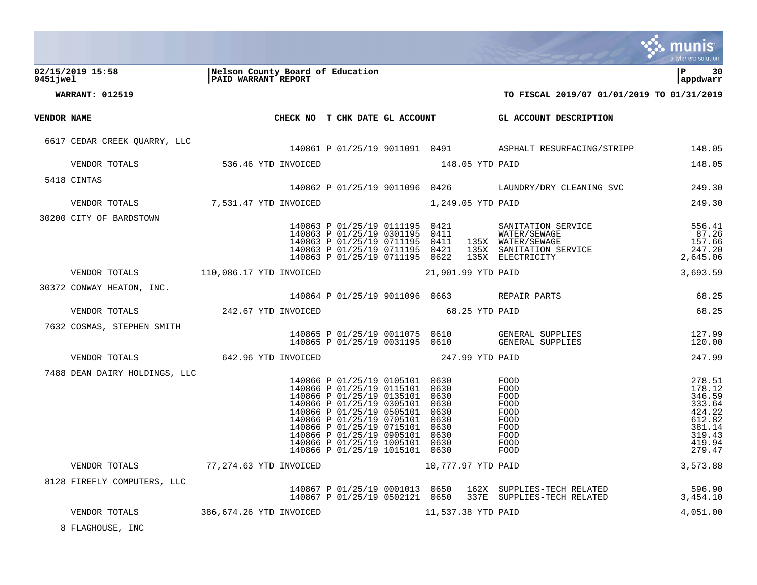|             |                                                       |                                                         |                                                                                                                                                                                                                                                                                                                    |                 |                                              |                    |                                                                                                                                                                                                                                            | a tyler erp solution                                                                             |
|-------------|-------------------------------------------------------|---------------------------------------------------------|--------------------------------------------------------------------------------------------------------------------------------------------------------------------------------------------------------------------------------------------------------------------------------------------------------------------|-----------------|----------------------------------------------|--------------------|--------------------------------------------------------------------------------------------------------------------------------------------------------------------------------------------------------------------------------------------|--------------------------------------------------------------------------------------------------|
| 9451 jwel   | 02/15/2019 15:58                                      | Nelson County Board of Education<br>PAID WARRANT REPORT |                                                                                                                                                                                                                                                                                                                    |                 |                                              |                    |                                                                                                                                                                                                                                            | ∣P<br>30<br>appdwarr                                                                             |
|             | <b>WARRANT: 012519</b>                                |                                                         |                                                                                                                                                                                                                                                                                                                    |                 |                                              |                    | TO FISCAL 2019/07 01/01/2019 TO 01/31/2019                                                                                                                                                                                                 |                                                                                                  |
| VENDOR NAME |                                                       |                                                         |                                                                                                                                                                                                                                                                                                                    |                 |                                              |                    | CHECK NO T CHK DATE GL ACCOUNT GL ACCOUNT DESCRIPTION                                                                                                                                                                                      |                                                                                                  |
|             | 6617 CEDAR CREEK QUARRY, LLC                          |                                                         |                                                                                                                                                                                                                                                                                                                    |                 |                                              |                    | 140861 P 01/25/19 9011091 0491 ASPHALT RESURFACING/STRIPP                                                                                                                                                                                  | 148.05                                                                                           |
|             | VENDOR TOTALS 536.46 YTD INVOICED                     |                                                         |                                                                                                                                                                                                                                                                                                                    | 148.05 YTD PAID |                                              |                    |                                                                                                                                                                                                                                            | 148.05                                                                                           |
|             | 5418 CINTAS                                           |                                                         |                                                                                                                                                                                                                                                                                                                    |                 |                                              |                    |                                                                                                                                                                                                                                            |                                                                                                  |
|             |                                                       |                                                         |                                                                                                                                                                                                                                                                                                                    |                 |                                              |                    | 140862 P 01/25/19 9011096 0426 LAUNDRY/DRY CLEANING SVC                                                                                                                                                                                    | 249.30                                                                                           |
|             | VENDOR TOTALS 7,531.47 YTD INVOICED 1,249.05 YTD PAID |                                                         |                                                                                                                                                                                                                                                                                                                    |                 |                                              |                    |                                                                                                                                                                                                                                            | 249.30                                                                                           |
|             | 30200 CITY OF BARDSTOWN                               |                                                         |                                                                                                                                                                                                                                                                                                                    |                 |                                              |                    | 140863 P 01/25/19 0111195 0421 SANITATION SERVICE<br>140863 P 01/25/19 0301195 0411 WATER/SEWAGE<br>140863 P 01/25/19 0711195 0411 135X WATER/SEWAGE<br>140863 P 01/25/19 0711195 0421 135X SANITATION SERVICE<br>140863 P 01/25/19 071119 | 556.41<br>87.26<br>157.66<br>247.20<br>2,645.06                                                  |
|             | VENDOR TOTALS 110,086.17 YTD INVOICED                 |                                                         |                                                                                                                                                                                                                                                                                                                    |                 |                                              | 21,901.99 YTD PAID |                                                                                                                                                                                                                                            | 3,693.59                                                                                         |
|             | 30372 CONWAY HEATON, INC.                             |                                                         |                                                                                                                                                                                                                                                                                                                    |                 |                                              |                    | 140864 P 01/25/19 9011096 0663 REPAIR PARTS                                                                                                                                                                                                | 68.25                                                                                            |
|             | VENDOR TOTALS                                         | 242.67 YTD INVOICED                                     |                                                                                                                                                                                                                                                                                                                    | 68.25 YTD PAID  |                                              |                    |                                                                                                                                                                                                                                            | 68.25                                                                                            |
|             | 7632 COSMAS, STEPHEN SMITH                            |                                                         |                                                                                                                                                                                                                                                                                                                    |                 |                                              |                    | 140865 P 01/25/19 0011075 0610 GENERAL SUPPLIES<br>140865 P 01/25/19 0031195 0610 GENERAL SUPPLIES                                                                                                                                         | 127.99<br>120.00                                                                                 |
|             | VENDOR TOTALS                                         | 642.96 YTD INVOICED                                     |                                                                                                                                                                                                                                                                                                                    | 247.99 YTD PAID |                                              |                    |                                                                                                                                                                                                                                            | 247.99                                                                                           |
|             | 7488 DEAN DAIRY HOLDINGS, LLC                         |                                                         | 140866 P 01/25/19 0105101 0630<br>140866 P 01/25/19 0115101 0630<br>140866 P 01/25/19 0135101 0630<br>140866 P 01/25/19 0305101 0630<br>140866 P 01/25/19 0505101<br>140866 P 01/25/19 0705101<br>140866 P 01/25/19 0715101<br>140866 P 01/25/19 0905101<br>140866 P 01/25/19 1005101<br>140866 P 01/25/19 1015101 |                 | 0630<br>0630<br>0630<br>0630<br>0630<br>0630 |                    | FOOD<br>FOOD<br>FOOD<br>FOOD<br>FOOD<br>FOOD<br>FOOD<br>FOOD<br>FOOD<br>FOOD                                                                                                                                                               | 278.51<br>178.12<br>346.59<br>333.64<br>424.22<br>612.82<br>381.14<br>319.43<br>419.94<br>279.47 |
|             | VENDOR TOTALS                                         | 77,274.63 YTD INVOICED                                  |                                                                                                                                                                                                                                                                                                                    |                 |                                              | 10,777.97 YTD PAID |                                                                                                                                                                                                                                            | 3,573.88                                                                                         |
|             | 8128 FIREFLY COMPUTERS, LLC                           |                                                         | 140867 P 01/25/19 0001013 0650<br>140867 P 01/25/19 0502121 0650                                                                                                                                                                                                                                                   |                 |                                              |                    | 162X SUPPLIES-TECH RELATED<br>337E SUPPLIES-TECH RELATED                                                                                                                                                                                   | 596.90<br>3,454.10                                                                               |
|             | VENDOR TOTALS                                         | 386,674.26 YTD INVOICED                                 |                                                                                                                                                                                                                                                                                                                    |                 |                                              | 11,537.38 YTD PAID |                                                                                                                                                                                                                                            | 4,051.00                                                                                         |
|             | 8 FLAGHOUSE, INC                                      |                                                         |                                                                                                                                                                                                                                                                                                                    |                 |                                              |                    |                                                                                                                                                                                                                                            |                                                                                                  |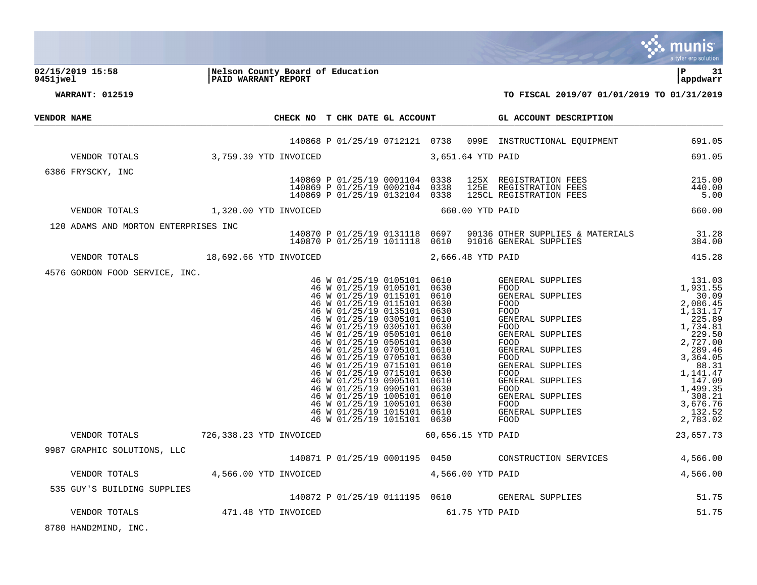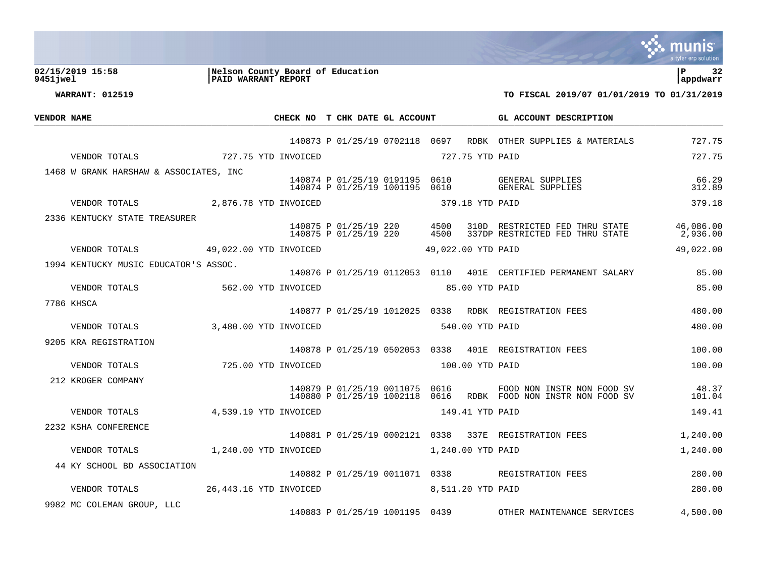

**02/15/2019 15:58 |Nelson County Board of Education |P 32 9451jwel |PAID WARRANT REPORT |appdwarr**

| <b>VENDOR NAME</b> |                                        |                       |  | CHECK NO T CHK DATE GL ACCOUNT                      |      |                    | GL ACCOUNT DESCRIPTION                                                                             |                 |
|--------------------|----------------------------------------|-----------------------|--|-----------------------------------------------------|------|--------------------|----------------------------------------------------------------------------------------------------|-----------------|
|                    |                                        |                       |  |                                                     |      |                    | 140873 P 01/25/19 0702118 0697 RDBK OTHER SUPPLIES & MATERIALS                                     | 727.75          |
|                    | 727.75 YTD INVOICED<br>VENDOR TOTALS   |                       |  |                                                     |      | 727.75 YTD PAID    |                                                                                                    | 727.75          |
|                    | 1468 W GRANK HARSHAW & ASSOCIATES, INC |                       |  |                                                     |      |                    |                                                                                                    |                 |
|                    |                                        |                       |  |                                                     |      |                    | 140874 P 01/25/19 0191195 0610 GENERAL SUPPLIES<br>140874 P 01/25/19 1001195 0610 GENERAL SUPPLIES | 66.29<br>312.89 |
|                    | VENDOR TOTALS 2.876.78 YTD INVOICED    |                       |  | 379.18 YTD PAID                                     |      |                    |                                                                                                    | 379.18          |
|                    | 2336 KENTUCKY STATE TREASURER          |                       |  |                                                     |      |                    |                                                                                                    |                 |
|                    |                                        |                       |  | 140875 P 01/25/19 220 4500<br>140875 P 01/25/19 220 | 4500 |                    | 310D RESTRICTED FED THRU STATE 46,086.00<br>337DP RESTRICTED FED THRU STATE                        | 2,936.00        |
|                    | VENDOR TOTALS 49,022.00 YTD INVOICED   |                       |  |                                                     |      | 49,022.00 YTD PAID |                                                                                                    | 49,022.00       |
|                    | 1994 KENTUCKY MUSIC EDUCATOR'S ASSOC.  |                       |  |                                                     |      |                    |                                                                                                    |                 |
|                    |                                        |                       |  |                                                     |      |                    | 140876 P 01/25/19 0112053 0110 401E CERTIFIED PERMANENT SALARY                                     | 85.00           |
|                    | 562.00 YTD INVOICED<br>VENDOR TOTALS   |                       |  | 85.00 YTD PAID                                      |      |                    |                                                                                                    | 85.00           |
|                    | 7786 KHSCA                             |                       |  |                                                     |      |                    | 140877 P 01/25/19 1012025 0338 RDBK REGISTRATION FEES                                              | 480.00          |
|                    | 3,480.00 YTD INVOICED<br>VENDOR TOTALS |                       |  | 540.00 YTD PAID                                     |      |                    |                                                                                                    | 480.00          |
|                    | 9205 KRA REGISTRATION                  |                       |  |                                                     |      |                    |                                                                                                    |                 |
|                    |                                        |                       |  |                                                     |      |                    | 140878 P 01/25/19 0502053 0338 401E REGISTRATION FEES                                              | 100.00          |
|                    | VENDOR TOTALS                          | 725.00 YTD INVOICED   |  | 100.00 YTD PAID                                     |      |                    |                                                                                                    | 100.00          |
|                    | 212 KROGER COMPANY                     |                       |  | 140879 P 01/25/19 0011075 0616                      |      |                    | FOOD NON INSTR NON FOOD SV<br>140880 P 01/25/19 1002118 0616 RDBK FOOD NON INSTR NON FOOD SV       | 48.37<br>101.04 |
|                    | VENDOR TOTALS                          | 4,539.19 YTD INVOICED |  | 149.41 YTD PAID                                     |      |                    |                                                                                                    | 149.41          |
|                    | 2232 KSHA CONFERENCE                   |                       |  |                                                     |      |                    | 140881 P 01/25/19 0002121 0338 337E REGISTRATION FEES                                              |                 |
|                    |                                        |                       |  |                                                     |      |                    |                                                                                                    | 1,240.00        |
|                    | VENDOR TOTALS                          | 1,240.00 YTD INVOICED |  | 1,240.00 YTD PAID                                   |      |                    |                                                                                                    | 1,240.00        |
|                    | 44 KY SCHOOL BD ASSOCIATION            |                       |  |                                                     |      |                    | 140882 P 01/25/19 0011071 0338 REGISTRATION FEES                                                   | 280.00          |
|                    |                                        |                       |  |                                                     |      |                    |                                                                                                    | 280.00          |
|                    | 9982 MC COLEMAN GROUP, LLC             |                       |  | 140883 P 01/25/19 1001195 0439                      |      |                    | OTHER MAINTENANCE SERVICES                                                                         | 4,500.00        |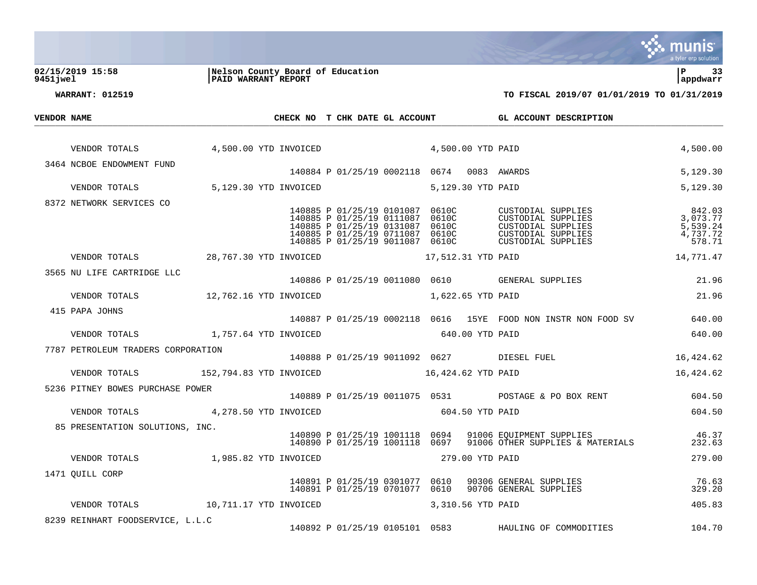

**02/15/2019 15:58 |Nelson County Board of Education |P 33 9451jwel |PAID WARRANT REPORT |appdwarr**

| <b>VENDOR NAME</b> |                                                             |                       |                                            | CHECK NO T CHK DATE GL ACCOUNT                                                                                                                                              |  |                    | GL ACCOUNT DESCRIPTION                                                                                                     |                                                      |
|--------------------|-------------------------------------------------------------|-----------------------|--------------------------------------------|-----------------------------------------------------------------------------------------------------------------------------------------------------------------------------|--|--------------------|----------------------------------------------------------------------------------------------------------------------------|------------------------------------------------------|
|                    | VENDOR TOTALS 4,500.00 YTD INVOICED 4,500.00 YTD PAID       |                       |                                            |                                                                                                                                                                             |  |                    |                                                                                                                            | 4,500.00                                             |
|                    | 3464 NCBOE ENDOWMENT FUND                                   |                       | 140884 P 01/25/19 0002118 0674 0083 AWARDS |                                                                                                                                                                             |  |                    |                                                                                                                            | 5,129.30                                             |
|                    | VENDOR TOTALS 5,129.30 YTD INVOICED                         |                       |                                            |                                                                                                                                                                             |  | 5,129.30 YTD PAID  |                                                                                                                            | 5,129.30                                             |
|                    | 8372 NETWORK SERVICES CO                                    |                       |                                            |                                                                                                                                                                             |  |                    |                                                                                                                            |                                                      |
|                    |                                                             |                       |                                            | 140885 P 01/25/19 0101087 0610C<br>140885 P 01/25/19 0111087 0610C<br>140885 P 01/25/19 0131087 0610C<br>140885 P 01/25/19 0711087 0610C<br>140885 P 01/25/19 9011087 0610C |  |                    | CUSTODIAL SUPPLIES<br>CUSTODIAL SUPPLIES<br>CUSTODIAL SUPPLIES<br>CUSTODIAL SUPPLIES<br>CUSTODIAL SUPPLIES                 | 842.03<br>3,073.77<br>5,539.24<br>4,737.72<br>578.71 |
|                    | VENDOR TOTALS 28,767.30 YTD INVOICED                        |                       |                                            |                                                                                                                                                                             |  | 17,512.31 YTD PAID |                                                                                                                            | 14,771.47                                            |
|                    | 3565 NU LIFE CARTRIDGE LLC                                  |                       |                                            |                                                                                                                                                                             |  |                    | 140886 P 01/25/19 0011080 0610 GENERAL SUPPLIES                                                                            | 21.96                                                |
|                    | VENDOR TOTALS 12,762.16 YTD INVOICED                        |                       |                                            | 1,622.65 YTD PAID                                                                                                                                                           |  |                    |                                                                                                                            | 21.96                                                |
|                    | 415 PAPA JOHNS                                              |                       |                                            |                                                                                                                                                                             |  |                    |                                                                                                                            |                                                      |
|                    |                                                             |                       |                                            |                                                                                                                                                                             |  |                    | 140887 P 01/25/19 0002118 0616 15YE FOOD NON INSTR NON FOOD SV 640.00                                                      |                                                      |
|                    | VENDOR TOTALS 1,757.64 YTD INVOICED                         |                       |                                            | 640.00 YTD PAID                                                                                                                                                             |  |                    |                                                                                                                            | 640.00                                               |
|                    | 7787 PETROLEUM TRADERS CORPORATION                          |                       |                                            |                                                                                                                                                                             |  |                    | 140888 P 01/25/19 9011092 0627 DIESEL FUEL                                                                                 | 16,424.62                                            |
|                    | VENDOR TOTALS 62 152,794.83 YTD INVOICED 16,424.62 YTD PAID |                       |                                            |                                                                                                                                                                             |  |                    |                                                                                                                            | 16,424.62                                            |
|                    | 5236 PITNEY BOWES PURCHASE POWER                            |                       |                                            |                                                                                                                                                                             |  |                    |                                                                                                                            |                                                      |
|                    |                                                             |                       |                                            |                                                                                                                                                                             |  |                    | 140889 P 01/25/19 0011075 0531 POSTAGE & PO BOX RENT 604.50                                                                |                                                      |
|                    | VENDOR TOTALS                                               | 4,278.50 YTD INVOICED |                                            | 604.50 YTD PAID                                                                                                                                                             |  |                    |                                                                                                                            | 604.50                                               |
|                    | 85 PRESENTATION SOLUTIONS, INC.                             |                       |                                            |                                                                                                                                                                             |  |                    | 140890 P 01/25/19 1001118 0694 91006 EQUIPMENT SUPPLIES<br>140890 P 01/25/19 1001118 0697 91006 OTHER SUPPLIES & MATERIALS | 46.37<br>232.63                                      |
|                    | VENDOR TOTALS                                               | 1,985.82 YTD INVOICED |                                            | 279.00 YTD PAID                                                                                                                                                             |  |                    |                                                                                                                            | 279.00                                               |
|                    | 1471 OUILL CORP                                             |                       |                                            |                                                                                                                                                                             |  |                    |                                                                                                                            |                                                      |
|                    |                                                             |                       |                                            | 140891 P 01/25/19 0701077 0610                                                                                                                                              |  |                    | 140891 P 01/25/19 0301077 0610 90306 GENERAL SUPPLIES<br>90706 GENERAL SUPPLIES                                            | 76.63<br>329.20                                      |
|                    |                                                             |                       |                                            |                                                                                                                                                                             |  |                    |                                                                                                                            | 405.83                                               |
|                    | 8239 REINHART FOODSERVICE, L.L.C                            |                       |                                            |                                                                                                                                                                             |  |                    | 140892 P 01/25/19 0105101 0583 HAULING OF COMMODITIES                                                                      | 104.70                                               |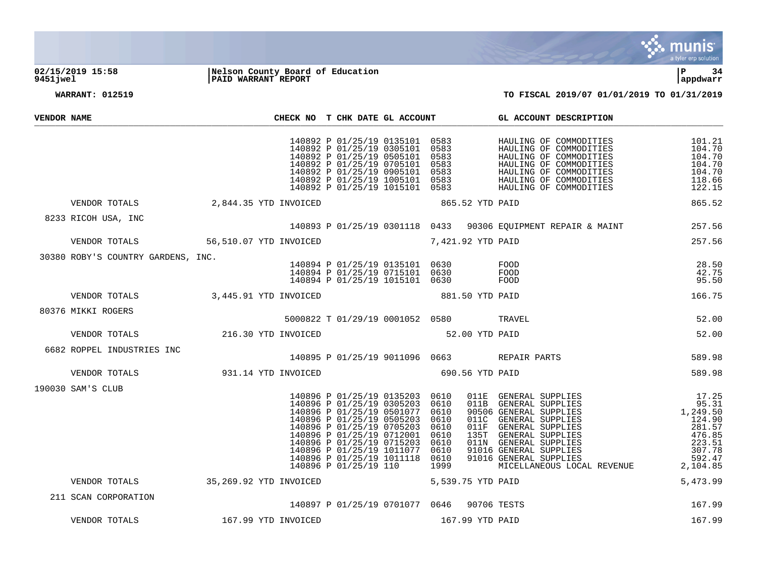

## **02/15/2019 15:58 |Nelson County Board of Education |P 34 9451jwel |PAID WARRANT REPORT |appdwarr**

| VENDOR NAME |                                                                              |                     | CHECK NO T CHK DATE GL ACCOUNT                                                                                                                                                                                                                                      |                 | GL ACCOUNT DESCRIPTION                                                                                                                                                                                                                                                                                                                                                                                                                                                                                                                                                                    |                         |
|-------------|------------------------------------------------------------------------------|---------------------|---------------------------------------------------------------------------------------------------------------------------------------------------------------------------------------------------------------------------------------------------------------------|-----------------|-------------------------------------------------------------------------------------------------------------------------------------------------------------------------------------------------------------------------------------------------------------------------------------------------------------------------------------------------------------------------------------------------------------------------------------------------------------------------------------------------------------------------------------------------------------------------------------------|-------------------------|
|             |                                                                              |                     |                                                                                                                                                                                                                                                                     |                 |                                                                                                                                                                                                                                                                                                                                                                                                                                                                                                                                                                                           | 101.21                  |
|             | VENDOR TOTALS 2,844.35 YTD INVOICED                                          |                     | 865.52 YTD PAID                                                                                                                                                                                                                                                     |                 |                                                                                                                                                                                                                                                                                                                                                                                                                                                                                                                                                                                           | 865.52                  |
|             | 8233 RICOH USA, INC                                                          |                     |                                                                                                                                                                                                                                                                     |                 | 140893 P 01/25/19 0301118 0433 90306 EQUIPMENT REPAIR & MAINT 257.56                                                                                                                                                                                                                                                                                                                                                                                                                                                                                                                      |                         |
|             | VENDOR TOTALS 56,510.07 YTD INVOICED 7,421.92 YTD PAID                       |                     |                                                                                                                                                                                                                                                                     |                 |                                                                                                                                                                                                                                                                                                                                                                                                                                                                                                                                                                                           | 257.56                  |
|             | 30380 ROBY'S COUNTRY GARDENS, INC.                                           |                     | 140894 P 01/25/19 0135101 0630 FOOD<br>140894 P 01/25/19 0715101 0630 FOOD<br>140894 P 01/25/19 1015101 0630 FOOD                                                                                                                                                   |                 |                                                                                                                                                                                                                                                                                                                                                                                                                                                                                                                                                                                           | 28.50<br>42.75<br>95.50 |
|             | VENDOR TOTALS 3,445.91 YTD INVOICED                                          |                     | 881.50 YTD PAID                                                                                                                                                                                                                                                     |                 |                                                                                                                                                                                                                                                                                                                                                                                                                                                                                                                                                                                           | 166.75                  |
|             | 80376 MIKKI ROGERS                                                           |                     | 5000822 T 01/29/19 0001052 0580 TRAVEL                                                                                                                                                                                                                              |                 |                                                                                                                                                                                                                                                                                                                                                                                                                                                                                                                                                                                           | 52.00                   |
|             | VENDOR TOTALS 216.30 YTD INVOICED                                            |                     | 52.00 YTD PAID                                                                                                                                                                                                                                                      |                 |                                                                                                                                                                                                                                                                                                                                                                                                                                                                                                                                                                                           | 52.00                   |
|             | 6682 ROPPEL INDUSTRIES INC<br>140895 P 01/25/19 9011096 0663<br>REPAIR PARTS |                     |                                                                                                                                                                                                                                                                     |                 |                                                                                                                                                                                                                                                                                                                                                                                                                                                                                                                                                                                           | 589.98                  |
|             | VENDOR TOTALS                                                                | 931.14 YTD INVOICED | 690.56 YTD PAID                                                                                                                                                                                                                                                     |                 |                                                                                                                                                                                                                                                                                                                                                                                                                                                                                                                                                                                           | 589.98                  |
|             | 190030 SAM'S CLUB                                                            |                     | 140896 P 01/25/19 0135203 0610<br>140896 P 01/25/19 0305203 0610<br>140896 P 01/25/19 0501077 0610<br>140896 P 01/25/19 0505203 0610<br>140896 P 01/25/19 0705203 0610<br>140896 P 01/25/19 0712001 0610<br>140896 P 01/25/19 0715203 0610<br>140896 P 01/25/19 110 | 1999            | $\begin{tabular}{llllllll} 011E & GENERAL & SUPPLIES & 17.25 \\ 011B & GENERAL & SUPPLIES & 95.31 \\ 90506 & GENERAL & SUPPLIES & 1,249.50 \\ 011C & GENERAL & SUPPLIES & 124.90 \\ 011F & GENERAL & SUPPLIES & 281.57 \\ 135T & GENERAL & SUPPLIES & 476.85 \\ 011N & GENERAL & SUPPLIES & 223.51 \\ 91016 & GENERAL & SUPPLIES & 307.78 \\ 91016 & GENERAL & SUPPLIES & 307.78 \\ 91016 & GENERAL & SUPPLIES & 592.49.5 \\ 91$<br>140896 P 01/25/19 1011077 0610 91016 GENERAL SUPPLIES<br>140896 P 01/25/19 1011118 0610 91016 GENERAL SUPPLIES<br>MICELLANEOUS LOCAL REVENUE 2,104.85 | 592.47                  |
|             | VENDOR TOTALS 35,269.92 YTD INVOICED                                         |                     | 5,539.75 YTD PAID                                                                                                                                                                                                                                                   |                 |                                                                                                                                                                                                                                                                                                                                                                                                                                                                                                                                                                                           | 5,473.99                |
|             | 211 SCAN CORPORATION                                                         |                     | 140897 P 01/25/19 0701077 0646 90706 TESTS                                                                                                                                                                                                                          |                 |                                                                                                                                                                                                                                                                                                                                                                                                                                                                                                                                                                                           | 167.99                  |
|             | VENDOR TOTALS                                                                | 167.99 YTD INVOICED |                                                                                                                                                                                                                                                                     | 167.99 YTD PAID |                                                                                                                                                                                                                                                                                                                                                                                                                                                                                                                                                                                           | 167.99                  |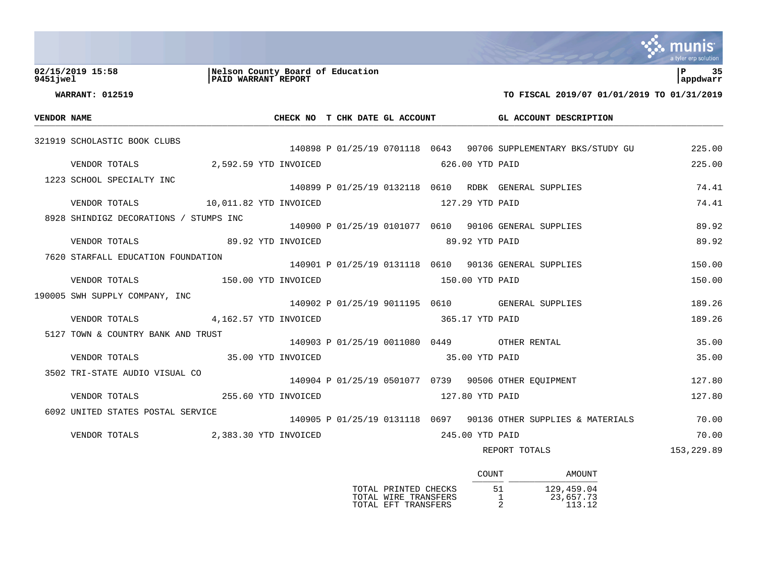|             |                                        |                                                         |                |                 |                                                                 | a tyler erp solutior |
|-------------|----------------------------------------|---------------------------------------------------------|----------------|-----------------|-----------------------------------------------------------------|----------------------|
| 9451 iwel   | 02/15/2019 15:58                       | Nelson County Board of Education<br>PAID WARRANT REPORT |                |                 |                                                                 | 35<br>appdwarr       |
|             | <b>WARRANT: 012519</b>                 |                                                         |                |                 | TO FISCAL 2019/07 01/01/2019 TO 01/31/2019                      |                      |
| VENDOR NAME |                                        |                                                         |                |                 | CHECK NO T CHK DATE GL ACCOUNT GL ACCOUNT DESCRIPTION           |                      |
|             | 321919 SCHOLASTIC BOOK CLUBS           |                                                         |                |                 | 140898 P 01/25/19 0701118 0643 90706 SUPPLEMENTARY BKS/STUDY GU | 225.00               |
|             | VENDOR TOTALS 2,592.59 YTD INVOICED    |                                                         |                | 626.00 YTD PAID |                                                                 | 225.00               |
|             | 1223 SCHOOL SPECIALTY INC              |                                                         |                |                 | 140899 P 01/25/19 0132118 0610 RDBK GENERAL SUPPLIES            | 74.41                |
|             | VENDOR TOTALS 10,011.82 YTD INVOICED   |                                                         |                | 127.29 YTD PAID |                                                                 | 74.41                |
|             | 8928 SHINDIGZ DECORATIONS / STUMPS INC |                                                         |                |                 | 140900 P 01/25/19 0101077 0610 90106 GENERAL SUPPLIES           | 89.92                |
|             | VENDOR TOTALS 69.92 YTD INVOICED       |                                                         | 89.92 YTD PAID |                 |                                                                 | 89.92                |
|             | 7620 STARFALL EDUCATION FOUNDATION     |                                                         |                |                 | 140901 P 01/25/19 0131118 0610 90136 GENERAL SUPPLIES           | 150.00               |
|             | VENDOR TOTALS 150.00 YTD INVOICED      |                                                         |                | 150.00 YTD PAID |                                                                 | 150.00               |
|             | 190005 SWH SUPPLY COMPANY, INC         |                                                         |                |                 | 140902 P 01/25/19 9011195 0610 GENERAL SUPPLIES                 | 189.26               |
|             | VENDOR TOTALS 4,162.57 YTD INVOICED    |                                                         |                | 365.17 YTD PAID |                                                                 | 189.26               |
|             | 5127 TOWN & COUNTRY BANK AND TRUST     |                                                         |                |                 | 140903 P 01/25/19 0011080 0449 OTHER RENTAL                     | 35.00                |
|             | VENDOR TOTALS 35.00 YTD INVOICED       |                                                         | 35.00 YTD PAID |                 |                                                                 | 35.00                |
|             | 3502 TRI-STATE AUDIO VISUAL CO         |                                                         |                |                 | 140904 P 01/25/19 0501077 0739 90506 OTHER EQUIPMENT            | 127.80               |
|             | VENDOR TOTALS                          | 255.60 YTD INVOICED                                     |                | 127.80 YTD PAID |                                                                 | 127.80               |
|             | 6092 UNITED STATES POSTAL SERVICE      |                                                         |                |                 | 140905 P 01/25/19 0131118 0697 90136 OTHER SUPPLIES & MATERIALS | 70.00                |
|             | VENDOR TOTALS 2,383.30 YTD INVOICED    |                                                         |                | 245.00 YTD PAID |                                                                 | 70.00                |
|             |                                        |                                                         |                |                 | REPORT TOTALS                                                   | 153,229.89           |

|                                                                     | COUNT   |            | AMOUNT              |
|---------------------------------------------------------------------|---------|------------|---------------------|
| TOTAL PRINTED CHECKS<br>TOTAL WIRE TRANSFERS<br>TOTAL EFT TRANSFERS | 51<br>っ | 129,459.04 | 23,657.73<br>113.12 |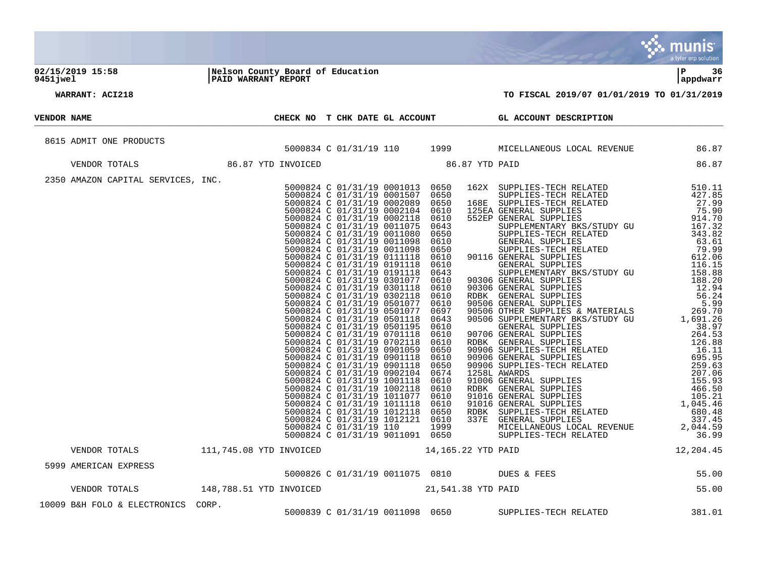|             |                                    |  |  |                                                                                                                 | <b>munis</b><br>a tyler erp solution |
|-------------|------------------------------------|--|--|-----------------------------------------------------------------------------------------------------------------|--------------------------------------|
|             |                                    |  |  |                                                                                                                 | l P<br>-36<br>appdwarr               |
|             | WARRANT: ACI218                    |  |  | TO FISCAL 2019/07 01/01/2019 TO 01/31/2019                                                                      |                                      |
| VENDOR NAME |                                    |  |  | CHECK NO T CHK DATE GL ACCOUNT GL ACCOUNT DESCRIPTION                                                           |                                      |
|             | 8615 ADMIT ONE PRODUCTS            |  |  |                                                                                                                 |                                      |
|             | VENDOR TOTALS                      |  |  | 5000834 C 01/31/19 110 1999 MICELLANEOUS LOCAL REVENUE 86.87<br>86.87 YTD INVOICED 86.87 YTD 88.87 YTD PAID     |                                      |
|             |                                    |  |  |                                                                                                                 |                                      |
|             |                                    |  |  |                                                                                                                 |                                      |
|             |                                    |  |  | VENDOR TOTALS 111,745.08 YTD INVOICED 14,165.22 YTD PAID 12,204.45                                              |                                      |
|             | 5999 AMERICAN EXPRESS              |  |  | AMERICAN EXPRESS<br>5000826 C 01/31/19 0011075 0810<br>VENDOR TOTALS 148,788.51 YTD INVOICED 21,541.38 YTD PAID | 55.00                                |
|             |                                    |  |  |                                                                                                                 | 55.00                                |
|             | 10009 B&H FOLO & ELECTRONICS CORP. |  |  | 5000839 C 01/31/19 0011098 0650 SUPPLIES-TECH RELATED                                                           | 381.01                               |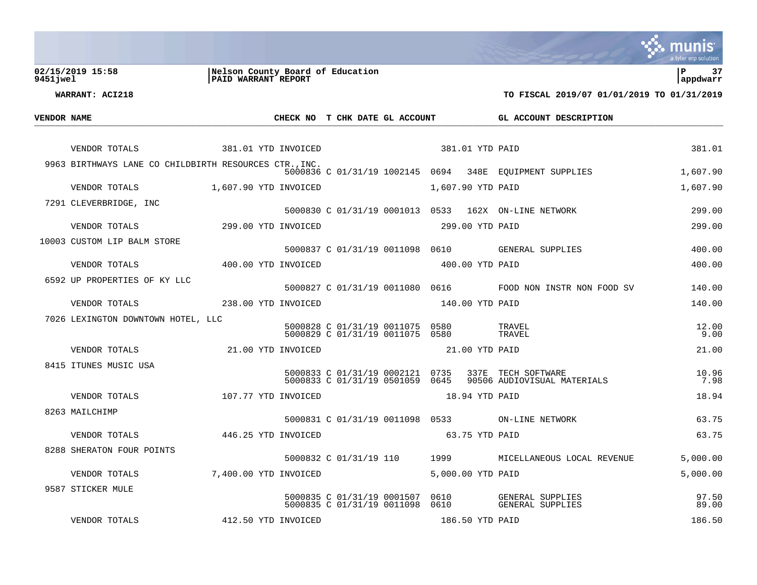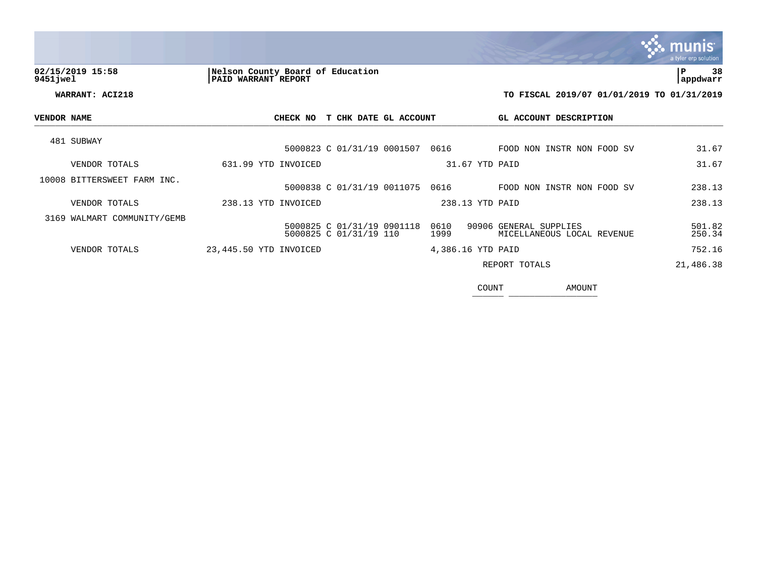|             |                             |                                                         |                       |                                                      | a tyler erp solution  |
|-------------|-----------------------------|---------------------------------------------------------|-----------------------|------------------------------------------------------|-----------------------|
| 9451 jwel   | 02/15/2019 15:58            | Nelson County Board of Education<br>PAID WARRANT REPORT |                       |                                                      | 38<br>l P<br>appdwarr |
|             | WARRANT: ACI218             |                                                         |                       | TO FISCAL 2019/07 01/01/2019 TO 01/31/2019           |                       |
| VENDOR NAME |                             | CHECK NO                                                | T CHK DATE GL ACCOUNT | GL ACCOUNT DESCRIPTION                               |                       |
|             | 481 SUBWAY                  | 5000823 C 01/31/19 0001507                              | 0616                  | FOOD NON INSTR NON FOOD SV                           | 31.67                 |
|             | VENDOR TOTALS               | 631.99 YTD INVOICED                                     |                       | 31.67 YTD PAID                                       | 31.67                 |
|             | 10008 BITTERSWEET FARM INC. | 5000838 C 01/31/19 0011075                              | 0616                  | FOOD NON INSTR NON FOOD SV                           | 238.13                |
|             | VENDOR TOTALS               | 238.13 YTD INVOICED                                     |                       | 238.13 YTD PAID                                      | 238.13                |
|             | 3169 WALMART COMMUNITY/GEMB | 5000825 C 01/31/19 0901118<br>5000825 C 01/31/19 110    | 0610<br>1999          | 90906 GENERAL SUPPLIES<br>MICELLANEOUS LOCAL REVENUE | 501.82<br>250.34      |
|             | VENDOR TOTALS               | 23,445.50 YTD INVOICED                                  |                       | 4,386.16 YTD PAID                                    | 752.16                |
|             |                             |                                                         |                       | REPORT TOTALS                                        | 21,486.38             |

COUNT AMOUNT  $\frac{1000N1}{2}$